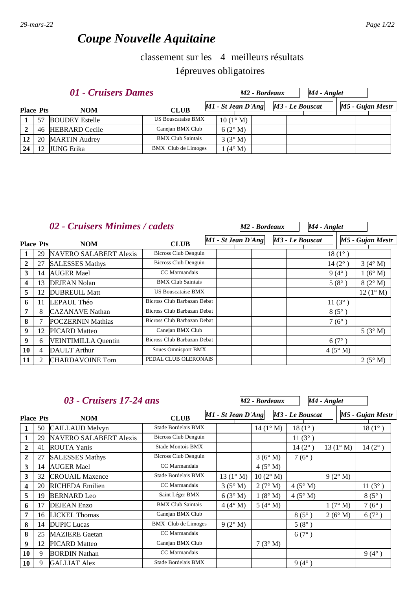# *Coupe Nouvelle Aquitaine*

### 4 classement sur les meilleurs résultats 1épreuves obligatoires

|                 |                  | 01 - Cruisers Dames   |                           |                      | M2 - Bordeaux |                 | $M4$ - Anglet |                  |
|-----------------|------------------|-----------------------|---------------------------|----------------------|---------------|-----------------|---------------|------------------|
|                 | <b>Place Pts</b> | <b>NOM</b>            | <b>CLUB</b>               | $M1$ - St Jean D'Ang |               | M3 - Le Bouscat |               | M5 - Gujan Mestr |
|                 | 57               | <b>BOUDEY Estelle</b> | <b>US Bouscataise BMX</b> | $10(1^{\circ} M)$    |               |                 |               |                  |
|                 | 46               | <b>HEBRARD Cecile</b> | Canejan BMX Club          | 6(2° M)              |               |                 |               |                  |
| 12 <sup>1</sup> | 20               | <b>MARTIN</b> Audrey  | <b>BMX Club Saintais</b>  | $3(3^\circ M)$       |               |                 |               |                  |
| 24              | 12               | JUNG Erika            | BMX Club de Limoges       | $(4^\circ M)$        |               |                 |               |                  |

|                  |    | 02 - Cruisers Minimes / cadets |                             |                    | M <sub>2</sub> - Bordeaux |                 | M4 - Anglet     |                   |
|------------------|----|--------------------------------|-----------------------------|--------------------|---------------------------|-----------------|-----------------|-------------------|
| <b>Place Pts</b> |    | <b>NOM</b>                     | <b>CLUB</b>                 | M1 - St Jean D'Ang |                           | M3 - Le Bouscat |                 | M5 - Gujan Mestr  |
|                  | 29 | NAVERO SALABERT Alexis         | <b>Bicross Club Denguin</b> |                    |                           |                 | $18(1^{\circ})$ |                   |
| $\overline{2}$   | 27 | <b>SALESSES Mathys</b>         | Bicross Club Denguin        |                    |                           |                 | $14(2^{\circ})$ | $3(4^\circ M)$    |
| $\mathbf{3}$     | 14 | <b>AUGER Mael</b>              | CC Marmandais               |                    |                           |                 | $9(4^{\circ})$  | 1(6° M)           |
| 4                | 13 | <b>DEJEAN Nolan</b>            | <b>BMX Club Saintais</b>    |                    |                           |                 | $5(8^{\circ})$  | $8(2^{\circ} M)$  |
| 5                | 12 | <b>DUBREUIL Matt</b>           | <b>US Bouscataise BMX</b>   |                    |                           |                 |                 | $12(1^{\circ} M)$ |
| 6                | 11 | LEPAUL Théo                    | Bicross Club Barbazan Debat |                    |                           |                 | $11(3^{\circ})$ |                   |
| 7                | 8  | <b>CAZANAVE</b> Nathan         | Bicross Club Barbazan Debat |                    |                           |                 | $8(5^\circ)$    |                   |
| 8                | 7  | <b>POCZERNIN Mathias</b>       | Bicross Club Barbazan Debat |                    |                           |                 | $7(6^{\circ})$  |                   |
| 9                | 12 | <b>PICARD Matteo</b>           | Canejan BMX Club            |                    |                           |                 |                 | 5(3° M)           |
| 9                | 6  | <b>VEINTIMILLA Quentin</b>     | Bicross Club Barbazan Debat |                    |                           |                 | $6(7^{\circ})$  |                   |
| 10               | 4  | <b>DAULT</b> Arthur            | <b>Soues Omnisport BMX</b>  |                    |                           |                 | $4(5^\circ M)$  |                   |
| 11               | 2  | <b>CHARDAVOINE Tom</b>         | PEDAL CLUB OLERONAIS        |                    |                           |                 |                 | $2(5^\circ M)$    |

| 03 - Cruisers 17-24 ans |    |                               |                          |                      | M2 - Bordeaux     |                 | M4 - Anglet |                    |                |                  |
|-------------------------|----|-------------------------------|--------------------------|----------------------|-------------------|-----------------|-------------|--------------------|----------------|------------------|
| <b>Place Pts</b>        |    | <b>NOM</b>                    | <b>CLUB</b>              | $MI - St Jean D'Ang$ |                   | M3 - Le Bouscat |             |                    |                | M5 - Gujan Mestr |
| 1                       | 50 | <b>CAILLAUD Melvyn</b>        | Stade Bordelais BMX      |                      | $14(1^{\circ} M)$ | $18(1^{\circ})$ |             |                    |                | $18(1^{\circ})$  |
| 1                       | 29 | <b>NAVERO SALABERT Alexis</b> | Bicross Club Denguin     |                      |                   | $11(3^{\circ})$ |             |                    |                |                  |
| $\boldsymbol{2}$        | 41 | <b>ROUTA Yanis</b>            | Stade Montois BMX        |                      |                   | $14(2^{\circ})$ |             | 13 $(1^{\circ} M)$ |                | $14(2^{\circ})$  |
| $\overline{2}$          | 27 | <b>SALESSES Mathys</b>        | Bicross Club Denguin     |                      | 3(6° M)           | $7(6^{\circ})$  |             |                    |                |                  |
| 3                       | 14 | <b>AUGER Mael</b>             | CC Marmandais            |                      | $4(5^\circ M)$    |                 |             |                    |                |                  |
| 3                       | 32 | <b>CROUAIL Maxence</b>        | Stade Bordelais BMX      | 13 $(1^{\circ} M)$   | $10(2^{\circ} M)$ |                 |             | $9(2^{\circ} M)$   |                |                  |
| 4                       | 20 | <b>RICHEDA</b> Emilien        | CC Marmandais            | $3(5^\circ M)$       | 2(7° M)           | $4(5^\circ M)$  |             |                    |                | $11(3^{\circ})$  |
| 5                       | 19 | <b>BERNARD</b> Leo            | Saint Léger BMX          | 6(3° M)              | 1(8° M)           | 4(5° M)         |             |                    |                | $8(5^{\circ})$   |
| 6                       | 17 | <b>DEJEAN</b> Enzo            | <b>BMX Club Saintais</b> | $4(4^\circ M)$       | $5(4^\circ M)$    |                 |             | 1(7° M)            |                | $7(6^{\circ})$   |
| 7                       | 16 | <b>LICKEL Thomas</b>          | Canejan BMX Club         |                      |                   | $8(5^\circ)$    |             | 2(6° M)            |                | $6(7^{\circ})$   |
| 8                       | 14 | <b>DUPIC</b> Lucas            | BMX Club de Limoges      | 9(2° M)              |                   | $5(8^{\circ})$  |             |                    |                |                  |
| 8                       | 25 | <b>MAZIERE Gaetan</b>         | CC Marmandais            |                      |                   | $6(7^{\circ})$  |             |                    |                |                  |
| 9                       | 12 | <b>PICARD</b> Matteo          | Canejan BMX Club         |                      | 7(3° M)           |                 |             |                    |                |                  |
| 10                      | 9  | <b>BORDIN Nathan</b>          | CC Marmandais            |                      |                   |                 |             |                    | $9(4^{\circ})$ |                  |
| 10                      | 9  | <b>GALLIAT Alex</b>           | Stade Bordelais BMX      |                      |                   | $9(4^{\circ})$  |             |                    |                |                  |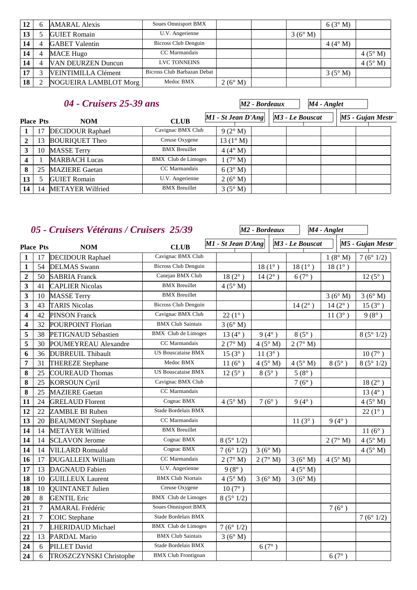| 12 | h | <b>AMARAL Alexis</b>       | <b>Soues Omnisport BMX</b>  |                  |        | 6(3°M)         |                |
|----|---|----------------------------|-----------------------------|------------------|--------|----------------|----------------|
| 13 |   | <b>GUIET</b> Romain        | U.V. Angerienne             |                  | 3(6°M) |                |                |
|    |   | <b>GABET</b> Valentin      | Bicross Club Denguin        |                  |        | $4(4^\circ M)$ |                |
| 14 | 4 | <b>MACE Hugo</b>           | CC Marmandais               |                  |        |                | $4(5^\circ M)$ |
| 14 |   | <b>VAN DEURZEN Duncun</b>  | <b>LVC TONNEINS</b>         |                  |        |                | $4(5^\circ M)$ |
| 17 |   | <b>VEINTIMILLA Clément</b> | Bicross Club Barbazan Debat |                  |        | $3(5^\circ M)$ |                |
| 18 |   | NOGUEIRA LAMBLOT Morg      | Medoc BMX                   | $2(6^{\circ} M)$ |        |                |                |

|                         | 04 - Cruisers 25-39 ans |                         |                            |                      |                   | M2 - Bordeaux |                 | M4 - Anglet |  |                  |
|-------------------------|-------------------------|-------------------------|----------------------------|----------------------|-------------------|---------------|-----------------|-------------|--|------------------|
|                         | <b>Place Pts</b>        | <b>NOM</b>              | <b>CLUB</b>                | $MI - St Jean D'Ang$ |                   |               | M3 - Le Bouscat |             |  | M5 - Gujan Mestr |
|                         | 17                      | <b>DECIDOUR Raphael</b> | Cavignac BMX Club          |                      | $9(2^{\circ} M)$  |               |                 |             |  |                  |
| $\overline{2}$          | 13                      | <b>BOURIQUET Theo</b>   | Creuse Oxygene             |                      | $13(1^{\circ} M)$ |               |                 |             |  |                  |
| $\mathbf{3}$            | 10                      | <b>MASSE Terry</b>      | <b>BMX</b> Breuillet       |                      | $4(4^\circ M)$    |               |                 |             |  |                  |
| $\overline{\mathbf{4}}$ |                         | <b>MARBACH Lucas</b>    | <b>BMX</b> Club de Limoges |                      | $(7^\circ M)$     |               |                 |             |  |                  |
| 8                       | 25                      | <b>MAZIERE</b> Gaetan   | CC Marmandais              |                      | 6(3° M)           |               |                 |             |  |                  |
| 13                      |                         | <b>GUIET Romain</b>     | U.V. Angerienne            |                      | 2(6° M)           |               |                 |             |  |                  |
| 14                      | 14                      | <b>METAYER Wilfried</b> | <b>BMX</b> Breuillet       |                      | $3(5^\circ M)$    |               |                 |             |  |                  |

# *05 - Cruisers Vétérans / Cruisers 25/39*

|                         |                  | 05 - Cruisers Vétérans / Cruisers 25/39 |                             |                    | M <sub>2</sub> - Bordeaux |                 | M4 - Anglet     |                  |
|-------------------------|------------------|-----------------------------------------|-----------------------------|--------------------|---------------------------|-----------------|-----------------|------------------|
| <b>Place Pts</b>        |                  | <b>NOM</b>                              | <b>CLUB</b>                 | M1 - St Jean D'Ang |                           | M3 - Le Bouscat |                 | M5 - Gujan Mestr |
| $\mathbf{1}$            | 17               | <b>DECIDOUR Raphael</b>                 | Cavignac BMX Club           |                    |                           |                 | $1(8^\circ M)$  | 7(6°1/2)         |
| $\mathbf{1}$            | 54               | <b>DELMAS</b> Swann                     | <b>Bicross Club Denguin</b> |                    | $18(1^{\circ})$           | $18(1^{\circ})$ | $18(1^{\circ})$ |                  |
| $\overline{2}$          | 50               | <b>SABRIA Franck</b>                    | Canejan BMX Club            | $18(2^{\circ})$    | $14(2^{\circ})$           | 6(7°)           |                 | $12(5^{\circ})$  |
| 3                       | 41               | <b>CAPLIER Nicolas</b>                  | <b>BMX</b> Breuillet        | 4(5° M)            |                           |                 |                 |                  |
| $\mathbf{3}$            | 10               | <b>MASSE Terry</b>                      | <b>BMX</b> Breuillet        |                    |                           |                 | 3(6°M)          | 3(6° M)          |
| $\overline{\mathbf{3}}$ | 43               | <b>TARIS Nicolas</b>                    | <b>Bicross Club Denguin</b> |                    |                           | $14(2^{\circ})$ | $14(2^{\circ})$ | $15(3^{\circ})$  |
| $\overline{\mathbf{4}}$ | 42               | <b>PINSON Franck</b>                    | Cavignac BMX Club           | $22(1^{\circ})$    |                           |                 | $11(3^{\circ})$ | $9(8^{\circ})$   |
| $\overline{\mathbf{4}}$ | 32               | <b>POURPOINT Florian</b>                | <b>BMX Club Saintais</b>    | 3(6°M)             |                           |                 |                 |                  |
| 5                       | 38               | PETIGNAUD Sébastien                     | <b>BMX</b> Club de Limoges  | 13 $(4^{\circ})$   | $9(4^{\circ})$            | $8(5^\circ)$    |                 | 8(5°1/2)         |
| 5                       | 30               | <b>POUMEYREAU Alexandre</b>             | CC Marmandais               | 2(7° M)            | 4(5° M)                   | 2(7° M)         |                 |                  |
| 6                       | 36               | <b>DUBREUIL Thibault</b>                | <b>US Bouscataise BMX</b>   | $15(3^{\circ})$    | $11(3^{\circ})$           |                 |                 | $10(7^{\circ})$  |
| $\overline{7}$          | 31               | <b>THEREZE</b> Stephane                 | Medoc BMX                   | $11(6^{\circ})$    | 4(5° M)                   | 4(5° M)         | $8(5^\circ)$    | 8(5°1/2)         |
| 8                       | 25               | <b>COUREAUD Thomas</b>                  | <b>US Bouscataise BMX</b>   | $12(5^{\circ})$    | $8(5^\circ)$              | $5(8^{\circ})$  |                 |                  |
| 8                       | 25               | <b>KORSOUN Cyril</b>                    | Cavignac BMX Club           |                    |                           | $7(6^{\circ})$  |                 | $18(2^{\circ})$  |
| 8                       | 25               | <b>MAZIERE</b> Gaetan                   | CC Marmandais               |                    |                           |                 |                 | $13(4^{\circ})$  |
| 11                      | 24               | <b>GRELAUD Florent</b>                  | Cognac BMX                  | 4(5° M)            | $7(6^{\circ})$            | $9(4^{\circ})$  |                 | 4(5° M)          |
| 12                      | 22               | <b>ZAMBLE BI Ruben</b>                  | Stade Bordelais BMX         |                    |                           |                 |                 | $22(1^{\circ})$  |
| 13                      | 20               | <b>BEAUMONT Stephane</b>                | <b>CC</b> Marmandais        |                    |                           | $11(3^{\circ})$ | $9(4^{\circ})$  |                  |
| 14                      | 14               | <b>METAYER Wilfried</b>                 | <b>BMX</b> Breuillet        |                    |                           |                 |                 | $11(6^{\circ})$  |
| 14                      | 14               | <b>SCLAVON Jerome</b>                   | Cognac BMX                  | 8(5°1/2)           |                           |                 | 2(7° M)         | 4(5° M)          |
| 14                      | 14               | <b>VILLARD Romuald</b>                  | Cognac BMX                  | 7(6°1/2)           | 3(6° M)                   |                 |                 | $4(5^\circ M)$   |
| 16                      | 17               | <b>DUGALLEIX William</b>                | CC Marmandais               | 2(7° M)            | 2(7° M)                   | 3(6°M)          | 4(5° M)         |                  |
| 17                      | 13               | <b>DAGNAUD</b> Fabien                   | U.V. Angerienne             | $9(8^{\circ})$     |                           | 4(5° M)         |                 |                  |
| 18                      | 10               | <b>GUILLEUX Laurent</b>                 | <b>BMX Club Niortais</b>    | 4(5° M)            | 3(6°M)                    | 3(6° M)         |                 |                  |
| 18                      | 10               | <b>QUINTANET</b> Julien                 | Creuse Oxygene              | $10(7^{\circ})$    |                           |                 |                 |                  |
| 20                      | 8                | <b>GENTIL Eric</b>                      | <b>BMX</b> Club de Limoges  | 8(5°1/2)           |                           |                 |                 |                  |
| 21                      | $\overline{7}$   | AMARAL Frédéric                         | <b>Soues Omnisport BMX</b>  |                    |                           |                 | $7(6^{\circ})$  |                  |
| 21                      | $\boldsymbol{7}$ | <b>COIC</b> Stephane                    | Stade Bordelais BMX         |                    |                           |                 |                 | 7(6°1/2)         |
| 21                      | $\tau$           | <b>LHERIDAUD Michael</b>                | <b>BMX</b> Club de Limoges  | 7(6°1/2)           |                           |                 |                 |                  |
| 22                      | 13               | PARDAL Mario                            | <b>BMX Club Saintais</b>    | 3(6°M)             |                           |                 |                 |                  |
| 24                      | 6                | <b>PILLET David</b>                     | Stade Bordelais BMX         |                    | 6(7°)                     |                 |                 |                  |
| 24                      | 6                | <b>TROSZCZYNSKI Christophe</b>          | <b>BMX Club Frontignan</b>  |                    |                           |                 | $6(7^{\circ})$  |                  |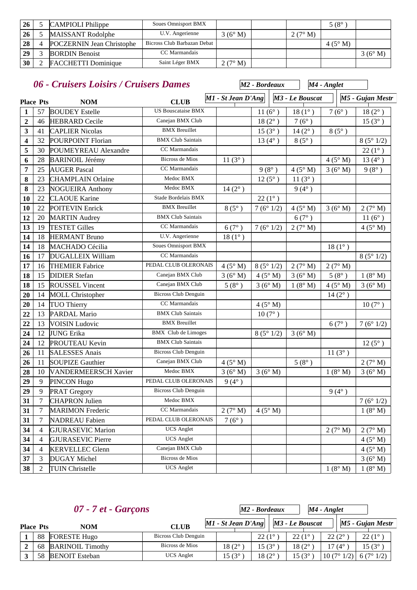| 26 | <b>CAMPIOLI</b> Philippe         | <b>Soues Omnisport BMX</b>  |           |                | $5(8^\circ$    |                |
|----|----------------------------------|-----------------------------|-----------|----------------|----------------|----------------|
| 26 | <b>MAISSANT Rodolphe</b>         | U.V. Angerienne             | 3(6° M)   | $2(7^\circ M)$ |                |                |
| 28 | <b>POCZERNIN Jean Christophe</b> | Bicross Club Barbazan Debat |           |                | $4(5^\circ M)$ |                |
| 29 | <b>BORDIN</b> Benoist            | CC Marmandais               |           |                |                | $3(6^\circ M)$ |
| 30 | <b>FACCHETTI Dominique</b>       | Saint Léger BMX             | 2 (7° M). |                |                |                |

|                         |                  | 06 - Cruisers Loisirs / Cruisers Dames |                             |                    | M <sub>2</sub> - Bordeaux |                 | M4 - Anglet     |                  |
|-------------------------|------------------|----------------------------------------|-----------------------------|--------------------|---------------------------|-----------------|-----------------|------------------|
|                         | <b>Place Pts</b> | <b>NOM</b>                             | <b>CLUB</b>                 | M1 - St Jean D'Ang |                           | M3 - Le Bouscat |                 | M5 - Gujan Mestr |
| $\mathbf{1}$            | 57               | <b>BOUDEY</b> Estelle                  | <b>US Bouscataise BMX</b>   |                    | $11(6^{\circ})$           | $18(1^{\circ})$ | $7(6^{\circ})$  | $18(2^{\circ})$  |
| $\mathbf{2}$            | 46               | <b>HEBRARD</b> Cecile                  | Canejan BMX Club            |                    | $18(2^{\circ})$           | $7(6^{\circ})$  |                 | $15(3^{\circ})$  |
| 3                       | 41               | <b>CAPLIER Nicolas</b>                 | <b>BMX</b> Breuillet        |                    | $15(3^{\circ})$           | $14(2^{\circ})$ | $8(5^\circ)$    |                  |
| $\overline{\mathbf{4}}$ | 32               | POURPOINT Florian                      | <b>BMX Club Saintais</b>    |                    | 13 $(4^{\circ})$          | $8(5^{\circ})$  |                 | 8(5°1/2)         |
| 5                       | 30               | POUMEYREAU Alexandre                   | CC Marmandais               |                    |                           |                 |                 | $22(1^{\circ})$  |
| 6                       | 28               | <b>BARINOIL Jérémy</b>                 | <b>Bicross de Mios</b>      | $11(3^{\circ})$    |                           |                 | 4(5° M)         | 13 $(4^{\circ})$ |
| 7                       | 25               | <b>AUGER Pascal</b>                    | CC Marmandais               |                    | $9(8^{\circ})$            | 4(5° M)         | 3(6°M)          | $9(8^{\circ})$   |
| 8                       | 23               | <b>CHAMPLAIN Orlaine</b>               | Medoc BMX                   |                    | $12(5^{\circ})$           | $11(3^{\circ})$ |                 |                  |
| 8                       | 23               | <b>NOGUEIRA Anthony</b>                | Medoc BMX                   | $14(2^{\circ})$    |                           | $9(4^{\circ})$  |                 |                  |
| 10                      | 22               | <b>CLAOUE Karine</b>                   | Stade Bordelais BMX         |                    | $22(1^{\circ})$           |                 |                 |                  |
| 10                      | 22               | <b>POITEVIN Enrick</b>                 | <b>BMX</b> Breuillet        | $8(5^\circ)$       | 7(6°1/2)                  | 4(5° M)         | 3(6°M)          | 2(7° M)          |
| 12                      | 20               | <b>MARTIN Audrey</b>                   | <b>BMX Club Saintais</b>    |                    |                           | $6(7^\circ)$    |                 | $11(6^{\circ})$  |
| 13                      | 19               | <b>TESTET Gilles</b>                   | CC Marmandais               | 6(7°)              | 7(6°1/2)                  | 2(7° M)         |                 | $4(5^\circ M)$   |
| 14                      | 18               | <b>HERMANT Bruno</b>                   | U.V. Angerienne             | $18(1^{\circ})$    |                           |                 |                 |                  |
| 14                      | 18               | <b>MACHADO Cécilia</b>                 | <b>Soues Omnisport BMX</b>  |                    |                           |                 | $18(1^{\circ})$ |                  |
| 16                      | 17               | <b>DUGALLEIX William</b>               | CC Marmandais               |                    |                           |                 |                 | 8(5°1/2)         |
| 17                      | 16               | <b>THEMIER Fabrice</b>                 | PEDAL CLUB OLERONAIS        | 4(5° M)            | 8(5°1/2)                  | 2(7° M)         | 2(7° M)         |                  |
| 18                      | 15               | <b>DIDIER Stefan</b>                   | Canejan BMX Club            | 3(6° M)            | 4(5° M)                   | 3(6°M)          | $5(8^{\circ})$  | $1(8^\circ M)$   |
| 18                      | 15               | <b>ROUSSEL Vincent</b>                 | Canejan BMX Club            | $5(8^{\circ})$     | 3(6°M)                    | 1(8° M)         | 4(5° M)         | 3(6° M)          |
| 20                      | 14               | <b>MOLL Christopher</b>                | <b>Bicross Club Denguin</b> |                    |                           |                 | $14(2^{\circ})$ |                  |
| 20                      | 14               | <b>TUO Thierry</b>                     | CC Marmandais               |                    | 4(5° M)                   |                 |                 | $10(7^{\circ})$  |
| 22                      | 13               | PARDAL Mario                           | <b>BMX Club Saintais</b>    |                    | $10(7^{\circ})$           |                 |                 |                  |
| 22                      | 13               | <b>VOISIN Ludovic</b>                  | <b>BMX</b> Breuillet        |                    |                           |                 | $6(7^{\circ})$  | 7(6°1/2)         |
| 24                      | 12               | <b>JUNG Erika</b>                      | <b>BMX</b> Club de Limoges  |                    | 8(5°1/2)                  | 3(6°M)          |                 |                  |
| 24                      | 12               | <b>PROUTEAU Kevin</b>                  | <b>BMX Club Saintais</b>    |                    |                           |                 |                 | $12(5^{\circ})$  |
| 26                      | 11               | <b>SALESSES Anais</b>                  | <b>Bicross Club Denguin</b> |                    |                           |                 | $11(3^{\circ})$ |                  |
| 26                      | 11               | <b>SOUPIZE Gauthier</b>                | Canejan BMX Club            | 4(5° M)            |                           | $5(8^{\circ})$  |                 | 2(7° M)          |
| 28                      | 10               | <b>VANDERMEERSCH Xavier</b>            | Medoc BMX                   | 3(6° M)            | 3(6°M)                    |                 | 1(8° M)         | 3(6°M)           |
| 29                      | $\overline{9}$   | PINCON Hugo                            | PEDAL CLUB OLERONAIS        | $9(4^{\circ})$     |                           |                 |                 |                  |
| 29                      | 9                | PRAT Gregory                           | Bicross Club Denguin        |                    |                           |                 | $9(4^{\circ})$  |                  |
| 31                      | 7                | <b>CHAPRON Julien</b>                  | Medoc BMX                   |                    |                           |                 |                 | 7(6°1/2)         |
| 31                      | $\tau$           | <b>MARIMON Frederic</b>                | CC Marmandais               | 2(7° M)            | 4(5° M)                   |                 |                 | $1(8^\circ M)$   |
| 31                      | $\tau$           | <b>NADREAU Fabien</b>                  | PEDAL CLUB OLERONAIS        | $7(6^{\circ})$     |                           |                 |                 |                  |
| 34                      | $\overline{4}$   | <b>GJURASEVIC Marion</b>               | <b>UCS</b> Anglet           |                    |                           |                 | 2(7° M)         | 2 $(7^\circ M)$  |
| 34                      | $\overline{4}$   | <b>GJURASEVIC Pierre</b>               | <b>UCS</b> Anglet           |                    |                           |                 |                 | $4(5^\circ M)$   |
| 34                      | $\overline{4}$   | <b>KERVELLEC Glenn</b>                 | Canejan BMX Club            |                    |                           |                 |                 | $4(5^\circ M)$   |
| 37                      | 3                | <b>DUGAY Michel</b>                    | Bicross de Mios             |                    |                           |                 |                 | 3(6° M)          |
| 38                      | 2                | <b>TUIN Christelle</b>                 | <b>UCS</b> Anglet           |                    |                           |                 | 1(8° M)         | 1(8° M)          |

|                  | $07 - 7$ et - Garçons   |                      | M2 - Bordeaux<br>M4 - Anglet             |                    |                    |                    |  |                    |  |
|------------------|-------------------------|----------------------|------------------------------------------|--------------------|--------------------|--------------------|--|--------------------|--|
| <b>Place Pts</b> | <b>NOM</b>              | <b>CLUB</b>          | $ M1 - St Jean D'Ang    M3 - Le Bouscat$ |                    |                    |                    |  | $M5$ - Gujan Mestr |  |
| 88               | <b>FORESTE Hugo</b>     | Bicross Club Denguin |                                          | $22(1^{\circ}$     | $22(1^{\circ}$     | $22(2^{\circ})$    |  | $22(1^{\circ})$    |  |
| 68               | <b>BARINOIL Timothy</b> | Bicross de Mios      | $18(2^\circ)$                            | 15 (3 $^{\circ}$ ) | $18(2^\circ$       | 17 (4 $^{\circ}$   |  | $15(3^{\circ}$     |  |
| 58               | <b>BENOIT</b> Esteban   | <b>UCS</b> Anglet    | 15 $(3^{\circ}$                          | 18 (2°             | 15 (3 $^{\circ}$ ) | $10(7^{\circ}1/2)$ |  | 6(7°1/2)           |  |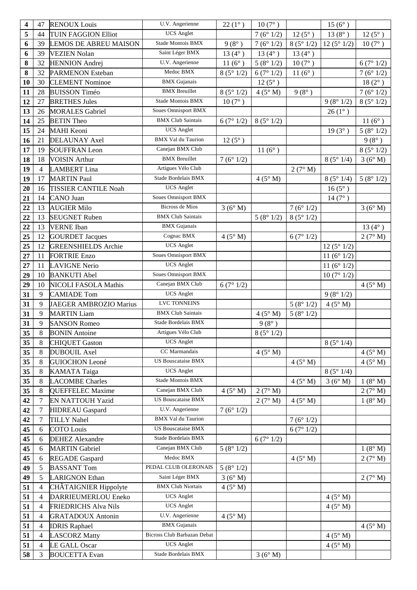| $\overline{\mathbf{4}}$ | 47             | <b>RENOUX Louis</b>          | U.V. Angerienne             | $22(1^{\circ})$  | $10\,(7^\circ$ ) |                 | $15(6^{\circ})$ |                  |
|-------------------------|----------------|------------------------------|-----------------------------|------------------|------------------|-----------------|-----------------|------------------|
| 5                       | 44             | <b>TUIN FAGGION Elliot</b>   | <b>UCS</b> Anglet           |                  | 7(6°1/2)         | $12(5^{\circ})$ | $13(8^{\circ})$ | $12(5^{\circ})$  |
| 6                       | 39             | <b>LEMOS DE ABREU MAISON</b> | Stade Montois BMX           | $9(8^{\circ})$   | 7(6°1/2)         | 8(5°1/2)        | 12(5°1/2)       | $10(7^{\circ})$  |
| 6                       | 39             | <b>VEZIEN Nolan</b>          | Saint Léger BMX             | 13 $(4^{\circ})$ | 13 $(4^{\circ})$ | $13(4^{\circ})$ |                 |                  |
| 8                       | 32             | <b>HENNION</b> Andrej        | U.V. Angerienne             | $11(6^{\circ})$  | 5(8°1/2)         | $10(7^{\circ})$ |                 | 6(7°1/2)         |
| 8                       | 32             | <b>PARMENON Esteban</b>      | Medoc BMX                   | 8(5°1/2)         | 6(7°1/2)         | $11(6^{\circ})$ |                 | 7(6°1/2)         |
| 10                      | 30             | <b>CLEMENT Nominoe</b>       | <b>BMX</b> Gujanais         |                  | $12(5^{\circ})$  |                 |                 | $18(2^{\circ})$  |
| 11                      | 28             | <b>BUISSON</b> Timéo         | <b>BMX</b> Breuillet        | 8(5°1/2)         | 4(5° M)          | $9(8^{\circ})$  |                 | 7(6°1/2)         |
| 12                      | 27             | <b>BRETHES Jules</b>         | Stade Montois BMX           | $10(7^{\circ})$  |                  |                 | 9(8°1/2)        | 8(5°1/2)         |
| 13                      | 26             | <b>MORALES</b> Gabriel       | <b>Soues Omnisport BMX</b>  |                  |                  |                 | $26(1^{\circ})$ |                  |
| 14                      | 25             | <b>BETIN</b> Theo            | <b>BMX Club Saintais</b>    | 6(7°1/2)         | 8(5°1/2)         |                 |                 | $11(6^{\circ})$  |
| 15                      | 24             | MAHI Keoni                   | <b>UCS</b> Anglet           |                  |                  |                 | $19(3^{\circ})$ | 5(8°1/2)         |
| 16                      | 21             | <b>DELAUNAY Axel</b>         | <b>BMX Val du Taurion</b>   | $12(5^{\circ})$  |                  |                 |                 | $9(8^\circ)$     |
| 17                      | 19             | <b>SOUFFRAN Leon</b>         | Canejan BMX Club            |                  | 11 $(6^{\circ})$ |                 |                 | 8(5°1/2)         |
| 18                      | 18             | <b>VOISIN Arthur</b>         | <b>BMX</b> Breuillet        | 7(6°1/2)         |                  |                 | 8(5°1/4)        | 3(6°M)           |
| 19                      | $\overline{4}$ | <b>LAMBERT</b> Lina          | Artigues Vélo Club          |                  |                  | 2(7° M)         |                 |                  |
| 19                      | 17             | <b>MARTIN Paul</b>           | Stade Bordelais BMX         |                  | 4(5° M)          |                 | 8(5°1/4)        | 5(8°1/2)         |
| 20                      | 16             | <b>TISSIER CANTILE Noah</b>  | <b>UCS</b> Anglet           |                  |                  |                 | $16(5^{\circ})$ |                  |
| 21                      | 14             | <b>CANO</b> Juan             | <b>Soues Omnisport BMX</b>  |                  |                  |                 | $14(7^{\circ})$ |                  |
| 22                      | 13             | <b>AUGIER Milo</b>           | <b>Bicross de Mios</b>      | 3(6°M)           |                  | 7(6°1/2)        |                 | 3(6°M)           |
| 22                      | 13             | <b>SEUGNET Ruben</b>         | <b>BMX Club Saintais</b>    |                  | 5(8°1/2)         | 8(5°1/2)        |                 |                  |
| 22                      | 13             | <b>VERNE</b> Iban            | <b>BMX</b> Gujanais         |                  |                  |                 |                 | 13 $(4^{\circ})$ |
| 25                      | 12             | <b>GOURDET Jacques</b>       | Cognac BMX                  | 4(5° M)          |                  | 6(7°1/2)        |                 | 2(7° M)          |
| 25                      | 12             | <b>GREENSHIELDS</b> Archie   | <b>UCS</b> Anglet           |                  |                  |                 | 12(5°1/2)       |                  |
| 27                      | 11             | <b>FORTRIE Enzo</b>          | <b>Soues Omnisport BMX</b>  |                  |                  |                 | 11 $(6° 1/2)$   |                  |
| 27                      | 11             | <b>LAVIGNE Nerio</b>         | <b>UCS</b> Anglet           |                  |                  |                 | 11 $(6° 1/2)$   |                  |
| 29                      | 10             | <b>BANKUTI Abel</b>          | <b>Soues Omnisport BMX</b>  |                  |                  |                 | 10(7°1/2)       |                  |
| 29                      | 10             | NICOLI FASOLA Mathis         | Canejan BMX Club            | 6(7°1/2)         |                  |                 |                 | 4(5° M)          |
| 31                      | 9              | <b>CAMIADE</b> Tom           | <b>UCS</b> Anglet           |                  |                  |                 | 9(8°1/2)        |                  |
| 31                      | 9              | JAEGER AMBROZIO Marius       | <b>LVC TONNEINS</b>         |                  |                  | 5(8°1/2)        | 4(5° M)         |                  |
| 31                      | 9              | <b>MARTIN Liam</b>           | <b>BMX</b> Club Saintais    |                  | $4(5^\circ M)$   | 5(8°1/2)        |                 |                  |
| 31                      | 9              | <b>SANSON Romeo</b>          | Stade Bordelais BMX         |                  | $9(8^{\circ})$   |                 |                 |                  |
| 35                      | $8\,$          | <b>BONIN</b> Antoine         | Artigues Vélo Club          |                  | 8(5°1/2)         |                 |                 |                  |
| 35                      | 8              | <b>CHIQUET Gaston</b>        | <b>UCS</b> Anglet           |                  |                  |                 | 8(5°1/4)        |                  |
| 35                      | 8              | <b>DUBOUIL Axel</b>          | CC Marmandais               |                  | 4(5° M)          |                 |                 | 4(5° M)          |
| 35                      | 8              | <b>GUIOCHON Leoné</b>        | <b>US Bouscataise BMX</b>   |                  |                  | 4(5° M)         |                 | 4(5° M)          |
| 35                      | $\,8$          | <b>KAMATA Taiga</b>          | <b>UCS</b> Anglet           |                  |                  |                 | 8(5°1/4)        |                  |
| 35                      | 8              | <b>LACOMBE Charles</b>       | Stade Montois BMX           |                  |                  | 4(5° M)         | 3(6° M)         | 1(8° M)          |
| 35                      | 8              | QUEFFELEC Maxime             | Canejan BMX Club            | $4(5^\circ M)$   | 2(7° M)          |                 |                 | 2(7° M)          |
| 42                      | $\tau$         | <b>EN NATTOUH Yazid</b>      | <b>US Bouscataise BMX</b>   |                  | 2(7° M)          | 4(5° M)         |                 | 1(8° M)          |
| 42                      | $\tau$         | <b>HIDREAU</b> Gaspard       | U.V. Angerienne             | 7(6°1/2)         |                  |                 |                 |                  |
| 42                      | 7              | <b>TILLY Nahel</b>           | <b>BMX Val du Taurion</b>   |                  |                  | 7(6°1/2)        |                 |                  |
| 45                      | 6              | <b>COTO</b> Louis            | <b>US Bouscataise BMX</b>   |                  |                  | 6(7°1/2)        |                 |                  |
| 45                      | 6              | <b>DEHEZ</b> Alexandre       | Stade Bordelais BMX         |                  | 6(7°1/2)         |                 |                 |                  |
| 45                      | 6              | <b>MARTIN Gabriel</b>        | Canejan BMX Club            | 5(8°1/2)         |                  |                 |                 | $1(8^\circ M)$   |
| 45                      | 6              | <b>REGADE</b> Gaspard        | Medoc BMX                   |                  |                  | $4(5^\circ M)$  |                 | 2(7° M)          |
| 49                      | 5              | <b>BASSANT Tom</b>           | PEDAL CLUB OLERONAIS        | 5(8°1/2)         |                  |                 |                 |                  |
| 49                      | 5              | <b>LARIGNON Ethan</b>        | Saint Léger BMX             | 3(6° M)          |                  |                 |                 | 2(7° M)          |
| 51                      | $\overline{4}$ | CHÂTAIGNIER Hippolyte        | <b>BMX Club Niortais</b>    | $4(5^\circ M)$   |                  |                 |                 |                  |
| 51                      | $\overline{4}$ | DARRIEUMERLOU Eneko          | <b>UCS</b> Anglet           |                  |                  |                 | $4(5^\circ M)$  |                  |
| 51                      | $\overline{4}$ | <b>FRIEDRICHS Alva Nils</b>  | <b>UCS</b> Anglet           |                  |                  |                 | 4(5° M)         |                  |
| 51                      | $\overline{4}$ | <b>GRATADOUX Antonin</b>     | U.V. Angerienne             | $4(5^\circ M)$   |                  |                 |                 |                  |
| 51                      | $\overline{4}$ | <b>IDRIS Raphael</b>         | <b>BMX</b> Gujanais         |                  |                  |                 |                 | 4(5° M)          |
| 51                      | $\overline{4}$ | <b>LASCORZ Matty</b>         | Bicross Club Barbazan Debat |                  |                  |                 | $4(5^\circ M)$  |                  |
| 51                      | $\overline{4}$ | <b>LE GALL Oscar</b>         | <b>UCS</b> Anglet           |                  |                  |                 | $4(5^\circ M)$  |                  |
| 58                      | 3              | <b>BOUCETTA Evan</b>         | Stade Bordelais BMX         |                  | 3(6°M)           |                 |                 |                  |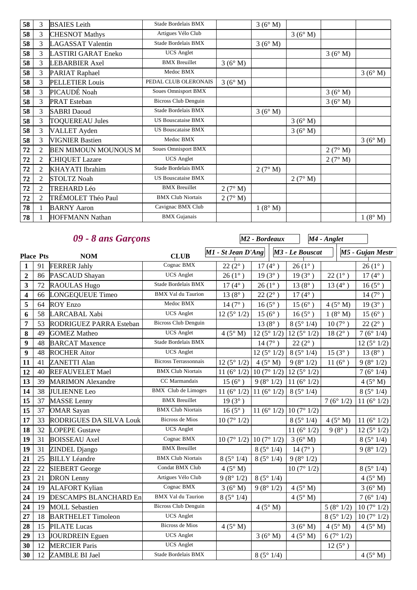| 58 | 3              | <b>BSAIES</b> Leith         | Stade Bordelais BMX         |         | 3(6° M) |         |         |         |
|----|----------------|-----------------------------|-----------------------------|---------|---------|---------|---------|---------|
| 58 | 3              | <b>CHESNOT Mathys</b>       | Artigues Vélo Club          |         |         | 3(6° M) |         |         |
| 58 | 3              | <b>LAGASSAT Valentin</b>    | Stade Bordelais BMX         |         | 3(6° M) |         |         |         |
| 58 | 3              | LASTIRI GARAT Eneko         | <b>UCS</b> Anglet           |         |         |         | 3(6° M) |         |
| 58 | 3              | <b>LEBARBIER Axel</b>       | <b>BMX</b> Breuillet        | 3(6° M) |         |         |         |         |
| 58 | 3              | <b>PARIAT Raphael</b>       | Medoc BMX                   |         |         |         |         | 3(6° M) |
| 58 | 3              | <b>PELLETIER Louis</b>      | PEDAL CLUB OLERONAIS        | 3(6° M) |         |         |         |         |
| 58 | 3              | PICAUDÉ Noah                | Soues Omnisport BMX         |         |         |         | 3(6° M) |         |
| 58 | 3              | <b>PRAT</b> Esteban         | <b>Bicross Club Denguin</b> |         |         |         | 3(6° M) |         |
| 58 | 3              | <b>SABRI</b> Daoud          | Stade Bordelais BMX         |         | 3(6° M) |         |         |         |
| 58 | 3              | <b>TOQUEREAU Jules</b>      | <b>US Bouscataise BMX</b>   |         |         | 3(6° M) |         |         |
| 58 | 3              | <b>VALLET</b> Ayden         | <b>US Bouscataise BMX</b>   |         |         | 3(6° M) |         |         |
| 58 | 3              | <b>VIGNIER Bastien</b>      | Medoc BMX                   |         |         |         |         | 3(6° M) |
| 72 | $\overline{2}$ | <b>BEN MIMOUN MOUNOUS M</b> | Soues Omnisport BMX         |         |         |         | 2(7° M) |         |
| 72 | $\overline{2}$ | <b>CHIQUET Lazare</b>       | <b>UCS</b> Anglet           |         |         |         | 2(7° M) |         |
| 72 | 2              | <b>KHAYATI</b> Ibrahim      | Stade Bordelais BMX         |         | 2(7° M) |         |         |         |
| 72 | 2              | <b>STOLTZ Noah</b>          | <b>US Bouscataise BMX</b>   |         |         | 2(7° M) |         |         |
| 72 | $\overline{2}$ | <b>TREHARD Léo</b>          | <b>BMX</b> Breuillet        | 2(7° M) |         |         |         |         |
| 72 | $\overline{2}$ | TRÉMOLET Théo Paul          | <b>BMX Club Niortais</b>    | 2(7° M) |         |         |         |         |
| 78 | 1              | <b>BARNY</b> Aaron          | Cavignac BMX Club           |         | 1(8° M) |         |         |         |
| 78 |                | <b>HOFFMANN Nathan</b>      | <b>BMX</b> Gujanais         |         |         |         |         | 1(8° M) |

|                         |                  | 09 - 8 ans Garçons             |                              |                      | M <sub>2</sub> - Bordeaux                                            |                      | M4 - Anglet     |                  |
|-------------------------|------------------|--------------------------------|------------------------------|----------------------|----------------------------------------------------------------------|----------------------|-----------------|------------------|
|                         | <b>Place Pts</b> | <b>NOM</b>                     | <b>CLUB</b>                  | M1 - St Jean D'Ang   |                                                                      | M3 - Le Bouscat      |                 | M5 - Gujan Mestr |
| $\mathbf{1}$            | 91               | <b>FERRER Jahly</b>            | Cognac BMX                   | $22(2^{\circ})$      | $17(4^{\circ})$                                                      | $26(1^{\circ})$      |                 | $26(1^{\circ})$  |
| $\overline{2}$          | 86               | PASCAUD Shayan                 | <b>UCS</b> Anglet            | $26(1^{\circ})$      | $19(3^{\circ})$                                                      | $19(3^{\circ})$      | $22(1^{\circ})$ | $17(4^{\circ})$  |
| $\overline{\mathbf{3}}$ | 72               | <b>RAOULAS Hugo</b>            | Stade Bordelais BMX          | $17(4^{\circ})$      | $26(1^{\circ})$                                                      | $13(8^{\circ})$      | $13(4^{\circ})$ | $16(5^{\circ})$  |
| $\overline{\mathbf{4}}$ | 66               | <b>LONGEQUEUE Timeo</b>        | <b>BMX Val du Taurion</b>    | $13(8^{\circ})$      | $22(2^{\circ})$                                                      | $17(4^{\circ})$      |                 | $14(7^{\circ})$  |
| 5                       | 64               | <b>ROY Enzo</b>                | Medoc BMX                    | $14(7^{\circ})$      | $16(5^{\circ})$                                                      | $15(6^{\circ})$      | $4(5^\circ M)$  | $19(3^{\circ})$  |
| 6                       | 58               | LARCABAL Xabi                  | <b>UCS</b> Anglet            | 12(5°1/2)            | $15(6^{\circ})$                                                      | $16(5^{\circ})$      | $1(8^\circ M)$  | $15(6^{\circ})$  |
| $\overline{7}$          | 53               | RODRIGUEZ PARRA Esteban        | <b>Bicross Club Denguin</b>  |                      | $13(8^{\circ})$                                                      | 8(5°1/4)             | $10(7^{\circ})$ | $22(2^{\circ})$  |
| 8                       | 49               | <b>GOMEZ Matheo</b>            | <b>UCS</b> Anglet            | 4(5° M)              | $12(5^{\circ}1/2)$ 12 (5 <sup>\cott</sup> ) 12 (5 <sup>\cott</sup> ) |                      | $18(2^{\circ})$ | 7(6°1/4)         |
| 9                       | 48               | <b>BARCAT Maxence</b>          | Stade Bordelais BMX          |                      | $14(7^{\circ})$                                                      | $22(2^{\circ})$      |                 | 12(5°1/2)        |
| 9                       | 48               | <b>ROCHER Aitor</b>            | <b>UCS</b> Anglet            |                      | 12(5°1/2)                                                            | 8(5°1/4)             | $15(3^{\circ})$ | $13(8^{\circ})$  |
| 11                      | 41               | <b>ZANETTI Alan</b>            | <b>Bicross Terrassonnais</b> | 12(5°1/2)            | $4(5^\circ M)$                                                       | 9(8°1/2)             | $11(6^{\circ})$ | 9(8°1/2)         |
| 12                      | 40               | <b>REFAUVELET Mael</b>         | <b>BMX Club Niortais</b>     | 11 $(6^{\circ} 1/2)$ | 10(7°1/2)                                                            | 12(5°1/2)            |                 | 7(6°1/4)         |
| 13                      | 39               | <b>MARIMON Alexandre</b>       | CC Marmandais                | $15(6^{\circ})$      | 9(8°1/2)                                                             | 11 $(6° 1/2)$        |                 | $4(5^\circ M)$   |
| 14                      | 38               | <b>JULIENNE</b> Leo            | <b>BMX</b> Club de Limoges   |                      | 11 (6° 1/2)   11 (6° 1/2)                                            | 8(5°1/4)             |                 | 8(5°1/4)         |
| 15                      | 37               | <b>MASSE</b> Lenny             | <b>BMX</b> Breuillet         | $19(3^{\circ})$      |                                                                      |                      | 7(6°1/2)        | 11 $(6° 1/2)$    |
| 15                      | 37               | <b>OMAR Sayan</b>              | <b>BMX Club Niortais</b>     | $16(5^{\circ})$      | 11 (6° 1/2) 10 (7° 1/2)                                              |                      |                 |                  |
| 17                      | 33               | <b>RODRIGUES DA SILVA Louk</b> | <b>Bicross de Mios</b>       | 10(7°1/2)            |                                                                      | 8(5°1/4)             | $4(5^\circ M)$  | 11 $(6° 1/2)$    |
| 18                      | 32               | <b>LOPEPE Gustave</b>          | <b>UCS</b> Anglet            |                      |                                                                      | 11 $(6^{\circ} 1/2)$ | $9(8^{\circ})$  | 12(5°1/2)        |
| 19                      | 31               | <b>BOISSEAU</b> Axel           | Cognac BMX                   |                      | $10(7^{\circ} 1/2)$ 10 (7° 1/2)                                      | 3(6°M)               |                 | 8(5°1/4)         |
| 19                      | 31               | ZINDEL Django                  | <b>BMX</b> Breuillet         |                      | 8(5°1/4)                                                             | $14(7^{\circ})$      |                 | 9(8°1/2)         |
| 21                      | 25               | <b>BILLY Léandre</b>           | <b>BMX Club Niortais</b>     | 8(5°1/4)             | 8(5°1/4)                                                             | 9(8°1/2)             |                 |                  |
| 22                      | 22               | <b>SIEBERT</b> George          | Condat BMX Club              | $4(5^\circ M)$       |                                                                      | 10(7°1/2)            |                 | 8(5°1/4)         |
| 23                      | 21               | <b>DRON</b> Lenny              | Artigues Vélo Club           | 9(8°1/2)             | 8(5°1/4)                                                             |                      |                 | 4(5° M)          |
| 24                      | 19               | <b>ALAFORT Kylian</b>          | Cognac BMX                   | 3(6°M)               | 9(8°1/2)                                                             | 4(5° M)              |                 | 3(6° M)          |
| 24                      | 19               | <b>DESCAMPS BLANCHARD En</b>   | <b>BMX Val du Taurion</b>    | 8(5°1/4)             |                                                                      | 4(5° M)              |                 | 7(6°1/4)         |
| 24                      | 19               | <b>MOLL Sebastien</b>          | Bicross Club Denguin         |                      | 4(5° M)                                                              |                      | 5(8°1/2)        | 10(7°1/2)        |
| 27                      | 18               | <b>BARTHELET Timoleon</b>      | <b>UCS</b> Anglet            |                      |                                                                      |                      | 8(5°1/2)        | 10(7°1/2)        |
| 28                      | 15               | <b>PILATE</b> Lucas            | <b>Bicross de Mios</b>       | 4(5° M)              |                                                                      | 3(6°M)               | 4(5° M)         | 4(5° M)          |
| 29                      | 13               | JOURDREIN Eguen                | <b>UCS</b> Anglet            |                      | 3(6°M)                                                               | 4(5° M)              | 6(7°1/2)        |                  |
| 30                      | 12               | <b>MERCIER Paris</b>           | <b>UCS</b> Anglet            |                      |                                                                      |                      | $12(5^{\circ})$ |                  |
| 30                      | 12               | ZAMBLE BI Jael                 | Stade Bordelais BMX          |                      | 8(5°1/4)                                                             |                      |                 | 4(5° M)          |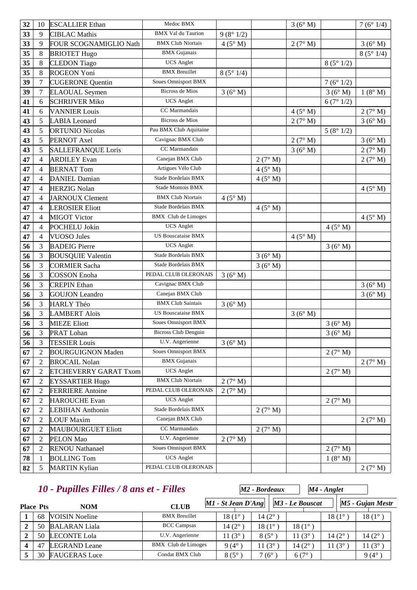| 32 | 10             | <b>ESCALLIER Ethan</b>    | Medoc BMX                                     |                |                | 3(6° M) |                  | 7(6°1/4)       |
|----|----------------|---------------------------|-----------------------------------------------|----------------|----------------|---------|------------------|----------------|
| 33 | 9              | <b>CIBLAC Mathis</b>      | <b>BMX</b> Val du Taurion                     | 9(8°1/2)       |                |         |                  |                |
| 33 | 9              | FOUR SCOGNAMIGLIO Nath    | <b>BMX Club Niortais</b>                      | 4(5° M)        |                | 2(7° M) |                  | 3(6° M)        |
| 35 | 8              | <b>BRIOTET Hugo</b>       | <b>BMX</b> Gujanais                           |                |                |         |                  | 8(5°1/4)       |
| 35 | 8              | <b>CLEDON</b> Tiago       | <b>UCS</b> Anglet                             |                |                |         | 8(5°1/2)         |                |
| 35 | 8              | <b>ROGEON Yoni</b>        | <b>BMX</b> Breuillet                          | 8(5°1/4)       |                |         |                  |                |
| 39 | $\tau$         | <b>CUGERONE Quentin</b>   | Soues Omnisport BMX                           |                |                |         | 7(6°1/2)         |                |
| 39 | $\tau$         | <b>ELAOUAL</b> Seymen     | <b>Bicross de Mios</b>                        | 3(6°M)         |                |         | 3(6°M)           | 1(8° M)        |
| 41 | 6              | <b>SCHRIJVER Miko</b>     | <b>UCS</b> Anglet                             |                |                |         | 6(7°1/2)         |                |
| 41 | 6              | <b>VANNIER Louis</b>      | CC Marmandais                                 |                |                | 4(5° M) |                  | 2(7° M)        |
| 43 | 5              | <b>LABIA</b> Leonard      | Bicross de Mios                               |                |                | 2(7° M) |                  | 3(6° M)        |
| 43 | 5              | <b>ORTUNIO Nicolas</b>    | Pau BMX Club Aquitaine                        |                |                |         | 5(8°1/2)         |                |
| 43 | 5              | PERNOT Axel               | Cavignac BMX Club                             |                |                | 2(7° M) |                  | 3(6° M)        |
| 43 | 5              | <b>SALLEFRANQUE Loris</b> | CC Marmandais                                 |                |                | 3(6° M) |                  | 2(7° M)        |
| 47 | $\overline{4}$ | <b>ARDILEY Evan</b>       | Canejan BMX Club                              |                | 2(7° M)        |         |                  | 2(7° M)        |
| 47 | $\overline{4}$ | <b>BERNAT Tom</b>         | Artigues Vélo Club                            |                | $4(5^\circ M)$ |         |                  |                |
| 47 | $\overline{4}$ | <b>DANIEL Damian</b>      | Stade Bordelais BMX                           |                | 4(5° M)        |         |                  |                |
| 47 | $\overline{4}$ | <b>HERZIG Nolan</b>       | Stade Montois BMX                             |                |                |         |                  | $4(5^\circ M)$ |
| 47 | $\overline{4}$ | <b>JARNOUX Clement</b>    | <b>BMX Club Niortais</b>                      | $4(5^\circ M)$ |                |         |                  |                |
| 47 | $\overline{4}$ | <b>LEROSIER Eliott</b>    | Stade Bordelais BMX                           |                | 4(5° M)        |         |                  |                |
| 47 | $\overline{4}$ | <b>MIGOT Victor</b>       | <b>BMX</b> Club de Limoges                    |                |                |         |                  | $4(5^\circ M)$ |
| 47 | $\overline{4}$ | POCHELU Jokin             | <b>UCS</b> Anglet                             |                |                |         | 4(5° M)          |                |
| 47 | $\overline{4}$ | <b>VUOSO Jules</b>        | <b>US Bouscataise BMX</b>                     |                |                | 4(5° M) |                  |                |
| 56 | 3              | <b>BADEIG</b> Pierre      | <b>UCS</b> Anglet                             |                |                |         | 3(6°M)           |                |
| 56 | 3              | <b>BOUSQUIE Valentin</b>  | Stade Bordelais BMX                           |                | 3(6° M)        |         |                  |                |
| 56 | 3              | <b>CORMIER Sacha</b>      | Stade Bordelais BMX                           |                | 3(6°M)         |         |                  |                |
| 56 | 3              | <b>COSSON Enoha</b>       | PEDAL CLUB OLERONAIS                          | 3(6° M)        |                |         |                  |                |
| 56 | 3              | <b>CREPIN Ethan</b>       | Cavignac BMX Club                             |                |                |         |                  | 3(6° M)        |
| 56 | 3              | <b>GOUJON</b> Leandro     | Canejan BMX Club                              |                |                |         |                  | 3(6° M)        |
| 56 | 3              | <b>HARLY Théo</b>         | <b>BMX Club Saintais</b>                      | 3(6° M)        |                |         |                  |                |
| 56 | 3              | <b>LAMBERT Aloïs</b>      | <b>US Bouscataise BMX</b>                     |                |                | 3(6°M)  |                  |                |
| 56 | $\mathfrak{Z}$ | <b>MIEZE Eliott</b>       | <b>Soues Omnisport BMX</b>                    |                |                |         | 3(6° M)          |                |
| 56 | $\mathfrak{Z}$ | PRAT Lohan                | <b>Bicross Club Denguin</b>                   |                |                |         | $3(6^{\circ} M)$ |                |
| 56 | 3              | <b>TESSIER Louis</b>      | U.V. Angerienne                               | 3(6° M)        |                |         |                  |                |
| 67 | $\overline{2}$ | <b>BOURGUIGNON Maden</b>  | <b>Soues Omnisport BMX</b>                    |                |                |         | 2(7° M)          |                |
| 67 | $\sqrt{2}$     | <b>BROCAIL Nolan</b>      | <b>BMX</b> Gujanais                           |                |                |         |                  | 2(7° M)        |
| 67 | $\overline{2}$ | ETCHEVERRY GARAT Txom     | <b>UCS</b> Anglet<br><b>BMX Club Niortais</b> |                |                |         | 2(7° M)          |                |
| 67 | $\overline{2}$ | <b>EYSSARTIER Hugo</b>    |                                               | 2(7° M)        |                |         |                  |                |
| 67 | $\overline{2}$ | <b>FERRIERE</b> Antoine   | PEDAL CLUB OLERONAIS                          | 2(7° M)        |                |         |                  |                |
| 67 | $\overline{2}$ | <b>HAROUCHE</b> Evan      | <b>UCS</b> Anglet                             |                |                |         | 2(7° M)          |                |
| 67 | $\overline{2}$ | <b>LEBIHAN Anthonin</b>   | Stade Bordelais BMX                           |                | 2(7° M)        |         |                  |                |
| 67 | $\sqrt{2}$     | <b>LOUF Maxim</b>         | Canejan BMX Club                              |                |                |         |                  | 2(7° M)        |
| 67 | $\overline{2}$ | <b>MAUBOURGUET Eliott</b> | CC Marmandais                                 |                | 2(7° M)        |         |                  |                |
| 67 | $\overline{2}$ | PELON Mao                 | U.V. Angerienne<br><b>Soues Omnisport BMX</b> | 2(7° M)        |                |         |                  |                |
| 67 | $\overline{2}$ | <b>RENOU Nathanael</b>    |                                               |                |                |         | 2(7° M)          |                |
| 78 | 1              | <b>BOLLING Tom</b>        | <b>UCS</b> Anglet                             |                |                |         | 1(8° M)          |                |
| 82 | 5              | <b>MARTIN Kylian</b>      | PEDAL CLUB OLERONAIS                          |                |                |         |                  | 2(7° M)        |

|                  | 10 - Pupilles Filles / 8 ans et - Filles |                      |                      | M2 - Bordeaux   |                    | $M4$ - Anglet   |                  |  |
|------------------|------------------------------------------|----------------------|----------------------|-----------------|--------------------|-----------------|------------------|--|
| <b>Place Pts</b> | <b>NOM</b>                               | <b>CLUB</b>          | $MI - St Jean D'Ang$ |                 | M3 - Le Bouscat    |                 | M5 - Gujan Mestr |  |
| 68               | <b>VOISIN</b> Noeline                    | <b>BMX</b> Breuillet | 18 (1°               | $14(2^{\circ})$ |                    | $18(1^{\circ})$ | 18 (1°)          |  |
| 50               | <b>BALARAN</b> Liala                     | <b>BCC Campsas</b>   | 14 $(2^{\circ})$     | $18(1^{\circ})$ | $18(1^{\circ})$    |                 |                  |  |
| 50               | <b>LECONTE Lola</b>                      | U.V. Angerienne      | 11 $(3^\circ)$       | $8(5^\circ)$    | 11 $(3^{\circ}$    | $14(2^{\circ})$ | $14(2^{\circ})$  |  |
| 47               | <b>LEGRAND</b> Leane                     | BMX Club de Limoges  | $9(4^{\circ}$        | $1(3^\circ)$    | 14 (2 $^{\circ}$ ) | 11 $(3^{\circ}$ | 11 $(3^{\circ})$ |  |
| 30               | <b>FAUGERAS</b> Luce                     | Condat BMX Club      | $8(5^\circ$          | $7(6^{\circ})$  | $6(7^{\circ})$     |                 | $9(4^\circ)$     |  |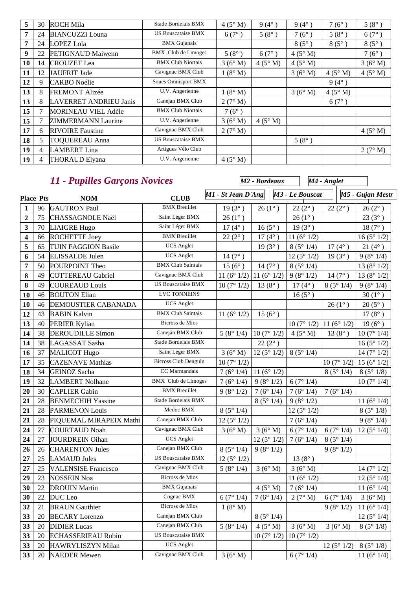| 5  | 30             | <b>ROCH Mila</b>              | Stade Bordelais BMX        | 4(5° M)        | $9(4^{\circ})$ | $9(4^{\circ})$ | $7(6^\circ$    | $5(8^{\circ})$ |
|----|----------------|-------------------------------|----------------------------|----------------|----------------|----------------|----------------|----------------|
|    | 24             | <b>BIANCUZZI</b> Louna        | <b>US Bouscataise BMX</b>  | $6(7^{\circ})$ | $5(8^{\circ})$ | $7(6^{\circ})$ | $5(8^\circ)$   | $6(7^{\circ})$ |
| 7  | 24             | <b>LOPEZ Lola</b>             | <b>BMX</b> Gujanais        |                |                | $8(5^\circ)$   | $8(5^\circ)$   | $8(5^\circ)$   |
| 9  | 22             | <b>PETIGNAUD Maiwenn</b>      | BMX Club de Limoges        | $5(8^{\circ})$ | $6(7^{\circ})$ | $4(5^\circ M)$ |                | $7(6^{\circ})$ |
| 10 | 14             | <b>CROUZET</b> Lea            | <b>BMX Club Niortais</b>   | 3(6° M)        | $4(5^\circ M)$ | $4(5^\circ M)$ |                | 3(6° M)        |
| 11 | 12             | JAUFRIT Jade                  | Cavignac BMX Club          | 1(8° M)        |                | 3(6° M)        | $4(5^\circ M)$ | 4(5° M)        |
| 12 | 9              | <b>CARBO</b> Noélie           | <b>Soues Omnisport BMX</b> |                |                |                | $9(4^{\circ})$ |                |
| 13 | 8              | <b>FREMONT Alizée</b>         | U.V. Angerienne            | 1(8° M)        |                | 3(6° M)        | $4(5^\circ M)$ |                |
| 13 | 8              | <b>LAVERRET ANDRIEU Janis</b> | Canejan BMX Club           | 2(7° M)        |                |                | $6(7^{\circ})$ |                |
| 15 |                | <b>MORINEAU VIEL Adèle</b>    | <b>BMX Club Niortais</b>   | $7(6^{\circ})$ |                |                |                |                |
| 15 | 7              | <b>ZIMMERMANN Laurine</b>     | U.V. Angerienne            | 3(6° M)        | $4(5^\circ M)$ |                |                |                |
| 17 | 6              | <b>RIVOIRE</b> Faustine       | Cavignac BMX Club          | 2(7° M)        |                |                |                | $4(5^\circ M)$ |
| 18 | 5              | <b>TOQUEREAU Anna</b>         | <b>US Bouscataise BMX</b>  |                |                | $5(8^{\circ})$ |                |                |
| 19 | $\overline{4}$ | <b>LAMBERT</b> Lina           | Artigues Vélo Club         |                |                |                |                | 2(7° M)        |
| 19 | 4              | <b>THORAUD Elyana</b>         | U.V. Angerienne            | 4(5° M)        |                |                |                |                |

|                         |        | 11 - Pupilles Garçons Novices |                             |                      | M <sub>2</sub> - Bordeaux |                      | M4 - Anglet           |                       |
|-------------------------|--------|-------------------------------|-----------------------------|----------------------|---------------------------|----------------------|-----------------------|-----------------------|
| <b>Place Pts</b>        |        | <b>NOM</b>                    | <b>CLUB</b>                 | M1 - St Jean D'Ang   |                           | M3 - Le Bouscat      |                       | M5 - Gujan Mestr      |
| $\mathbf{1}$            | 96     | <b>GAUTRON Paul</b>           | <b>BMX</b> Breuillet        | $19(3^{\circ})$      | $26(1^{\circ})$           | $22(2^{\circ})$      | $22(2^{\circ})$       | $26(2^{\circ})$       |
| $\boldsymbol{2}$        | 75     | CHASSAGNOLE Naël              | Saint Léger BMX             | $26(1^{\circ})$      |                           | $26(1^{\circ})$      |                       | $23(3^{\circ})$       |
| 3                       | 70     | <b>LIAIGRE Hugo</b>           | Saint Léger BMX             | $17(4^{\circ})$      | $16(5^{\circ})$           | $19(3^{\circ})$      |                       | $18(7^{\circ})$       |
| $\overline{\mathbf{4}}$ | 66     | <b>ROCHETTE Joey</b>          | <b>BMX</b> Breuillet        | $22(2^{\circ})$      | $17(4^{\circ})$           | 11 $(6^{\circ} 1/2)$ |                       | 16(5°1/2)             |
| 5                       | 65     | <b>TUIN FAGGION Basile</b>    | <b>UCS</b> Anglet           |                      | $19(3^{\circ})$           | 8(5°1/4)             | $17(4^{\circ})$       | $21(4^{\circ})$       |
| 6                       | 54     | <b>ELISSALDE Julen</b>        | <b>UCS</b> Anglet           | $14(7^{\circ})$      |                           | 12(5°1/2)            | $19(3^{\circ})$       | 9(8°1/4)              |
| 7                       | 50     | POURPOINT Theo                | <b>BMX Club Saintais</b>    | $15(6^{\circ})$      | $14(7^{\circ})$           | 8(5°1/4)             |                       | 13 ( $8^{\circ}$ 1/2) |
| 8                       | 49     | <b>COTTEREAU Gabriel</b>      | Cavignac BMX Club           | 11 $(6^{\circ} 1/2)$ | 11 $(6° 1/2)$             | 9(8°1/2)             | $14(7^{\circ})$       | 13 ( $8^{\circ}$ 1/2) |
| 8                       | 49     | <b>COUREAUD</b> Louis         | <b>US Bouscataise BMX</b>   | 10(7°1/2)            | $13(8^{\circ})$           | $17(4^{\circ})$      | 8(5°1/4)              | 9(8°1/4)              |
| 10                      | 46     | <b>BOUTON Elian</b>           | LVC TONNEINS                |                      |                           | $16(5^{\circ})$      |                       | $30(1^{\circ})$       |
| 10                      | 46     | <b>DEMOUSTIER CABANADA</b>    | <b>UCS</b> Anglet           |                      |                           |                      | $26(1^{\circ})$       | $20(5^{\circ})$       |
| 12                      | 43     | <b>BABIN Kalvin</b>           | <b>BMX Club Saintais</b>    | 11 $(6° 1/2)$        | $15(6^{\circ})$           |                      |                       | $17(8^{\circ})$       |
| 13                      | 40     | <b>PERIER Kylian</b>          | <b>Bicross de Mios</b>      |                      |                           | 10(7°1/2)            | 11 ( $6^{\circ}$ 1/2) | $19(6^{\circ})$       |
| 14                      | 38     | <b>DEROUDILLE Simon</b>       | Canejan BMX Club            | 5(8°1/4)             | 10(7°1/2)                 | $4(5^\circ M)$       | $13(8^{\circ})$       | 10(7°1/4)             |
| 14                      | 38     | LAGASSAT Sasha                | Stade Bordelais BMX         |                      | $22(2^{\circ})$           |                      |                       | 16(5°1/2)             |
| 16                      | 37     | <b>MALICOT Hugo</b>           | Saint Léger BMX             | 3(6°M)               | $12(5^{\circ}1/2)$        | 8(5°1/4)             |                       | 14 $(7° 1/2)$         |
| 17                      | 35     | <b>CAZENAVE Mathias</b>       | <b>Bicross Club Denguin</b> | 10(7°1/2)            |                           |                      | 10(7°1/2)             | 15 ( $6^{\circ}$ 1/2) |
| 18                      | 34     | <b>GEINOZ</b> Sacha           | CC Marmandais               | 7(6°1/4)             | 11 $(6° 1/2)$             |                      | 8(5°1/4)              | 8(5°1/8)              |
| 19                      | 32     | <b>LAMBERT Nolhane</b>        | <b>BMX</b> Club de Limoges  | 7(6°1/4)             | 9(8°1/2)                  | 6(7°1/4)             |                       | 10(7°1/4)             |
| 20                      | 30     | <b>CAPLIER Gabin</b>          | <b>BMX</b> Breuillet        | 9(8°1/2)             | 7 ( $6^{\circ}$ 1/4)      | 7(6°1/4)             | 7 ( $6^{\circ}$ 1/4)  |                       |
| 21                      | 28     | <b>BENMECHIH Yassine</b>      | Stade Bordelais BMX         |                      | 8(5°1/4)                  | 9(8°1/2)             |                       | 11 $(6^{\circ} 1/4)$  |
| 21                      | 28     | <b>PARMENON Louis</b>         | Medoc BMX                   | 8(5°1/4)             |                           | 12(5°1/2)            |                       | 8(5°1/8)              |
| 21                      | 28     | PIQUEMAL MIRAPEIX Mathi       | Canejan BMX Club            | 12(5°1/2)            |                           | 7(6°1/4)             |                       | 9(8°1/4)              |
| 24                      | 27     | <b>COURTAUD Noah</b>          | Cavignac BMX Club           | 3(6°M)               | 3(6°M)                    | 6(7°1/4)             | 6(7°1/4)              | 12 ( $5^{\circ}$ 1/4) |
| 24                      | 27     | JOURDREIN Oihan               | <b>UCS</b> Anglet           |                      | 12(5°1/2)                 | 7(6°1/4)             | 8(5°1/4)              |                       |
| 26                      | 26     | <b>CHARENTON Jules</b>        | Canejan BMX Club            | 8(5°1/4)             | 9(8°1/2)                  |                      | 9(8°1/2)              |                       |
| 27                      | 25     | <b>LAMAUD Jules</b>           | <b>US Bouscataise BMX</b>   | 12(5°1/2)            |                           | $13(8^{\circ})$      |                       |                       |
| 27                      | 25     | <b>VALENSISE Francesco</b>    | Cavignac BMX Club           | 5(8°1/4)             | 3(6° M)                   | 3(6°M)               |                       | 14 ( $7^{\circ}$ 1/2) |
| 29                      | 23     | <b>NOSSEIN Noa</b>            | <b>Bicross de Mios</b>      |                      |                           | 11 $(6^{\circ} 1/2)$ |                       | 12(5°1/4)             |
| 30                      | $22\,$ | <b>DROUIN Martin</b>          | $\rm BMX$ Gujanais          |                      | $4(5^\circ M)$            | 7(6°1/4)             |                       | 11(6°1/4)             |
| 30                      | 22     | DUC Leo                       | Cognac BMX                  | 6(7°1/4)             | 7(6°1/4)                  | 2(7° M)              | 6(7°1/4)              | 3(6° M)               |
| 32                      | 21     | <b>BRAUN</b> Gauthier         | Bicross de Mios             | 1(8° M)              |                           |                      | 9(8°1/2)              | 11 $(6°1/4)$          |
| 33                      | 20     | <b>BECARY</b> Lorenzo         | Canejan BMX Club            |                      | 8(5°1/4)                  |                      |                       | 12(5°1/4)             |
| 33                      | 20     | <b>DIDIER</b> Lucas           | Canejan BMX Club            | 5(8°1/4)             | 4(5° M)                   | 3(6° M)              | 3(6°M)                | 8(5°1/8)              |
| 33                      | 20     | <b>ECHASSERIEAU Robin</b>     | <b>US Bouscataise BMX</b>   |                      | 10(7°1/2)                 | 10(7°1/2)            |                       |                       |
| 33                      | 20     | HAWRYLISZYN Milan             | <b>UCS</b> Anglet           |                      |                           |                      | 12(5°1/2)             | 8(5°1/8)              |
| 33                      | 20     | <b>NAEDER Mewen</b>           | Cavignac BMX Club           | 3(6°M)               |                           | 6(7°1/4)             |                       | 11 $(6^{\circ} 1/4)$  |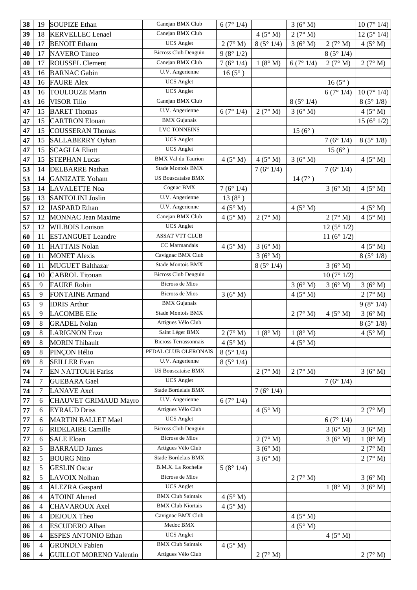| 38 | 19             | <b>SOUPIZE Ethan</b>         | Canejan BMX Club             | 6(7°1/4)                            |          | 3(6° M)                          |                 | 10(7°1/4)             |
|----|----------------|------------------------------|------------------------------|-------------------------------------|----------|----------------------------------|-----------------|-----------------------|
| 39 | 18             | <b>KERVELLEC</b> Lenael      | Canejan BMX Club             |                                     | 4(5° M)  | 2(7° M)                          |                 | 12(5°1/4)             |
| 40 | 17             | <b>BENOIT Ethann</b>         | <b>UCS</b> Anglet            | 2(7° M)                             | 8(5°1/4) | 3(6° M)                          | 2(7° M)         | $4(5^\circ M)$        |
| 40 | 17             | <b>NAVERO</b> Timeo          | <b>Bicross Club Denguin</b>  | 9(8°1/2)                            |          |                                  | 8(5°1/4)        |                       |
| 40 | 17             | ROUSSEL Clement              | Canejan BMX Club             | 7(6°1/4)                            | 1(8° M)  | 6(7°1/4)                         | 2(7° M)         | 2(7° M)               |
| 43 | 16             | <b>BARNAC Gabin</b>          | U.V. Angerienne              | $16(5^{\circ})$                     |          |                                  |                 |                       |
| 43 | 16             | <b>FAURE Alex</b>            | <b>UCS</b> Anglet            |                                     |          |                                  | $16(5^{\circ})$ |                       |
| 43 | 16             | <b>TOULOUZE Marin</b>        | <b>UCS</b> Anglet            |                                     |          |                                  | 6(7°1/4)        | 10(7°1/4)             |
| 43 | 16             | <b>VISOR Tilio</b>           | Canejan BMX Club             |                                     |          | 8(5°1/4)                         |                 | 8(5°1/8)              |
| 47 | 15             | <b>BARET</b> Thomas          | U.V. Angerienne              | 6(7°1/4)                            | 2(7° M)  | 3(6° M)                          |                 | $4(5^\circ M)$        |
| 47 | 15             | <b>CARTRON Elouan</b>        | <b>BMX</b> Gujanais          |                                     |          |                                  |                 | 15 ( $6^{\circ}$ 1/2) |
| 47 | 15             | <b>COUSSERAN Thomas</b>      | LVC TONNEINS                 |                                     |          | $15(6^{\circ})$                  |                 |                       |
| 47 | 15             | <b>SALLABERRY</b> Oyhan      | <b>UCS</b> Anglet            |                                     |          |                                  | 7(6°1/4)        | 8(5°1/8)              |
| 47 | 15             | <b>SCAGLIA Eliott</b>        | <b>UCS</b> Anglet            |                                     |          |                                  | $15(6^{\circ})$ |                       |
| 47 | 15             | <b>STEPHAN Lucas</b>         | <b>BMX</b> Val du Taurion    | 4(5° M)                             | 4(5° M)  | 3(6° M)                          |                 | 4(5° M)               |
| 53 | 14             | <b>DELBARRE Nathan</b>       | Stade Montois BMX            |                                     | 7(6°1/4) |                                  | 7(6°1/4)        |                       |
| 53 | 14             | <b>GANIZATE Yoham</b>        | <b>US Bouscataise BMX</b>    |                                     |          | $14(7^{\circ})$                  |                 |                       |
| 53 | 14             | <b>LAVALETTE Noa</b>         | Cognac BMX                   | 7(6°1/4)                            |          |                                  | 3(6°M)          | $4(5^\circ M)$        |
| 56 | 13             | <b>SANTOLINI Joslin</b>      | U.V. Angerienne              | $13(8^{\circ})$                     |          |                                  |                 |                       |
| 57 | 12             | JASPARD Ethan                | U.V. Angerienne              | 4(5° M)                             |          | 4(5° M)                          |                 | 4(5° M)               |
| 57 | 12             | <b>MONNAC Jean Maxime</b>    | Canejan BMX Club             | $4(5^\circ M)$                      | 2(7° M)  |                                  | 2(7° M)         | $4(5^\circ M)$        |
| 57 | 12             | <b>WILBOIS Louison</b>       | <b>UCS</b> Anglet            |                                     |          |                                  | 12(5°1/2)       |                       |
| 60 | 11             | <b>ESTANGUET Leandre</b>     | <b>ASSAT VTT CLUB</b>        |                                     |          |                                  | 11 $(6° 1/2)$   |                       |
| 60 | 11             | <b>HATTAIS Nolan</b>         | CC Marmandais                | 4(5° M)                             | 3(6°M)   |                                  |                 | $4(5^\circ M)$        |
| 60 | 11             | <b>MONET Alexis</b>          | Cavignac BMX Club            |                                     | 3(6° M)  |                                  |                 | 8(5°1/8)              |
| 60 | 11             | <b>MUGUET Balthazar</b>      | Stade Montois BMX            |                                     | 8(5°1/4) |                                  | 3(6° M)         |                       |
| 64 | 10             | <b>CABROL Titouan</b>        | <b>Bicross Club Denguin</b>  |                                     |          |                                  | 10(7°1/2)       |                       |
| 65 | 9              | <b>FAURE Robin</b>           | <b>Bicross de Mios</b>       |                                     |          | 3(6° M)                          | 3(6°M)          | 3(6° M)               |
|    |                |                              |                              |                                     |          |                                  |                 |                       |
| 65 | 9              | <b>FONTAINE Armand</b>       | <b>Bicross de Mios</b>       | 3(6°M)                              |          | $4(5^\circ M)$                   |                 |                       |
| 65 | 9              | <b>IDRIS Arthur</b>          | <b>BMX</b> Gujanais          |                                     |          |                                  |                 | 2(7° M)<br>9(8°1/4)   |
| 65 | 9              | <b>LACOMBE Elie</b>          | Stade Montois BMX            |                                     |          | 2(7° M)                          | $4(5^\circ M)$  | 3(6° M)               |
| 69 | $8\phantom{1}$ | <b>GRADEL Nolan</b>          | Artigues Vélo Club           |                                     |          |                                  |                 | 8(5°1/8)              |
| 69 | $8\,$          | <b>LARIGNON Enzo</b>         | Saint Léger BMX              |                                     | 1(8° M)  |                                  |                 | $4(5^\circ M)$        |
| 69 | 8              | <b>MORIN Thibault</b>        | <b>Bicross Terrassonnais</b> | $2\ (7^\circ\ M)$<br>$4(5^\circ M)$ |          | $1(8^\circ M)$<br>$4(5^\circ M)$ |                 |                       |
| 69 | 8              | PINÇON Hélio                 | PEDAL CLUB OLERONAIS         | 8(5°1/4)                            |          |                                  |                 |                       |
| 69 | 8              | <b>SEILLER Evan</b>          | U.V. Angerienne              | 8(5°1/4)                            |          |                                  |                 |                       |
| 74 | $\tau$         | <b>EN NATTOUH Fariss</b>     | <b>US Bouscataise BMX</b>    |                                     | 2(7° M)  | 2(7° M)                          |                 | 3(6°M)                |
| 74 | 7              | <b>GUEBARA</b> Gael          | <b>UCS</b> Anglet            |                                     |          |                                  | 7(6°1/4)        |                       |
| 74 | $\overline{7}$ | <b>LANAVE</b> Axel           | Stade Bordelais BMX          |                                     | 7(6°1/4) |                                  |                 |                       |
| 77 | 6              | <b>CHAUVET GRIMAUD Mayro</b> | U.V. Angerienne              | 6(7°1/4)                            |          |                                  |                 |                       |
| 77 | 6              | <b>EYRAUD Driss</b>          | Artigues Vélo Club           |                                     | 4(5° M)  |                                  |                 | 2(7° M)               |
| 77 | 6              | <b>MARTIN BALLET Mael</b>    | <b>UCS</b> Anglet            |                                     |          |                                  | 6(7°1/4)        |                       |
| 77 | 6              | <b>RIDELAIRE Camille</b>     | <b>Bicross Club Denguin</b>  |                                     |          |                                  | 3(6° M)         | 3(6° M)               |
| 77 | 6              | <b>SALE Eloan</b>            | <b>Bicross de Mios</b>       |                                     | 2(7° M)  |                                  | 3(6° M)         | 1(8° M)               |
| 82 | $\sqrt{5}$     | <b>BARRAUD James</b>         | Artigues Vélo Club           |                                     | 3(6° M)  |                                  |                 | 2(7° M)               |
| 82 | 5              | <b>BOURG</b> Nino            | Stade Bordelais BMX          |                                     | 3(6° M)  |                                  |                 | 2(7° M)               |
| 82 | 5              | <b>GESLIN</b> Oscar          | B.M.X. La Rochelle           | 5(8°1/4)                            |          |                                  |                 |                       |
| 82 | 5              | <b>LAVOIX Nolhan</b>         | <b>Bicross de Mios</b>       |                                     |          | 2(7° M)                          |                 | 3(6° M)               |
| 86 | $\overline{4}$ | <b>ALEZRA</b> Gaspard        | <b>UCS</b> Anglet            |                                     |          |                                  | 1(8° M)         | 3(6° M)               |
| 86 | $\overline{4}$ | <b>ATOINI</b> Ahmed          | <b>BMX Club Saintais</b>     | $4(5^\circ M)$                      |          |                                  |                 |                       |
| 86 | $\overline{4}$ | <b>CHAVAROUX Axel</b>        | <b>BMX Club Niortais</b>     | $4(5^\circ M)$                      |          |                                  |                 |                       |
| 86 | $\overline{4}$ | DEJOUX Theo                  | Cavignac BMX Club            |                                     |          | $4(5^\circ M)$                   |                 |                       |
| 86 | $\overline{4}$ | <b>ESCUDERO</b> Alban        | Medoc BMX                    |                                     |          | $4(5^\circ M)$                   |                 |                       |
| 86 | $\overline{4}$ | <b>ESPES ANTONIO Ethan</b>   | <b>UCS</b> Anglet            |                                     |          |                                  | 4(5° M)         |                       |
| 86 | $\overline{4}$ | <b>GRONDIN Fabien</b>        | <b>BMX</b> Club Saintais     | $4(5^\circ M)$                      |          |                                  |                 |                       |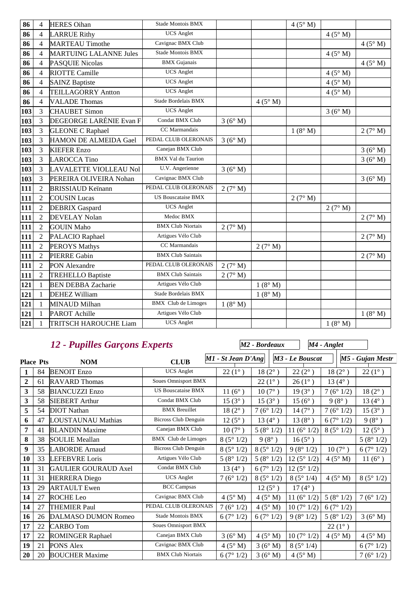| 86  | $\overline{4}$ | <b>HERES Oihan</b>            | Stade Montois BMX          |         |         | 4(5° M) |                |                |
|-----|----------------|-------------------------------|----------------------------|---------|---------|---------|----------------|----------------|
| 86  | $\overline{4}$ | <b>LARRUE Rithy</b>           | <b>UCS</b> Anglet          |         |         |         | 4(5° M)        |                |
| 86  | $\overline{4}$ | <b>MARTEAU Timothe</b>        | Cavignac BMX Club          |         |         |         |                | $4(5^\circ M)$ |
| 86  | $\overline{4}$ | <b>MARTUING LALANNE Jules</b> | <b>Stade Montois BMX</b>   |         |         |         | $4(5^\circ M)$ |                |
| 86  | $\overline{4}$ | PASQUIE Nicolas               | <b>BMX</b> Gujanais        |         |         |         |                | 4(5° M)        |
| 86  | $\overline{4}$ | <b>RIOTTE Camille</b>         | <b>UCS</b> Anglet          |         |         |         | 4(5° M)        |                |
| 86  | $\overline{4}$ | <b>SAINZ Baptiste</b>         | <b>UCS</b> Anglet          |         |         |         | $4(5^\circ M)$ |                |
| 86  | $\overline{4}$ | <b>TEILLAGORRY Antton</b>     | <b>UCS</b> Anglet          |         |         |         | 4(5° M)        |                |
| 86  | $\overline{4}$ | <b>VALADE Thomas</b>          | Stade Bordelais BMX        |         | 4(5° M) |         |                |                |
| 103 | 3              | <b>CHAUBET Simon</b>          | <b>UCS</b> Anglet          |         |         |         | 3(6° M)        |                |
| 103 | 3              | DEGEORGE LARÉNIE Evan F       | Condat BMX Club            | 3(6° M) |         |         |                |                |
| 103 | 3              | <b>GLEONE C Raphael</b>       | CC Marmandais              |         |         | 1(8° M) |                | 2(7° M)        |
| 103 | 3              | HAMON DE ALMEIDA Gael         | PEDAL CLUB OLERONAIS       | 3(6°M)  |         |         |                |                |
| 103 | 3              | <b>KIEFER Enzo</b>            | Canejan BMX Club           |         |         |         |                | 3(6° M)        |
| 103 | $\overline{3}$ | <b>LAROCCA Tino</b>           | <b>BMX Val du Taurion</b>  |         |         |         |                | 3(6°M)         |
| 103 | 3              | LAVALETTE VIOLLEAU Nol        | U.V. Angerienne            | 3(6°M)  |         |         |                |                |
| 103 | $\overline{3}$ | PEREIRA OLIVEIRA Nohan        | Cavignac BMX Club          |         |         |         |                | 3(6°M)         |
| 111 | $\overline{2}$ | <b>BRISSIAUD Keïnann</b>      | PEDAL CLUB OLERONAIS       | 2(7° M) |         |         |                |                |
| 111 | $\overline{2}$ | <b>COUSIN Lucas</b>           | US Bouscataise BMX         |         |         | 2(7° M) |                |                |
| 111 | $\overline{2}$ | <b>DEBRIX</b> Gaspard         | <b>UCS</b> Anglet          |         |         |         | 2(7° M)        |                |
| 111 | $\overline{2}$ | <b>DEVELAY Nolan</b>          | Medoc BMX                  |         |         |         |                | 2(7° M)        |
| 111 | $\overline{2}$ | <b>GOUIN Maho</b>             | <b>BMX Club Niortais</b>   | 2(7° M) |         |         |                |                |
| 111 | $\overline{2}$ | PALACIO Raphael               | Artigues Vélo Club         |         |         |         |                | 2(7° M)        |
| 111 | $\overline{2}$ | <b>PEROYS Mathys</b>          | CC Marmandais              |         | 2(7° M) |         |                |                |
| 111 | $\overline{2}$ | <b>PIERRE Gabin</b>           | <b>BMX Club Saintais</b>   |         |         |         |                | 2(7° M)        |
| 111 | $\overline{2}$ | PON Alexandre                 | PEDAL CLUB OLERONAIS       | 2(7° M) |         |         |                |                |
| 111 | $\overline{2}$ | <b>TREHELLO Baptiste</b>      | <b>BMX Club Saintais</b>   | 2(7° M) |         |         |                |                |
| 121 | $\mathbf{1}$   | <b>BEN DEBBA Zacharie</b>     | Artigues Vélo Club         |         | 1(8° M) |         |                |                |
| 121 | $\mathbf{1}$   | <b>DEHEZ William</b>          | Stade Bordelais BMX        |         | 1(8° M) |         |                |                |
| 121 | $\mathbf{1}$   | <b>MINAUD Milhan</b>          | <b>BMX</b> Club de Limoges | 1(8° M) |         |         |                |                |
| 121 | -1             | <b>PAROT</b> Achille          | Artigues Vélo Club         |         |         |         |                | $1(8^\circ M)$ |
| 121 | $\mathbf{1}$   | <b>TRITSCH HAROUCHE Liam</b>  | <b>UCS</b> Anglet          |         |         |         | 1(8° M)        |                |

# *12 - Pupilles Garçons Experts*

|                  |    | <b>12 - Pupilles Garçons Experts</b> |                             |                    | M <sub>2</sub> - Bordeaux |                      | M4 - Anglet     |                  |
|------------------|----|--------------------------------------|-----------------------------|--------------------|---------------------------|----------------------|-----------------|------------------|
| <b>Place Pts</b> |    | <b>NOM</b>                           | <b>CLUB</b>                 | M1 - St Jean D'Ang |                           | M3 - Le Bouscat      |                 | M5 - Gujan Mestr |
| 1                | 84 | <b>BENOIT Enzo</b>                   | <b>UCS</b> Anglet           | $22(1^{\circ})$    | $18(2^{\circ})$           | $22(2^{\circ})$      | $18(2^{\circ})$ | $22(1^{\circ})$  |
| $\overline{2}$   | 61 | <b>RAVARD Thomas</b>                 | <b>Soues Omnisport BMX</b>  |                    | $22(1^{\circ})$           | $26(1^{\circ})$      | $13(4^{\circ})$ |                  |
| 3                | 58 | <b>BIANCUZZI Enzo</b>                | <b>US Bouscataise BMX</b>   | 11 $(6^{\circ})$   | $10(7^{\circ})$           | $19(3^{\circ})$      | 7(6°1/2)        | $18(2^{\circ})$  |
| 3                | 58 | <b>SIEBERT Arthur</b>                | Condat BMX Club             | $15(3^{\circ})$    | $15(3^{\circ})$           | $15(6^{\circ})$      | $9(8^{\circ})$  | 13 $(4^{\circ})$ |
| 5                | 54 | <b>DIOT</b> Nathan                   | <b>BMX</b> Breuillet        | $18(2^{\circ})$    | 7(6°1/2)                  | $14(7^{\circ})$      | 7(6°1/2)        | $15(3^{\circ})$  |
| 6                | 47 | LOUSTAUNAU Mathias                   | Bicross Club Denguin        | $12(5^{\circ})$    | 13 $(4^{\circ})$          | $13(8^{\circ})$      | 6(7°1/2)        | $9(8^{\circ})$   |
| 7                | 41 | <b>BLANDIN Maxime</b>                | Canejan BMX Club            | $10(7^{\circ})$    | 5(8°1/2)                  | 11 $(6^{\circ} 1/2)$ | 8(5°1/2)        | $12(5^{\circ})$  |
| 8                | 38 | <b>SOULIE Meallan</b>                | <b>BMX</b> Club de Limoges  | 8(5°1/2)           | $9(8^{\circ})$            | $16(5^{\circ})$      |                 | 5(8°1/2)         |
| 9                | 35 | <b>LABORDE</b> Arnaud                | <b>Bicross Club Denguin</b> | 8(5°1/2)           | 8(5°1/2)                  | 9(8°1/2)             | $10(7^{\circ})$ | 6(7°1/2)         |
| 10               | 33 | <b>LEFEBVRE</b> Loris                | Artigues Vélo Club          | 5(8°1/2)           | 5(8°1/2)                  | 12(5°1/2)            | $4(5^\circ M)$  | 11 $(6^{\circ})$ |
| 11               | 31 | <b>GAULIER GOURAUD Axel</b>          | Condat BMX Club             | 13 $(4^{\circ})$   | 6(7°1/2)                  | 12(5°1/2)            |                 |                  |
| 11               | 31 | <b>HERRERA</b> Diego                 | <b>UCS</b> Anglet           | 7(6°1/2)           | 8(5°1/2)                  | 8(5°1/4)             | $4(5^\circ M)$  | 8(5°1/2)         |
| 13               | 29 | <b>ARTAULT</b> Ewen                  | <b>BCC</b> Campsas          |                    | $12(5^{\circ})$           | $17(4^{\circ})$      |                 |                  |
| 14               | 27 | ROCHE Leo                            | Cavignac BMX Club           | $4(5^\circ M)$     | $4(5^\circ M)$            | 11 $(6^{\circ} 1/2)$ | 5(8°1/2)        | 7(6°1/2)         |
| 14               | 27 | <b>THEMIER Paul</b>                  | PEDAL CLUB OLERONAIS        | 7(6°1/2)           | $4(5^\circ M)$            | 10(7°1/2)            | 6(7°1/2)        |                  |
| 16               | 26 | DALMASO DUMON Romeo                  | Stade Montois BMX           | 6(7°1/2)           | 6(7°1/2)                  | 9(8°1/2)             | 5(8°1/2)        | 3(6° M)          |
| 17               | 22 | <b>CARBO</b> Tom                     | <b>Soues Omnisport BMX</b>  |                    |                           |                      | $22(1^{\circ})$ |                  |
| 17               | 22 | <b>ROMINGER Raphael</b>              | Canejan BMX Club            | 3(6° M)            | $4(5^\circ M)$            | 10(7°1/2)            | $4(5^\circ M)$  | $4(5^\circ M)$   |
| 19               | 21 | <b>PONS Alex</b>                     | Cavignac BMX Club           | 4(5° M)            | 3(6° M)                   | 8(5°1/4)             |                 | 6(7°1/2)         |
| 20               | 20 | <b>BOUCHER Maxime</b>                | <b>BMX Club Niortais</b>    | 6(7°1/2)           | 3(6° M)                   | $4(5^\circ M)$       |                 | 7(6°1/2)         |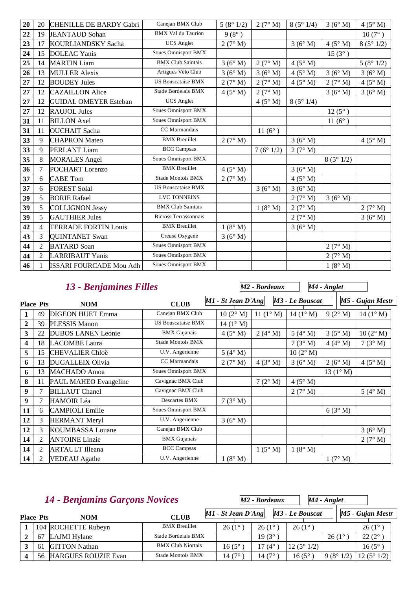| 20 | 20             | <b>CHENILLE DE BARDY Gabri</b> | Canejan BMX Club             | 5(8°1/2)       | 2(7° M)         | 8(5°1/4)       | 3(6° M)         | 4(5° M)         |
|----|----------------|--------------------------------|------------------------------|----------------|-----------------|----------------|-----------------|-----------------|
| 22 | 19             | <b>JEANTAUD</b> Sohan          | <b>BMX Val du Taurion</b>    | $9(8^{\circ})$ |                 |                |                 | $10(7^{\circ})$ |
| 23 | 17             | KOURLIANDSKY Sacha             | <b>UCS</b> Anglet            | 2(7° M)        |                 | 3(6° M)        | $4(5^\circ M)$  | 8(5°1/2)        |
| 24 | 15             | <b>DOLEAC</b> Yanis            | <b>Soues Omnisport BMX</b>   |                |                 |                | $15(3^{\circ})$ |                 |
| 25 | 14             | <b>MARTIN Liam</b>             | <b>BMX Club Saintais</b>     | 3(6° M)        | 2(7° M)         | $4(5^\circ M)$ |                 | 5(8°1/2)        |
| 26 | 13             | <b>MULLER Alexis</b>           | Artigues Vélo Club           | 3(6° M)        | 3(6° M)         | $4(5^\circ M)$ | 3(6° M)         | 3(6° M)         |
| 27 | 12             | <b>BOUDEY Jules</b>            | <b>US Bouscataise BMX</b>    | 2(7° M)        | 2(7° M)         | $4(5^\circ M)$ | 2(7° M)         | $4(5^\circ M)$  |
| 27 | 12             | <b>CAZAILLON Alice</b>         | Stade Bordelais BMX          | $4(5^\circ M)$ | 2(7° M)         |                | 3(6° M)         | 3(6° M)         |
| 27 | 12             | <b>GUIDAL OMEYER Esteban</b>   | <b>UCS</b> Anglet            |                | $4(5^\circ M)$  | 8(5°1/4)       |                 |                 |
| 27 | 12             | <b>RAUJOL Jules</b>            | Soues Omnisport BMX          |                |                 |                | $12(5^{\circ})$ |                 |
| 31 | 11             | <b>BILLON</b> Axel             | <b>Soues Omnisport BMX</b>   |                |                 |                | $11(6^{\circ})$ |                 |
| 31 | 11             | <b>OUCHAIT</b> Sacha           | CC Marmandais                |                | $11(6^{\circ})$ |                |                 |                 |
| 33 | 9              | <b>CHAPRON</b> Mateo           | <b>BMX</b> Breuillet         | 2(7° M)        |                 | 3(6° M)        |                 | $4(5^\circ M)$  |
| 33 | 9              | <b>PERLANT Liam</b>            | <b>BCC</b> Campsas           |                | 7(6°1/2)        | 2(7° M)        |                 |                 |
| 35 | 8              | <b>MORALES Angel</b>           | <b>Soues Omnisport BMX</b>   |                |                 |                | 8(5°1/2)        |                 |
| 36 | 7              | POCHART Lorenzo                | <b>BMX</b> Breuillet         | $4(5^\circ M)$ |                 | 3(6° M)        |                 |                 |
| 37 | 6              | <b>CABE Tom</b>                | Stade Montois BMX            | 2(7° M)        |                 | $4(5^\circ M)$ |                 |                 |
| 37 | 6              | <b>FOREST Solal</b>            | <b>US Bouscataise BMX</b>    |                | 3(6° M)         | 3(6° M)        |                 |                 |
| 39 | 5              | <b>BORIE Rafael</b>            | <b>LVC TONNEINS</b>          |                |                 | 2(7° M)        | 3(6° M)         |                 |
| 39 | 5              | <b>COLLIGNON Jessy</b>         | <b>BMX Club Saintais</b>     |                | $1(8^\circ M)$  | 2(7° M)        |                 | 2(7° M)         |
| 39 | 5              | <b>GAUTHIER Jules</b>          | <b>Bicross Terrassonnais</b> |                |                 | 2(7° M)        |                 | 3(6° M)         |
| 42 | $\overline{4}$ | <b>TERRADE FORTIN Louis</b>    | <b>BMX</b> Breuillet         | 1(8° M)        |                 | 3(6° M)        |                 |                 |
| 43 | 3              | <b>QUINTANET Swan</b>          | Creuse Oxygene               | 3(6° M)        |                 |                |                 |                 |
| 44 | $\overline{2}$ | <b>BATARD</b> Soan             | Soues Omnisport BMX          |                |                 |                | 2(7° M)         |                 |
| 44 | $\overline{2}$ | <b>LARRIBAUT Yanis</b>         | <b>Soues Omnisport BMX</b>   |                |                 |                | 2(7° M)         |                 |
| 46 | $\mathbf{1}$   | <b>ISSARI FOURCADE Mou Adh</b> | <b>Soues Omnisport BMX</b>   |                |                 |                | $1(8^\circ M)$  |                 |

|                  |    | 13 - Benjamines Filles    |                            |                    | M <sub>2</sub> - Bordeaux |                             | M4 - Anglet        |                    |
|------------------|----|---------------------------|----------------------------|--------------------|---------------------------|-----------------------------|--------------------|--------------------|
| <b>Place Pts</b> |    | <b>NOM</b>                | <b>CLUB</b>                | M1 - St Jean D'Ang |                           | M <sub>3</sub> - Le Bouscat |                    | M5 - Gujan Mestr   |
|                  | 49 | <b>DIGEON HUET Emma</b>   | Canejan BMX Club           | 10(2° M)           | 11 $(1^{\circ} M)$        | $14(1^{\circ} M)$           | 9(2° M)            | $14 (1^{\circ} M)$ |
| 2                | 39 | <b>PLESSIS Manon</b>      | <b>US Bouscataise BMX</b>  | $14 (1^{\circ} M)$ |                           |                             |                    |                    |
| 3                | 22 | <b>DUBOS LANEN Leonie</b> | <b>BMX</b> Gujanais        | 4(5° M)            | $2(4^\circ M)$            | $5(4^\circ M)$              | $3(5^\circ M)$     | $10(2^{\circ} M)$  |
| 4                | 18 | <b>LACOMBE</b> Laura      | Stade Montois BMX          |                    |                           | $7(3^\circ M)$              | $4(4^\circ M)$     | 7(3° M)            |
| 5                | 15 | <b>CHEVALIER Chloë</b>    | U.V. Angerienne            | $5(4^\circ M)$     |                           | $10(2^{\circ} M)$           |                    |                    |
| 6                | 13 | <b>DUGALLEIX Olivia</b>   | CC Marmandais              | 2(7° M)            | 4(3° M)                   | 3(6° M)                     | 2(6° M)            | $4(5^\circ M)$     |
| 6                | 13 | <b>MACHADO</b> Aïnoa      | Soues Omnisport BMX        |                    |                           |                             | 13 $(1^{\circ} M)$ |                    |
| 8                | 11 | PAUL MAHEO Evangeline     | Cavignac BMX Club          |                    | 7(2° M)                   | $4(5^\circ M)$              |                    |                    |
| 9                | 7  | <b>BILLAUT Chanel</b>     | Cavignac BMX Club          |                    |                           | 2(7° M)                     |                    | $5(4^\circ M)$     |
| 9                | 7  | <b>HAMOIR Léa</b>         | Descartes BMX              | 7(3° M)            |                           |                             |                    |                    |
| 11               | 6  | <b>CAMPIOLI</b> Emilie    | <b>Soues Omnisport BMX</b> |                    |                           |                             | 6(3° M)            |                    |
| 12               | 3  | <b>HERMANT Meryl</b>      | U.V. Angerienne            | 3(6° M)            |                           |                             |                    |                    |
| 12               | 3  | <b>KOUMBASSA Louane</b>   | Canejan BMX Club           |                    |                           |                             |                    | 3(6° M)            |
| 14               | 2  | <b>ANTOINE Linzie</b>     | <b>BMX</b> Gujanais        |                    |                           |                             |                    | 2(7° M)            |
| 14               | 2  | <b>ARTAULT Illeana</b>    | <b>BCC Campsas</b>         |                    | $1(5^\circ M)$            | 1(8° M)                     |                    |                    |
| 14               | 2  | <b>VEDEAU</b> Agathe      | U.V. Angerienne            | 1(8° M)            |                           |                             | 1(7° M)            |                    |

|                  | 14 - Benjamins Garçons Novices |                          |                      | M2 - Bordeaux |                 |                    | $M4$ - Anglet  |                  |                    |
|------------------|--------------------------------|--------------------------|----------------------|---------------|-----------------|--------------------|----------------|------------------|--------------------|
| <b>Place Pts</b> | <b>NOM</b>                     | <b>CLUB</b>              | $MI - St Jean D'Ang$ |               |                 | M3 - Le Bouscat    |                | M5 - Gujan Mestr |                    |
|                  | 104 ROCHETTE Rubeyn            | <b>BMX</b> Breuillet     | $26(1^{\circ}$       |               | $26(1^{\circ}$  | $26(1^{\circ})$    |                | $26(1^{\circ})$  |                    |
| 67               | LAJMI Hylane                   | Stade Bordelais BMX      |                      |               | $19(3^{\circ})$ |                    | $26(1^{\circ}$ | $22(2^{\circ})$  |                    |
| 61               | <b>GITTON</b> Nathan           | <b>BMX Club Niortais</b> | $16(5^\circ)$        |               | 17 $(4^{\circ}$ | $12(5^{\circ}1/2)$ |                | $16(5^{\circ})$  |                    |
| 56               | <b>HARGUES ROUZIE Evan</b>     | Stade Montois BMX        | 14 (7°               |               | 14 (7°          | 16 (5 $^{\circ}$   | 9(8°1/2)       |                  | $12(5^{\circ}1/2)$ |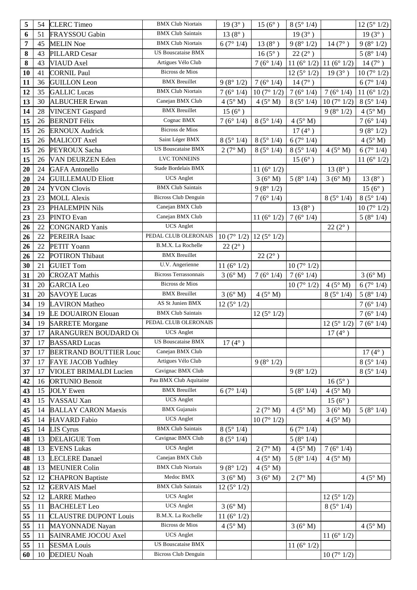| 5  | 54 | <b>CLERC</b> Timeo            | <b>BMX Club Niortais</b>                                 | $19(3^{\circ})$  | $15(6^{\circ})$ | 8(5°1/4)              |                      | 12(5°1/2)             |
|----|----|-------------------------------|----------------------------------------------------------|------------------|-----------------|-----------------------|----------------------|-----------------------|
| 6  | 51 | FRAYSSOU Gabin                | <b>BMX Club Saintais</b>                                 | 13 $(8^{\circ})$ |                 | $19(3^{\circ})$       |                      | $19(3^{\circ})$       |
| 7  | 45 | <b>MELIN Noe</b>              | <b>BMX Club Niortais</b>                                 | 6(7°1/4)         | $13(8^{\circ})$ | 9(8°1/2)              | $14(7^{\circ})$      | 9(8°1/2)              |
| 8  | 43 | <b>PILLARD Cesar</b>          | <b>US Bouscataise BMX</b>                                |                  | $16(5^{\circ})$ | $22(2^{\circ})$       |                      | 5(8°1/4)              |
| 8  | 43 | <b>VIAUD</b> Axel             | Artigues Vélo Club                                       |                  | 7(6°1/4)        | 11 $(6^{\circ} 1/2)$  | 11 $(6^{\circ} 1/2)$ | $14(7^{\circ})$       |
| 10 | 41 | <b>CORNIL Paul</b>            | <b>Bicross de Mios</b>                                   |                  |                 | 12 ( $5^{\circ}$ 1/2) | $19(3^{\circ})$      | 10(7°1/2)             |
| 11 | 36 | <b>GUILLON</b> Leon           | <b>BMX</b> Breuillet                                     | 9(8°1/2)         | 7(6°1/4)        | $14(7^{\circ})$       |                      | 6(7°1/4)              |
| 12 | 35 | <b>GALLIC</b> Lucas           | <b>BMX Club Niortais</b>                                 | 7(6°1/4)         | 10(7°1/2)       | 7(6°1/4)              | 7(6°1/4)             | 11 ( $6^{\circ}$ 1/2) |
| 13 | 30 | <b>ALBUCHER Erwan</b>         | Canejan BMX Club                                         | 4(5° M)          | 4(5° M)         | 8(5°1/4)              | 10(7°1/2)            | 8(5°1/4)              |
| 14 | 28 | <b>VINCENT</b> Gaspard        | <b>BMX</b> Breuillet                                     | $15(6^{\circ})$  |                 |                       | 9(8°1/2)             | $4(5^\circ M)$        |
| 15 | 26 | <b>BERNDT Félix</b>           | Cognac BMX                                               | 7(6°1/4)         | 8(5°1/4)        | 4(5° M)               |                      | 7(6°1/4)              |
| 15 | 26 | <b>ERNOUX Audrick</b>         | <b>Bicross de Mios</b>                                   |                  |                 | $17(4^{\circ})$       |                      | 9(8°1/2)              |
| 15 | 26 | MALICOT Axel                  | Saint Léger BMX                                          | 8(5°1/4)         | 8(5°1/4)        | 6(7°1/4)              |                      | $4(5^\circ M)$        |
| 15 | 26 | PEYROUX Sacha                 | <b>US Bouscataise BMX</b>                                | 2(7° M)          | 8(5°1/4)        | 8(5°1/4)              | 4(5° M)              | 6(7°1/4)              |
| 15 | 26 | VAN DEURZEN Eden              | LVC TONNEINS                                             |                  |                 | $15(6^{\circ})$       |                      | 11 $(6° 1/2)$         |
| 20 | 24 | <b>GAFA</b> Antonello         | Stade Bordelais BMX                                      |                  | 11 $(6° 1/2)$   |                       | $13(8^{\circ})$      |                       |
| 20 | 24 | <b>GUILLEMAUD Eliott</b>      | <b>UCS</b> Anglet                                        |                  | 3(6° M)         | 5(8°1/4)              | 3(6°M)               | $13(8^{\circ})$       |
| 20 | 24 | <b>YVON Clovis</b>            | <b>BMX Club Saintais</b>                                 |                  | 9(8°1/2)        |                       |                      | $15(6^{\circ})$       |
| 23 | 23 | <b>MOLL Alexis</b>            | <b>Bicross Club Denguin</b>                              |                  | 7(6°1/4)        |                       | 8(5°1/4)             | 8(5°1/4)              |
| 23 | 23 | <b>PHALEMPIN Nils</b>         | Canejan BMX Club                                         |                  |                 | $13(8^{\circ})$       |                      | 10(7°1/2)             |
| 23 | 23 | <b>PINTO Evan</b>             | Canejan BMX Club                                         |                  | 11 $(6° 1/2)$   | 7(6°1/4)              |                      | 5(8°1/4)              |
| 26 | 22 | <b>CONGNARD</b> Yanis         | <b>UCS</b> Anglet                                        |                  |                 |                       | $22(2^{\circ})$      |                       |
| 26 | 22 | <b>PEREIRA</b> Isaac          | PEDAL CLUB OLERONAIS                                     | 10(7°1/2)        | 12(5°1/2)       |                       |                      |                       |
| 26 | 22 | PETIT Yoann                   | B.M.X. La Rochelle                                       | $22(2^{\circ})$  |                 |                       |                      |                       |
| 26 | 22 | <b>POTIRON Thibaut</b>        | <b>BMX</b> Breuillet                                     |                  | $22(2^{\circ})$ |                       |                      |                       |
| 30 | 21 | <b>GUIET Tom</b>              | U.V. Angerienne                                          | 11 $(6° 1/2)$    |                 | 10(7°1/2)             |                      |                       |
| 31 | 20 | <b>CROZAT Mathis</b>          | <b>Bicross Terrassonnais</b>                             | 3(6°M)           | 7(6°1/4)        | 7(6°1/4)              |                      | 3(6° M)               |
| 31 | 20 | <b>GARCIA</b> Leo             | Bicross de Mios                                          |                  |                 | 10(7°1/2)             | 4(5° M)              | 6(7°1/4)              |
|    |    |                               |                                                          |                  |                 |                       |                      |                       |
| 31 | 20 | <b>SAVOYE Lucas</b>           | <b>BMX</b> Breuillet                                     | 3(6° M)          | 4(5° M)         |                       | 8(5°1/4)             | 5(8°1/4)              |
| 34 | 19 | <b>LAVIRON</b> Matheo         | AS St Junien BMX                                         | 12(5°1/2)        |                 |                       |                      | 7(6°1/4)              |
| 34 | 19 | LE DOUAIRON Elouan            | <b>BMX</b> Club Saintais                                 |                  | 12(5°1/2)       |                       |                      | 7(6°1/4)              |
| 34 | 19 | <b>SARRETE Morgane</b>        | PEDAL CLUB OLERONAIS                                     |                  |                 |                       | 12(5°1/2)            | 7(6°1/4)              |
| 37 | 17 | ARANGUREN BOUDARD Oi          | <b>UCS</b> Anglet                                        |                  |                 |                       | $17(4^{\circ})$      |                       |
| 37 | 17 | <b>BASSARD</b> Lucas          | US Bouscataise BMX                                       | $17(4^{\circ})$  |                 |                       |                      |                       |
| 37 | 17 | <b>BERTRAND BOUTTIER Louc</b> | Canejan BMX Club                                         |                  |                 |                       |                      | $17(4^{\circ})$       |
| 37 | 17 | <b>FAYE JACOB Yudhley</b>     | Artigues Vélo Club                                       |                  | 9(8°1/2)        |                       |                      | 8(5°1/4)              |
| 37 | 17 | VIOLET BRIMALDI Lucien        | Cavignac BMX Club                                        |                  |                 | 9(8°1/2)              |                      | 8(5°1/4)              |
| 42 | 16 | <b>ORTUNIO Benoit</b>         | Pau BMX Club Aquitaine                                   |                  |                 |                       | $16(5^{\circ})$      |                       |
| 43 | 15 | <b>JOLY</b> Ewen              | <b>BMX</b> Breuillet                                     | 6(7°1/4)         |                 | 5(8°1/4)              | 4(5° M)              |                       |
| 43 | 15 | VASSAU Xan                    | <b>UCS</b> Anglet                                        |                  |                 |                       | $15(6^{\circ})$      |                       |
| 45 | 14 | <b>BALLAY CARON Maexis</b>    | <b>BMX</b> Gujanais                                      |                  | 2(7° M)         | 4(5° M)               | 3(6° M)              | 5(8°1/4)              |
| 45 | 14 | <b>HAVARD</b> Fabio           | <b>UCS</b> Anglet                                        |                  | 10(7°1/2)       |                       | $4(5^\circ M)$       |                       |
| 45 | 14 | LIS Cyrus                     | <b>BMX</b> Club Saintais                                 | 8(5°1/4)         |                 | 6(7°1/4)              |                      |                       |
| 48 | 13 | <b>DELAIGUE Tom</b>           | Cavignac BMX Club                                        | 8(5°1/4)         |                 | 5(8°1/4)              |                      |                       |
| 48 | 13 | <b>EVENS Lukas</b>            | <b>UCS</b> Anglet                                        |                  | 2(7° M)         | $4(5^\circ M)$        | 7(6°1/4)             |                       |
| 48 | 13 | <b>LECLERE</b> Danael         | Canejan BMX Club                                         |                  | 4(5° M)         | 5(8°1/4)              | 4(5° M)              |                       |
| 48 | 13 | <b>MEUNIER Colin</b>          | <b>BMX Club Niortais</b>                                 | 9(8°1/2)         | 4(5° M)         |                       |                      |                       |
| 52 | 12 | <b>CHAPRON Baptiste</b>       | Medoc BMX                                                | 3(6° M)          | 3(6° M)         | 2(7° M)               |                      | $4(5^\circ M)$        |
| 52 | 12 | <b>GERVAIS</b> Mael           | <b>BMX Club Saintais</b>                                 | 12(5°1/2)        |                 |                       |                      |                       |
| 52 | 12 | <b>LARRE</b> Matheo           | <b>UCS</b> Anglet                                        |                  |                 |                       | 12(5°1/2)            |                       |
| 55 | 11 | <b>BACHELET</b> Leo           | <b>UCS</b> Anglet                                        | 3(6° M)          |                 |                       | 8(5°1/4)             |                       |
| 55 | 11 | <b>CLAUSTRE DUPONT Louis</b>  | B.M.X. La Rochelle                                       | 11(6°1/2)        |                 |                       |                      |                       |
| 55 | 11 | <b>MAYONNADE</b> Nayan        | Bicross de Mios                                          | 4(5° M)          |                 | 3(6° M)               |                      | $4(5^\circ M)$        |
| 55 | 11 | SAINRAME JOCOU Axel           | <b>UCS</b> Anglet                                        |                  |                 |                       | 11 $(6^{\circ} 1/2)$ |                       |
| 55 | 11 | <b>SESMA Louis</b>            | <b>US Bouscataise BMX</b><br><b>Bicross Club Denguin</b> |                  |                 | 11 $(6^{\circ} 1/2)$  |                      |                       |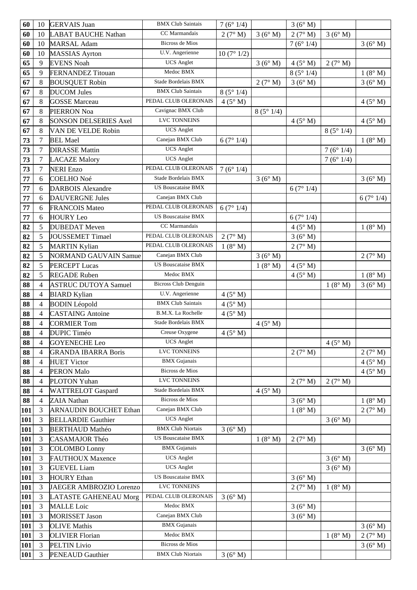| 60         | 10     | <b>GERVAIS Juan</b>                             | <b>BMX Club Saintais</b>    | 7(6°1/4)           |          | 3(6° M)            |                |                |
|------------|--------|-------------------------------------------------|-----------------------------|--------------------|----------|--------------------|----------------|----------------|
| 60         | 10     | <b>LABAT BAUCHE Nathan</b>                      | CC Marmandais               | 2(7° M)            | 3(6° M)  | 2(7° M)            | 3(6° M)        |                |
| 60         | 10     | <b>MARSAL Adam</b>                              | <b>Bicross de Mios</b>      |                    |          | 7(6°1/4)           |                | 3(6° M)        |
| 60         | 10     | <b>MASSIAS</b> Ayrton                           | U.V. Angerienne             | 10(7°1/2)          |          |                    |                |                |
| 65         | 9      | <b>EVENS Noah</b>                               | <b>UCS</b> Anglet           |                    | 3(6° M)  | 4(5° M)            | 2(7° M)        |                |
| 65         | 9      | <b>FERNANDEZ Titouan</b>                        | Medoc BMX                   |                    |          | 8(5°1/4)           |                | 1(8° M)        |
| 67         | 8      | <b>BOUSQUET Robin</b>                           | Stade Bordelais BMX         |                    | 2(7° M)  | 3(6° M)            |                | 3(6° M)        |
| 67         | 8      | <b>DUCOM Jules</b>                              | <b>BMX Club Saintais</b>    | 8(5°1/4)           |          |                    |                |                |
| 67         | 8      | <b>GOSSE</b> Marceau                            | PEDAL CLUB OLERONAIS        | 4(5° M)            |          |                    |                | 4(5° M)        |
| 67         | 8      | <b>PIERRON Noa</b>                              | Cavignac BMX Club           |                    | 8(5°1/4) |                    |                |                |
| 67         | 8      | <b>SONSON DELSERIES Axel</b>                    | LVC TONNEINS                |                    |          | $4(5^\circ M)$     |                | $4(5^\circ M)$ |
| 67         | 8      | VAN DE VELDE Robin                              | <b>UCS</b> Anglet           |                    |          |                    | 8(5°1/4)       |                |
| 73         | $\tau$ | <b>BEL Mael</b>                                 | Canejan BMX Club            | 6(7°1/4)           |          |                    |                | 1(8° M)        |
| 73         | 7      | <b>DIRASSE Mattin</b>                           | <b>UCS</b> Anglet           |                    |          |                    | 7(6°1/4)       |                |
| 73         | $\tau$ | <b>LACAZE Malory</b>                            | <b>UCS</b> Anglet           |                    |          |                    | 7(6°1/4)       |                |
| 73         | 7      | <b>NERI</b> Enzo                                | PEDAL CLUB OLERONAIS        | 7(6°1/4)           |          |                    |                |                |
| 77         | 6      | <b>COELHO</b> Noé                               | Stade Bordelais BMX         |                    | 3(6° M)  |                    |                | 3(6°M)         |
| 77         | 6      | <b>DARBOIS</b> Alexandre                        | <b>US Bouscataise BMX</b>   |                    |          | 6(7°1/4)           |                |                |
| 77         | 6      | <b>DAUVERGNE Jules</b>                          | Canejan BMX Club            |                    |          |                    |                | 6(7°1/4)       |
| 77         | 6      | <b>FRANCOIS Mateo</b>                           | PEDAL CLUB OLERONAIS        | 6(7°1/4)           |          |                    |                |                |
| 77         | 6      | <b>HOURY Leo</b>                                | <b>US Bouscataise BMX</b>   |                    |          | 6(7°1/4)           |                |                |
| 82         | 5      | <b>DUBEDAT</b> Meven                            | CC Marmandais               |                    |          | 4(5° M)            |                | 1(8° M)        |
| 82         | 5      | JOUSSEMET Timael                                | PEDAL CLUB OLERONAIS        | 2(7° M)            |          | 3(6° M)            |                |                |
| 82         | 5      | <b>MARTIN Kylian</b>                            | PEDAL CLUB OLERONAIS        | 1(8° M)            |          | 2(7° M)            |                |                |
| 82         | 5      | <b>NORMAND GAUVAIN Samue</b>                    | Canejan BMX Club            |                    | 3(6° M)  |                    |                | 2(7° M)        |
| 82         | 5      | <b>PERCEPT Lucas</b>                            | <b>US Bouscataise BMX</b>   |                    | 1(8° M)  | 4(5° M)            |                |                |
| 82         | 5      | <b>REGADE Ruben</b>                             | Medoc BMX                   |                    |          | 4(5° M)            |                | 1(8° M)        |
| 88         | 4      | <b>ASTRUC DUTOYA Samuel</b>                     | <b>Bicross Club Denguin</b> |                    |          |                    | 1(8° M)        | 3(6° M)        |
|            |        |                                                 |                             |                    |          |                    |                |                |
| 88         | 4      |                                                 | U.V. Angerienne             |                    |          |                    |                |                |
| 88         | 4      | <b>BIARD Kylian</b><br><b>BODIN</b> Léopold     | <b>BMX Club Saintais</b>    | 4(5° M)<br>4(5° M) |          |                    |                |                |
| 88         | 4      | <b>CASTAING</b> Antoine                         | B.M.X. La Rochelle          | 4(5° M)            |          |                    |                |                |
| 88         | 4      | <b>CORMIER Tom</b>                              | Stade Bordelais BMX         |                    | 4(5° M)  |                    |                |                |
| 88         | 4      | DUPIC Timéo                                     | Creuse Oxygene              |                    |          |                    |                |                |
| 88         | 4      | <b>GOYENECHE Leo</b>                            | <b>UCS</b> Anglet           | $4(5^\circ M)$     |          |                    | $4(5^\circ M)$ |                |
| 88         | 4      | <b>GRANDA IBARRA Boris</b>                      | <b>LVC TONNEINS</b>         |                    |          | 2(7° M)            |                | 2(7° M)        |
| 88         | 4      | <b>HUET Victor</b>                              | <b>BMX</b> Gujanais         |                    |          |                    |                | $4(5^\circ M)$ |
| 88         | 4      |                                                 | <b>Bicross de Mios</b>      |                    |          |                    |                |                |
| 88         | 4      | PERON Malo<br>PLOTON Yuhan                      | <b>LVC TONNEINS</b>         |                    |          |                    |                | $4(5^\circ M)$ |
| 88         | 4      | <b>WATTRELOT Gaspard</b>                        | Stade Bordelais BMX         |                    | 4(5° M)  | 2(7° M)            | 2(7° M)        |                |
| 88         | 4      | <b>ZAIA</b> Nathan                              | <b>Bicross de Mios</b>      |                    |          | 3(6° M)            |                | 1(8° M)        |
| 101        | 3      | <b>ARNAUDIN BOUCHET Ethan</b>                   | Canejan BMX Club            |                    |          | 1(8° M)            |                | 2(7° M)        |
| 101        | 3      | <b>BELLARDIE Gauthier</b>                       | <b>UCS</b> Anglet           |                    |          |                    | 3(6° M)        |                |
| 101        | 3      | <b>BERTHAUD Mathéo</b>                          | <b>BMX Club Niortais</b>    | 3(6°M)             |          |                    |                |                |
|            | 3      | CASAMAJOR Théo                                  | <b>US Bouscataise BMX</b>   |                    |          |                    |                |                |
| 101        | 3      |                                                 | <b>BMX</b> Gujanais         |                    | 1(8° M)  | 2(7° M)            |                |                |
| 101<br>101 | 3      | <b>COLOMBO</b> Lonny<br><b>FAUTHOUX Maxence</b> | <b>UCS</b> Anglet           |                    |          |                    | 3(6° M)        | 3(6° M)        |
|            | 3      |                                                 | <b>UCS</b> Anglet           |                    |          |                    |                |                |
| 101<br>101 | 3      | <b>GUEVEL Liam</b><br><b>HOURY</b> Ethan        | US Bouscataise BMX          |                    |          | 3(6° M)            | 3(6° M)        |                |
| 101        | 3      | JAEGER AMBROZIO Lorenzo                         | <b>LVC TONNEINS</b>         |                    |          | 2(7° M)            | $1(8^\circ M)$ |                |
| 101        | 3      | <b>LATASTE GAHENEAU Morg</b>                    | PEDAL CLUB OLERONAIS        | 3(6° M)            |          |                    |                |                |
|            | 3      | <b>MALLE</b> Loic                               | Medoc BMX                   |                    |          |                    |                |                |
| 101<br>101 | 3      | <b>MORISSET Jason</b>                           | Canejan BMX Club            |                    |          | 3(6° M)<br>3(6° M) |                |                |
| 101        | 3      | <b>OLIVE</b> Mathis                             | <b>BMX</b> Gujanais         |                    |          |                    |                | 3(6° M)        |
| <b>101</b> | 3      | <b>OLIVIER Florian</b>                          | Medoc BMX                   |                    |          |                    | 1(8° M)        | 2(7° M)        |
| 101        | 3      | <b>PELTIN Livio</b>                             | <b>Bicross de Mios</b>      |                    |          |                    |                | 3(6° M)        |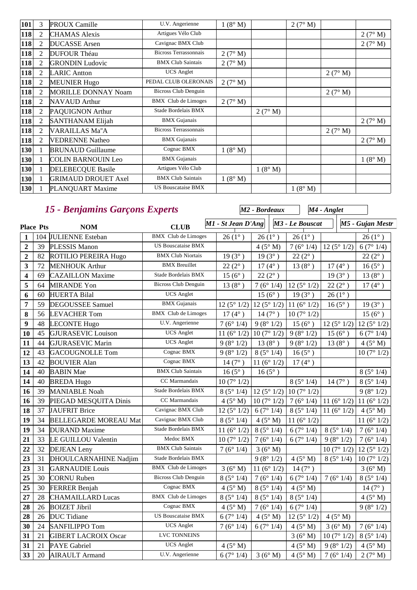| 101        | 3              | <b>PROUX Camille</b>       | U.V. Angerienne              | $1(8^\circ M)$ |                | 2(7° M)        |         |                |
|------------|----------------|----------------------------|------------------------------|----------------|----------------|----------------|---------|----------------|
| 118        | $\overline{2}$ | <b>CHAMAS</b> Alexis       | Artigues Vélo Club           |                |                |                |         | 2(7° M)        |
| 118        | $\overline{2}$ | <b>DUCASSE</b> Arsen       | Cavignac BMX Club            |                |                |                |         | $2(7^\circ M)$ |
| 118        | $\overline{2}$ | <b>DUFOUR Théau</b>        | <b>Bicross Terrassonnais</b> | 2(7° M)        |                |                |         |                |
| 118        | $\overline{2}$ | <b>GRONDIN Ludovic</b>     | <b>BMX Club Saintais</b>     | 2(7° M)        |                |                |         |                |
| 118        | $\overline{2}$ | <b>LARIC Antton</b>        | <b>UCS</b> Anglet            |                |                |                | 2(7° M) |                |
| 118        | $\overline{c}$ | <b>MEUNIER Hugo</b>        | PEDAL CLUB OLERONAIS         | 2(7° M)        |                |                |         |                |
| 118        | $\overline{2}$ | <b>MORILLE DONNAY Noam</b> | Bicross Club Denguin         |                |                |                | 2(7° M) |                |
| 118        | $\overline{2}$ | <b>NAVAUD</b> Arthur       | <b>BMX</b> Club de Limoges   | 2(7° M)        |                |                |         |                |
| 118        | $\overline{c}$ | PAQUIGNON Arthur           | Stade Bordelais BMX          |                | 2(7° M)        |                |         |                |
| 118        | $\overline{2}$ | <b>SANTHANAM Elijah</b>    | <b>BMX</b> Gujanais          |                |                |                |         | 2(7° M)        |
| 118        | $\overline{2}$ | <b>VARAILLAS Ma"A</b>      | <b>Bicross Terrassonnais</b> |                |                |                | 2(7° M) |                |
| <b>118</b> | $\overline{2}$ | <b>VEDRENNE Natheo</b>     | <b>BMX</b> Gujanais          |                |                |                |         | 2(7° M)        |
| 130        |                | <b>BRUNAUD Guillaume</b>   | Cognac BMX                   | $1(8^\circ M)$ |                |                |         |                |
| 130        | 1              | <b>COLIN BARNOUIN Leo</b>  | <b>BMX</b> Gujanais          |                |                |                |         | 1(8° M)        |
| 130        |                | <b>DELEBECQUE Basile</b>   | Artigues Vélo Club           |                | $1(8^\circ M)$ |                |         |                |
| 130        | 1              | <b>GRIMAUD DROUET Axel</b> | <b>BMX Club Saintais</b>     | $1(8^\circ M)$ |                |                |         |                |
| 130        |                | PLANQUART Maxime           | <b>US Bouscataise BMX</b>    |                |                | $1(8^\circ M)$ |         |                |

# *15 - Benjamins Garçons Experts*

*M2 - Bordeaux*

*M4 - Anglet*

|                         | <b>Place Pts</b><br><b>NOM</b> |                              | <b>CLUB</b>                 | $MI - St Jean D'Ang$  |                      | M3 - Le Bouscat      |                      | M5 - Gujan Mestr     |
|-------------------------|--------------------------------|------------------------------|-----------------------------|-----------------------|----------------------|----------------------|----------------------|----------------------|
| $\mathbf{1}$            |                                | 104 JULIENNE Esteban         | <b>BMX</b> Club de Limoges  | $26(1^{\circ})$       | $26(1^{\circ})$      | $26(1^{\circ})$      |                      | $26(1^{\circ})$      |
| $\overline{2}$          | 39                             | <b>PLESSIS Manon</b>         | <b>US Bouscataise BMX</b>   |                       | 4(5° M)              | 7(6°1/4)             | 12(5°1/2)            | 6(7°1/4)             |
| $\mathbf{2}$            | 82                             | ROTILIO PEREIRA Hugo         | <b>BMX Club Niortais</b>    | $19(3^{\circ})$       | $19(3^{\circ})$      | $22(2^{\circ})$      |                      | $22(2^{\circ})$      |
| 3                       | 72                             | <b>MENHOUK Arthur</b>        | <b>BMX</b> Breuillet        | $22(2^{\circ})$       | $17(4^{\circ})$      | $13(8^{\circ})$      | $17(4^{\circ})$      | $16(5^{\circ})$      |
| $\overline{\mathbf{4}}$ | 69                             | <b>CAZAILLON</b> Maxime      | Stade Bordelais BMX         | $15(6^{\circ})$       | $22(2^{\circ})$      |                      | $19(3^{\circ})$      | $13(8^{\circ})$      |
| 5                       | 64                             | <b>MIRANDE Yon</b>           | <b>Bicross Club Denguin</b> | $13(8^{\circ})$       | 7(6°1/4)             | 12 $(5^{\circ} 1/2)$ | $22(2^{\circ})$      | $17(4^{\circ})$      |
| 6                       | 60                             | <b>HUERTA Bilal</b>          | <b>UCS</b> Anglet           |                       | $15(6^{\circ})$      | $19(3^{\circ})$      | $26(1^{\circ})$      |                      |
| 7                       | 59                             | <b>DEGOUSSEE Samuel</b>      | <b>BMX</b> Gujanais         | 12(5°1/2)             | $12(5^{\circ}1/2)$   | 11 $(6^{\circ} 1/2)$ | $16(5^{\circ})$      | $19(3^{\circ})$      |
| 8                       | 56                             | <b>LEVACHER Tom</b>          | <b>BMX</b> Club de Limoges  | 17 $(4^{\circ})$      | $14(7^{\circ})$      | 10(7°1/2)            |                      | $15(6^{\circ})$      |
| 9                       | 48                             | <b>LECONTE Hugo</b>          | U.V. Angerienne             | 7(6°1/4)              | 9(8°1/2)             | $15(6^{\circ})$      | 12 $(5^{\circ} 1/2)$ | 12 $(5^{\circ} 1/2)$ |
| 10                      | 45                             | <b>GJURASEVIC Louison</b>    | UCS Anglet                  | 11 (6 $^{\circ}$ 1/2) | 10(7°1/2)            | 9(8°1/2)             | $15(6^{\circ})$      | 6(7°1/4)             |
| 11                      | 44                             | <b>GJURASEVIC Marin</b>      | <b>UCS</b> Anglet           | 9(8°1/2)              | $13(8^{\circ})$      | 9(8°1/2)             | $13(8^{\circ})$      | 4(5° M)              |
| 12                      | 43                             | <b>GACOUGNOLLE Tom</b>       | Cognac BMX                  | 9(8°1/2)              | 8(5°1/4)             | $16(5^{\circ})$      |                      | 10(7°1/2)            |
| 13                      | 42                             | <b>BOUVIER Alan</b>          | Cognac BMX                  | $14(7^{\circ})$       | 11 $(6^{\circ} 1/2)$ | $17(4^{\circ})$      |                      |                      |
| 14                      | 40                             | <b>BABIN</b> Mae             | <b>BMX Club Saintais</b>    | $16(5^{\circ})$       | $16(5^{\circ})$      |                      |                      | 8(5°1/4)             |
| 14                      | 40                             | <b>BREDA Hugo</b>            | CC Marmandais               | 10(7°1/2)             |                      | 8(5°1/4)             | $14(7^{\circ})$      | 8(5°1/4)             |
| 16                      | 39                             | <b>MANIABLE Noah</b>         | Stade Bordelais BMX         | $8(5^{\circ} 1/4)$    | 12(5°1/2)            | 10(7°1/2)            |                      | 9(8°1/2)             |
| 16                      | 39                             | PIEGAD MESQUITA Dinis        | CC Marmandais               | 4(5° M)               | 10(7°1/2)            | 7(6°1/4)             | 11 $(6^{\circ} 1/2)$ | 11 $(6^{\circ} 1/2)$ |
| 18                      | 37                             | JAUFRIT Brice                | Cavignac BMX Club           | 12(5°1/2)             | 6(7°1/4)             | 8(5°1/4)             | 11 $(6^{\circ} 1/2)$ | $4(5^\circ M)$       |
| 19                      | 34                             | <b>BELLEGARDE MOREAU Mat</b> | Cavignac BMX Club           | 8(5°1/4)              | $4(5^\circ M)$       | 11 $(6^{\circ} 1/2)$ |                      | 11 $(6° 1/2)$        |
| 19                      | 34                             | <b>DURAND</b> Maxime         | Stade Bordelais BMX         | 11 $(6° 1/2)$         | 8(5°1/4)             | 6(7°1/4)             | 8(5°1/4)             | 7(6°1/4)             |
| 21                      | 33                             | LE GUILLOU Valentin          | Medoc BMX                   | 10(7°1/2)             | 7(6°1/4)             | 6(7°1/4)             | 9(8°1/2)             | 7(6°1/4)             |
| 22                      | 32                             | <b>DEJEAN</b> Leny           | <b>BMX Club Saintais</b>    | 7(6°1/4)              | 3(6° M)              |                      | 10(7°1/2)            | 12(5°1/2)            |
| 23                      | 31                             | DHOULCARNAHINE Nadjim        | Stade Bordelais BMX         |                       | 9(8°1/2)             | 4(5° M)              | 8(5°1/4)             | 10(7°1/2)            |
| 23                      | 31                             | <b>GARNAUDIE Louis</b>       | <b>BMX</b> Club de Limoges  | 3(6°M)                | 11 $(6° 1/2)$        | $14(7^{\circ})$      |                      | 3(6° M)              |
| 25                      | 30                             | <b>CORNU</b> Ruben           | <b>Bicross Club Denguin</b> | 8(5°1/4)              | 7(6°1/4)             | 6(7°1/4)             | 7(6°1/4)             | 8(5°1/4)             |
| 25                      | 30                             | <b>FERRER Benjah</b>         | Cognac BMX                  | 4(5° M)               | 8(5°1/4)             | 4(5° M)              |                      | $14(7^{\circ})$      |
| 27                      | 28                             | <b>CHAMAILLARD Lucas</b>     | <b>BMX</b> Club de Limoges  | 8(5°1/4)              | 8(5°1/4)             | 8(5°1/4)             |                      | 4(5° M)              |
| 28                      | 26                             | <b>BOIZET Jibril</b>         | Cognac BMX                  | $4(5^\circ M)$        | 7(6°1/4)             | 6(7°1/4)             |                      | 9(8°1/2)             |
| 28                      | 26                             | <b>DUC</b> Tidiane           | <b>US Bouscataise BMX</b>   | 6(7°1/4)              | $4(5^\circ M)$       | 12(5°1/2)            | $4(5^\circ M)$       |                      |
| 30                      | 24                             | <b>SANFILIPPO Tom</b>        | <b>UCS</b> Anglet           | 7(6°1/4)              | 6(7°1/4)             | 4(5° M)              | 3(6°M)               | 7(6°1/4)             |
| 31                      | 21                             | <b>GIBERT LACROIX Oscar</b>  | LVC TONNEINS                |                       |                      | 3(6° M)              | 10(7°1/2)            | 8(5°1/4)             |
| 31                      | 21                             | <b>PAYE</b> Gabriel          | <b>UCS</b> Anglet           | 4(5° M)               |                      | 4(5° M)              | 9(8°1/2)             | $4(5^\circ M)$       |
| 33                      | 20                             | <b>AIRAULT Armand</b>        | U.V. Angerienne             | 6(7°1/4)              | 3(6°M)               | 4(5° M)              | 7(6°1/4)             | 2(7° M)              |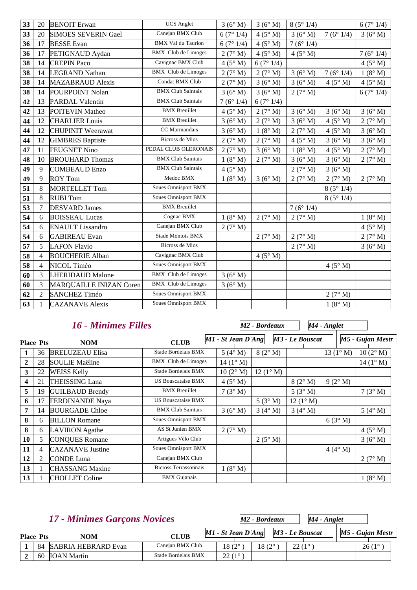| 33 | 20             | <b>BENOIT</b> Erwan            | <b>UCS</b> Anglet          | 3(6° M)        | 3(6° M)        | 8(5°1/4)       |                | 6(7°1/4)       |
|----|----------------|--------------------------------|----------------------------|----------------|----------------|----------------|----------------|----------------|
| 33 | 20             | <b>SIMOES SEVERIN Gael</b>     | Canejan BMX Club           | 6(7°1/4)       | 4(5° M)        | 3(6° M)        | 7(6°1/4)       | 3(6°M)         |
| 36 | 17             | <b>BESSE</b> Evan              | <b>BMX Val du Taurion</b>  | 6(7°1/4)       | $4(5^\circ M)$ | 7(6°1/4)       |                |                |
| 36 | 17             | PETIGNAUD Aydan                | <b>BMX</b> Club de Limoges | 2(7° M)        | $4(5^\circ M)$ | $4(5^\circ M)$ |                | 7(6°1/4)       |
| 38 | 14             | <b>CREPIN Paco</b>             | Cavignac BMX Club          | 4(5° M)        | 6(7°1/4)       |                |                | $4(5^\circ M)$ |
| 38 | 14             | <b>LEGRAND Nathan</b>          | <b>BMX</b> Club de Limoges | 2(7° M)        | 2(7° M)        | 3(6° M)        | 7(6°1/4)       | 1(8° M)        |
| 38 | 14             | <b>MAZABRAUD Alexis</b>        | Condat BMX Club            | 2(7° M)        | 3(6° M)        | 3(6° M)        | $4(5^\circ M)$ | $4(5^\circ M)$ |
| 38 | 14             | POURPOINT Nolan                | <b>BMX Club Saintais</b>   | 3(6° M)        | 3(6° M)        | 2(7° M)        |                | 6(7°1/4)       |
| 42 | 13             | <b>PARDAL Valentin</b>         | <b>BMX Club Saintais</b>   | 7(6°1/4)       | 6(7°1/4)       |                |                |                |
| 42 | 13             | <b>POITEVIN Matheo</b>         | <b>BMX</b> Breuillet       | $4(5^\circ M)$ | 2(7° M)        | 3(6° M)        | 3(6° M)        | 3(6° M)        |
| 44 | 12             | <b>CHARLIER Louis</b>          | <b>BMX</b> Breuillet       | 3(6° M)        | 2(7° M)        | 3(6° M)        | $4(5^\circ M)$ | 2(7° M)        |
| 44 | 12             | <b>CHUPINIT Weerawat</b>       | CC Marmandais              | 3(6° M)        | 1(8° M)        | 2(7° M)        | $4(5^\circ M)$ | 3(6°M)         |
| 44 | 12             | <b>GIMBRES Baptiste</b>        | <b>Bicross de Mios</b>     | 2(7° M)        | 2(7° M)        | 4(5° M)        | 3(6° M)        | 3(6° M)        |
| 47 | 11             | <b>FEUGNET Nino</b>            | PEDAL CLUB OLERONAIS       | 2(7° M)        | 3(6° M)        | 1(8° M)        | $4(5^\circ M)$ | 2(7° M)        |
| 48 | 10             | <b>BROUHARD Thomas</b>         | <b>BMX Club Saintais</b>   | 1(8° M)        | 2(7° M)        | 3(6° M)        | 3(6° M)        | 2(7° M)        |
| 49 | 9              | <b>COMBEAUD Enzo</b>           | <b>BMX Club Saintais</b>   | 4(5° M)        |                | 2(7° M)        | 3(6° M)        |                |
| 49 | 9              | <b>ROY Tom</b>                 | Medoc BMX                  | 1(8° M)        | 3(6° M)        | 2(7° M)        | 2(7° M)        | 2(7° M)        |
| 51 | 8              | <b>MORTELLET Tom</b>           | <b>Soues Omnisport BMX</b> |                |                |                | 8(5°1/4)       |                |
| 51 | 8              | <b>RUBI</b> Tom                | <b>Soues Omnisport BMX</b> |                |                |                | 8(5°1/4)       |                |
| 53 | $\tau$         | <b>DESVARD</b> James           | <b>BMX</b> Breuillet       |                |                | 7(6°1/4)       |                |                |
| 54 | 6              | <b>BOISSEAU Lucas</b>          | Cognac BMX                 | 1(8° M)        | 2(7° M)        | 2(7° M)        |                | 1(8° M)        |
| 54 | 6              | <b>ENAULT Lissandro</b>        | Canejan BMX Club           | 2(7° M)        |                |                |                | $4(5^\circ M)$ |
| 54 | 6              | <b>GABIREAU</b> Evan           | <b>Stade Montois BMX</b>   |                | 2(7° M)        | 2(7° M)        |                | 2(7° M)        |
| 57 | 5              | <b>LAFON Flavio</b>            | <b>Bicross de Mios</b>     |                |                | 2(7° M)        |                | 3(6° M)        |
| 58 | $\overline{4}$ | <b>BOUCHERIE Alban</b>         | Cavignac BMX Club          |                | 4(5° M)        |                |                |                |
| 58 | $\overline{4}$ | NICOL Timéo                    | <b>Soues Omnisport BMX</b> |                |                |                | $4(5^\circ M)$ |                |
| 60 | 3              | <b>LHERIDAUD Malone</b>        | <b>BMX</b> Club de Limoges | 3(6° M)        |                |                |                |                |
| 60 | $\overline{3}$ | <b>MARQUAILLE INIZAN Coren</b> | <b>BMX</b> Club de Limoges | 3(6° M)        |                |                |                |                |
| 62 | $\overline{2}$ | <b>SANCHEZ Timéo</b>           | <b>Soues Omnisport BMX</b> |                |                |                | 2(7° M)        |                |
| 63 | $\mathbf{1}$   | <b>CAZANAVE Alexis</b>         | <b>Soues Omnisport BMX</b> |                |                |                | 1(8° M)        |                |

# *16 - Minimes Filles*

*M2 - Bordeaux*

*M4 - Anglet*

|                  | <b>Place Pts</b> | <b>NOM</b>              | <b>CLUB</b>                | M1 - St Jean D'Ang |                   | M3 - Le Bouscat   |                    | M5 - Gujan Mestr  |
|------------------|------------------|-------------------------|----------------------------|--------------------|-------------------|-------------------|--------------------|-------------------|
|                  | 36               | <b>BRELUZEAU Elisa</b>  | Stade Bordelais BMX        | $5(4^\circ M)$     | 8(2° M)           |                   | 13 $(1^{\circ} M)$ | $10(2^{\circ} M)$ |
| 2                | 28               | <b>SOULIE Maëline</b>   | BMX Club de Limoges        | $14(1^{\circ} M)$  |                   |                   |                    | $14(1^{\circ} M)$ |
| 3                | 22               | <b>WEISS Kelly</b>      | Stade Bordelais BMX        | $10(2^{\circ} M)$  | $12(1^{\circ} M)$ |                   |                    |                   |
| $\boldsymbol{4}$ | 21               | <b>THEISSING Lana</b>   | <b>US Bouscataise BMX</b>  | $4(5^\circ M)$     |                   | 8(2° M)           | 9(2° M)            |                   |
| 5                | 19               | <b>GUILBAUD Brendy</b>  | <b>BMX</b> Breuillet       | 7(3° M)            |                   | 5(3° M)           |                    | 7(3°M)            |
| 6                | 17               | <b>FERDINANDE Naya</b>  | <b>US Bouscataise BMX</b>  |                    | $5(3^\circ M)$    | $12(1^{\circ} M)$ |                    |                   |
| 7                | 14               | <b>BOURGADE Chloe</b>   | <b>BMX Club Saintais</b>   | 3(6° M)            | $3(4^\circ M)$    | $3(4^\circ M)$    |                    | $5(4^\circ M)$    |
| 8                | 6                | <b>BILLON</b> Romane    | <b>Soues Omnisport BMX</b> |                    |                   |                   | 6(3° M)            |                   |
| 8                | 6                | <b>LAVIRON</b> Agathe   | AS St Junien BMX           | 2(7° M)            |                   |                   |                    | 4(5° M)           |
| 10               | 5                | <b>CONQUES Romane</b>   | Artigues Vélo Club         |                    | $2(5^\circ M)$    |                   |                    | 3(6°M)            |
| 11               | 4                | <b>CAZANAVE</b> Justine | <b>Soues Omnisport BMX</b> |                    |                   |                   | $4(4^\circ M)$     |                   |
| 12               | 2                | CONDE Luna              | Canejan BMX Club           |                    |                   |                   |                    | 2(7° M)           |
| 13               |                  | <b>CHASSANG Maxine</b>  | Bicross Terrassonnais      | 1(8° M)            |                   |                   |                    |                   |
| 13               |                  | <b>CHOLLET</b> Coline   | <b>BMX</b> Gujanais        |                    |                   |                   |                    | 1(8° M)           |

| <b>17 - Minimes Garçons Novices</b> |                  |                        |                     | $M2$ - Bordeaux                         | M4 - Anglet     |                 |  |                  |
|-------------------------------------|------------------|------------------------|---------------------|-----------------------------------------|-----------------|-----------------|--|------------------|
|                                     | <b>Place Pts</b> | <b>NOM</b>             | <b>CLUB</b>         | $ M1 - St Jean D'Ang   M3 - Le Bouscat$ |                 |                 |  | M5 - Gujan Mestr |
|                                     |                  | 84 SABRIA HEBRARD Evan | Canejan BMX Club    | $18(2^{\circ}$                          | $18(2^{\circ})$ | $22(1^{\circ})$ |  | $26(1^{\circ}$   |
|                                     |                  | 60 <b>IOAN</b> Martin  | Stade Bordelais BMX | $22(1^{\circ}$                          |                 |                 |  |                  |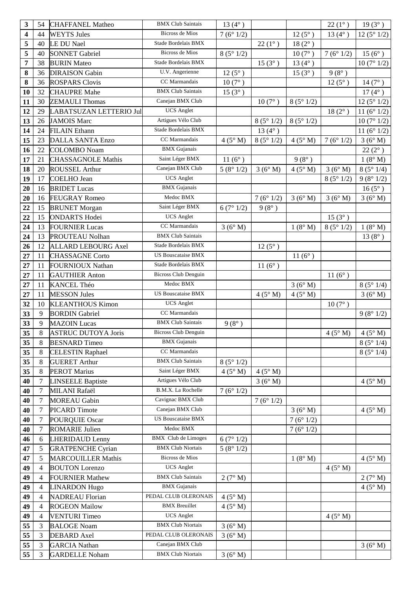| 3              | 54             | <b>CHAFFANEL Matheo</b>    | <b>BMX Club Saintais</b>                         | 13 $(4^{\circ})$ |                  |                 | $22(1^{\circ})$     | $19(3^{\circ})$      |
|----------------|----------------|----------------------------|--------------------------------------------------|------------------|------------------|-----------------|---------------------|----------------------|
| 4              | 44             | <b>WEYTS Jules</b>         | <b>Bicross de Mios</b>                           | 7(6°1/2)         |                  | $12(5^{\circ})$ | $13(4^{\circ})$     | 12(5°1/2)            |
| 5              | 40             | LE DU Nael                 | Stade Bordelais BMX                              |                  | $22(1^{\circ})$  | $18(2^{\circ})$ |                     |                      |
| 5              | 40             | <b>SONNET Gabriel</b>      | <b>Bicross de Mios</b>                           | 8(5°1/2)         |                  | $10(7^{\circ})$ | 7(6°1/2)            | $15(6^{\circ})$      |
| $\overline{7}$ | 38             | <b>BURIN</b> Mateo         | Stade Bordelais BMX                              |                  | $15(3^{\circ})$  | $13(4^{\circ})$ |                     | 10(7°1/2)            |
| 8              | 36             | <b>DIRAISON</b> Gabin      | U.V. Angerienne                                  | $12(5^{\circ})$  |                  | $15(3^{\circ})$ | $9(8^{\circ})$      |                      |
| 8              | 36             | <b>ROSPARS Clovis</b>      | CC Marmandais                                    | $10(7^{\circ})$  |                  |                 | $12(5^{\circ})$     | $14(7^{\circ})$      |
| 10             | 32             | <b>CHAUPRE Mahe</b>        | <b>BMX Club Saintais</b>                         | $15(3^{\circ})$  |                  |                 |                     | $17(4^{\circ})$      |
| 11             | 30             | <b>ZEMAULI</b> Thomas      | Canejan BMX Club                                 |                  | $10(7^{\circ})$  | 8(5°1/2)        |                     | 12(5°1/2)            |
| 12             | 29             | LABATSUZAN LETTERIO Jul    | <b>UCS</b> Anglet                                |                  |                  |                 | $18(2^{\circ})$     | 11 $(6^{\circ} 1/2)$ |
| 13             | 26             | <b>JAMOIS Marc</b>         | Artigues Vélo Club                               |                  | 8(5°1/2)         | 8(5°1/2)        |                     | 10(7°1/2)            |
| 14             | 24             | <b>FILAIN Ethann</b>       | Stade Bordelais BMX                              |                  | 13 $(4^{\circ})$ |                 |                     | 11 $(6^{\circ} 1/2)$ |
| 15             | 23             | <b>DALLA SANTA Enzo</b>    | CC Marmandais                                    | 4(5° M)          | 8(5°1/2)         | 4(5° M)         | 7 $(6^{\circ} 1/2)$ | 3(6° M)              |
| 16             | 22             | <b>COLOMBO</b> Noam        | <b>BMX</b> Gujanais                              |                  |                  |                 |                     | $22(2^{\circ})$      |
| 17             | 21             | <b>CHASSAGNOLE Mathis</b>  | Saint Léger BMX                                  | 11 $(6^{\circ})$ |                  | $9(8^{\circ})$  |                     | 1(8° M)              |
| 18             | 20             | <b>ROUSSEL Arthur</b>      | Canejan BMX Club                                 | 5(8°1/2)         | 3(6°M)           | 4(5° M)         | 3(6°M)              | 8(5°1/4)             |
| 19             | 17             | COELHO Jean                | <b>UCS</b> Anglet                                |                  |                  |                 | 8(5°1/2)            | 9(8°1/2)             |
| 20             | 16             | <b>BRIDET</b> Lucas        | <b>BMX</b> Gujanais                              |                  |                  |                 |                     | $16(5^{\circ})$      |
| 20             | 16             | <b>FEUGRAY Romeo</b>       | Medoc BMX                                        |                  | 7(6°1/2)         | 3(6°M)          | 3(6°M)              | 3(6° M)              |
| 22             | 15             | <b>BRUNET</b> Morgan       | Saint Léger BMX                                  | 6(7°1/2)         | $9(8^{\circ})$   |                 |                     |                      |
| 22             | 15             | <b>ONDARTS Hodei</b>       | <b>UCS</b> Anglet                                |                  |                  |                 | $15(3^{\circ})$     |                      |
| 24             | 13             | <b>FOURNIER Lucas</b>      | CC Marmandais                                    | 3(6°M)           |                  | 1(8° M)         | 8(5°1/2)            | $1(8^\circ M)$       |
| 24             | 13             | PROUTEAU Nolhan            | <b>BMX Club Saintais</b>                         |                  |                  |                 |                     | $13(8^{\circ})$      |
| 26             | 12             | <b>ALLARD LEBOURG Axel</b> | Stade Bordelais BMX                              |                  | $12(5^{\circ})$  |                 |                     |                      |
| 27             | 11             | <b>CHASSAGNE Corto</b>     | <b>US Bouscataise BMX</b>                        |                  |                  | $11(6^{\circ})$ |                     |                      |
| 27             | 11             | FOURNIOUX Nathan           | Stade Bordelais BMX                              |                  | $11(6^{\circ})$  |                 |                     |                      |
| 27             | 11             | <b>GAUTHIER Anton</b>      | <b>Bicross Club Denguin</b>                      |                  |                  |                 | $11(6^{\circ})$     |                      |
| 27             | 11             | KANCEL Théo                | Medoc BMX                                        |                  |                  | 3(6° M)         |                     | 8(5°1/4)             |
| 27             | 11             | <b>MESSON Jules</b>        | <b>US Bouscataise BMX</b>                        |                  | 4(5° M)          | 4(5° M)         |                     | 3(6°M)               |
| 32             | 10             | <b>KLEANTHOUS Kimon</b>    | <b>UCS</b> Anglet                                |                  |                  |                 | $10(7^{\circ})$     |                      |
| 33             | 9              | <b>BORDIN</b> Gabriel      | CC Marmandais                                    |                  |                  |                 |                     | 9(8°1/2)             |
| 33             | 9              | <b>MAZOIN</b> Lucas        | <b>BMX Club Saintais</b>                         | $9(8^{\circ})$   |                  |                 |                     |                      |
| 35             | 8              | <b>ASTRUC DUTOYA Joris</b> | <b>Bicross Club Denguin</b>                      |                  |                  |                 | $4(5^\circ M)$      | $4(5^\circ M)$       |
| 35             | 8              | <b>BESNARD</b> Timeo       | <b>BMX</b> Gujanais                              |                  |                  |                 |                     | 8(5°1/4)             |
| 35             | 8              | <b>CELESTIN Raphael</b>    | CC Marmandais                                    |                  |                  |                 |                     | 8(5°1/4)             |
| 35             | 8              | <b>GUERET Arthur</b>       | <b>BMX Club Saintais</b>                         | 8(5°1/2)         |                  |                 |                     |                      |
| 35             | $\,8$          | <b>PEROT Marius</b>        | Saint Léger BMX                                  | $4(5^\circ M)$   | 4(5° M)          |                 |                     |                      |
| 40             | 7              | <b>LINSEELE Baptiste</b>   | Artigues Vélo Club                               |                  | 3(6° M)          |                 |                     | $4(5^\circ M)$       |
| 40             | 7              | MILANI Rafaël              | B.M.X. La Rochelle                               | 7(6°1/2)         |                  |                 |                     |                      |
| 40             | $\overline{7}$ | <b>MOREAU Gabin</b>        | Cavignac BMX Club                                |                  | 7(6°1/2)         |                 |                     |                      |
| 40             | $\tau$         | <b>PICARD</b> Timote       | Canejan BMX Club                                 |                  |                  | 3(6° M)         |                     | $4(5^\circ M)$       |
| 40             | 7              | <b>POURQUIE Oscar</b>      | <b>US Bouscataise BMX</b>                        |                  |                  | 7(6°1/2)        |                     |                      |
| 40             | $\tau$         | <b>ROMARIE Julien</b>      | Medoc BMX                                        |                  |                  | 7(6°1/2)        |                     |                      |
| 46             | 6              | <b>LHERIDAUD Lenny</b>     | <b>BMX</b> Club de Limoges                       | 6(7°1/2)         |                  |                 |                     |                      |
| 47             | 5              | <b>GRATPENCHE Cyrian</b>   | <b>BMX Club Niortais</b>                         | 5(8°1/2)         |                  |                 |                     |                      |
| 47             | 5              | <b>MARCOUILLER Mathis</b>  | <b>Bicross de Mios</b>                           |                  |                  | 1(8° M)         |                     | $4(5^\circ M)$       |
| 49             | $\overline{4}$ | <b>BOUTON</b> Lorenzo      | <b>UCS</b> Anglet                                |                  |                  |                 | 4(5° M)             |                      |
| 49             | $\overline{4}$ | <b>FOURNIER Mathew</b>     | <b>BMX Club Saintais</b>                         | 2(7° M)          |                  |                 |                     | 2(7° M)              |
| 49             | $\overline{4}$ | <b>LINARDON Hugo</b>       | <b>BMX</b> Gujanais                              |                  |                  |                 |                     | $4(5^\circ M)$       |
| 49             | $\overline{4}$ | <b>NADREAU Florian</b>     | PEDAL CLUB OLERONAIS                             | $4(5^\circ M)$   |                  |                 |                     |                      |
| 49             | $\overline{4}$ | <b>ROGEON Mailow</b>       | <b>BMX</b> Breuillet                             | $4(5^\circ M)$   |                  |                 |                     |                      |
| 49             | $\overline{4}$ | <b>VENTURI Timeo</b>       | <b>UCS</b> Anglet                                |                  |                  |                 | $4(5^\circ M)$      |                      |
| 55             | 3              | <b>BALOGE Noam</b>         | <b>BMX Club Niortais</b><br>PEDAL CLUB OLERONAIS | 3(6° M)          |                  |                 |                     |                      |
| 55             | 3              | <b>DEBARD</b> Axel         | Canejan BMX Club                                 | 3(6° M)          |                  |                 |                     |                      |
| 55             | 3              | <b>GARCIA</b> Nathan       |                                                  |                  |                  |                 |                     | 3(6°M)               |
| 55             | 3              | <b>GARDELLE Noham</b>      | <b>BMX Club Niortais</b>                         | 3(6° M)          |                  |                 |                     |                      |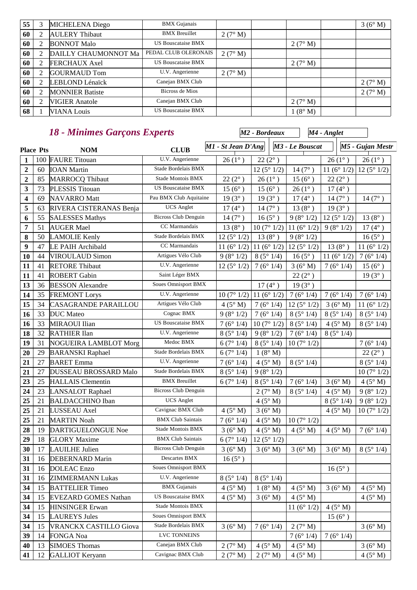| 55 | 3 | <b>MICHELENA</b> Diego | <b>BMX</b> Gujanais       |                |               | 3(6°M)  |
|----|---|------------------------|---------------------------|----------------|---------------|---------|
| 60 |   | <b>AULERY Thibaut</b>  | <b>BMX</b> Breuillet      | 2(7° M)        |               |         |
| 60 |   | <b>BONNOT Malo</b>     | <b>US Bouscataise BMX</b> |                | 2(7° M)       |         |
| 60 |   | DAILLY CHAUMONNOT Ma   | PEDAL CLUB OLERONAIS      | 2(7° M)        |               |         |
| 60 |   | <b>FERCHAUX Axel</b>   | <b>US Bouscataise BMX</b> |                | 2(7° M)       |         |
| 60 |   | <b>GOURMAUD Tom</b>    | U.V. Angerienne           | $2(7^\circ M)$ |               |         |
| 60 |   | LEBLOND Lénaïck        | Canejan BMX Club          |                |               | 2(7° M) |
| 60 |   | <b>MONNIER Batiste</b> | Bicross de Mios           |                |               | 2(7° M) |
| 60 |   | <b>VIGIER Anatole</b>  | Canejan BMX Club          |                | 2(7° M)       |         |
| 68 |   | <b>VIANA Louis</b>     | <b>US Bouscataise BMX</b> |                | $(8^\circ M)$ |         |

#### *18 - Minimes Garçons Experts*

**Place Pts M1 - St Jean D'Ang** M3 - Le Bouscat M5 - Gujan Mestr *M2 - Bordeaux M3 - Le Bouscat M4 - Anglet* | 100 **FAURE Titouan** U.V. Angerienne  $26 (1^{\circ})$  |  $22 (2^{\circ})$  |  $26 (1^{\circ})$  |  $26 (1^{\circ})$  |  $26 (1^{\circ})$  60 IOAN Martin Stade Bordelais BMX  $\begin{bmatrix} 12 (5^{\circ} 1/2) & 14 (7^{\circ}) & 11 (6^{\circ} 1/2) & 12 (5^{\circ} 1/2) \end{bmatrix}$ 2 85 MARROCQ Thibaut Stade Montois BMX  $22 (2^{\circ})$  26 (1°) 15 (6°) 22 (2°) 73 PLESSIS Titouan US Bouscataise BMX 15 (6° ) 15 (6° ) 26 (1° ) 17 (4° ) 69 NAVARRO Matt Pau BMX Club Aquitaine 19 (3°) 19 (3°) 17 (4°) 14 (7°) 14 (7°) 63 RIVERA CISTERANAS Benja UCS Anglet  $17(4^{\circ})$  14 (7°) 13 (8°) 19 (3°) 55 SALESSES Mathys Bicross Club Denguin 14 (7°) 16 (5°) 9 (8° 1/2) 12 (5° 1/2) 13 (8°) | 51 | AUGER Mael | CC Marmandais | 13 (8° )  $\left| \frac{10 (7^{\circ} 1/2)}{11 (6^{\circ} 1/2)} \right|$  9 (8° 1/2) | 17 (4° ) 50 LAMOLIE Kenly Stade Bordelais BMX 12 (5° 1/2) 13 (8° ) 9 (8° 1/2) 16 (5° ) 47 LE PAIH Archibald CC Marmandais 11 (6° 1/2) 11 (6° 1/2) 12 (5° 1/2) 13 (8° ) 11 (6° 1/2) 44 VIROULAUD Simon Artigues Vélo Club 9 (8° 1/2) 8 (5° 1/4) 16 (5°) 11 (6° 1/2) 7 (6° 1/4) 41 RETORE Thibaut U.V. Angerienne 12 (5° 1/2) 7 (6° 1/4) 3 (6° M) 7 (6° 1/4) 15 (6° ) 41 ROBERT Gabin Saint Léger BMX 22 (2° ) 19 (3° ) 36 BESSON Alexandre Soues Omnisport BMX  $17 (4^\circ)$  19 (3°) 35 **FREMONT Lorys** U.V. Angerienne  $\left| \begin{array}{cc} 10 \left( 7^{\circ} \frac{1}{2} \right) \left| 11 \left( 6^{\circ} \frac{1}{2} \right) \right| 7 \left( 6^{\circ} \frac{1}{4} \right) \left| 7 \left( 6^{\circ} \frac{1}{4} \right) \right| 7 \left( 6^{\circ} \frac{1}{4} \right) \end{array} \right|$  34 CASAGRANDE PARAILLOU Artigues Vélo Club  $4(5^{\circ} M)$  7 (6° 1/4) 12 (5° 1/2) 3 (6° M) 11 (6° 1/2) 33 DUC Mateo Cognac BMX 9 (8° 1/2) 7 (6° 1/4) 8 (5° 1/4) 8 (5° 1/4) 8 (5° 1/4) 33 MIRAOUI Ilian US Bouscataise BMX  $7(6^{\circ}1/4)$   $10(7^{\circ}1/2)$   $8(5^{\circ}1/4)$   $4(5^{\circ}M)$   $8(5^{\circ}1/4)$  32 **RATHIER Ilan** U.V. Angerienne 8 (5° 1/4) 9 (8° 1/2) 7 (6° 1/4) 8 (5° 1/4) 31 NOGUEIRA LAMBLOT Morg Medoc BMX 6 (7° 1/4) 8 (5° 1/4) 10 (7° 1/2) 7 (6° 1/4) 29 BARANSKI Raphael Stade Bordelais BMX  $6(7°1/4)$  1  $(8°M)$  22  $(2°)$  | 27 **BARET Emma** U.V. Angerienne | 7 (6° 1/4) | 4 (5° M) | 8 (5° 1/4) | 8 (5° 1/4) 27 DUSSEAU BROSSARD Malo Stade Bordelais BMX  $8(5^{\circ}1/4)$  9 (8° 1/2)  $10(7^{\circ}1/2)$  25 HALLAIS Clementin BMX Breuillet  $6(7°1/4) 8(5°1/4) 7(6°1/4) 3(6°M) 4(5°M)$  23 LANSALOT Raphael Bicross Club Denguin  $2(7° M)$  8 (5° 1/4) 4 (5° M) 9 (8° 1/2) 21 **BALDACCHINO Iban** UCS Anglet  $4(5^{\circ} M)$   $8(5^{\circ} 1/4)$   $9(8^{\circ} 1/2)$  21 LUSSEAU Axel Cavignac BMX Club  $4 (5^{\circ} M)$  3 (6° M)  $4 (5^{\circ} M)$   $10 (7^{\circ} 1/2)$  21 MARTIN Noah BMX Club Saintais 7 (6° 1/4) 4 (5° M) 10 (7° 1/2) 19 DARTIGUELONGUE Noe Stade Montois BMX 3 (6° M)  $4(5° M)$  4 (5° M)  $4(5° M)$  7 (6° 1/4) 18 GLORY Maxime BMX Club Saintais 6 (7° 1/4) 12 (5° 1/2) 17 LAUILHE Julien Bicross Club Denguin 3 (6° M) 3 (6° M) 3 (6° M) 3 (6° M) 8 (5° 1/4) 16 DEBERNARD Marin Descartes BMX 16 ( $5^\circ$ ) 16 DOLEAC Enzo Soues Omnisport BMX 16 (5° ) | 16 **ZIMMERMANN Lukas** U.V. Angerienne  $8(5^{\circ} 1/4)$  |  $8(5^{\circ} 1/4)$  15 BATTELIER Timeo BMX Gujanais  $4 (5^{\circ} M)$  1  $(8^{\circ} M)$  4  $(5^{\circ} M)$  3  $(6^{\circ} M)$  4  $(5^{\circ} M)$  15 EVEZARD GOMES Nathan US Bouscataise BMX  $4(5^{\circ} M)$  3 (6° M)  $4(5^{\circ} M)$  4 (5° M) 4 (5° M) 15 HINSINGER Erwan Stade Montois BMX 11 (6° 1/2) 4 (5° M) 15 LAUREYS Jules Soues Omnisport BMX 15 (6°) 15 VRANCKX CASTILLO Giova Stade Bordelais BMX 3 (6° M) 7 (6° 1/4) 2 (7° M) 3 (6° M) 14 FONGA Noa LVC TONNEINS 7 (6° 1/4) 7 (6° 1/4) | 13 SIMOES Thomas Canejan BMX Club  $2 (7^{\circ} M)$  |  $4 (5^{\circ} M)$  |  $4 (5^{\circ} M)$  |  $3 (6^{\circ} M)$ 

**41** | 12 GALLIOT Keryann Cavignac BMX Club  $2 (7^{\circ} M)$  |  $2 (7^{\circ} M)$  |  $4 (5^{\circ} M)$  |  $4 (5^{\circ} M)$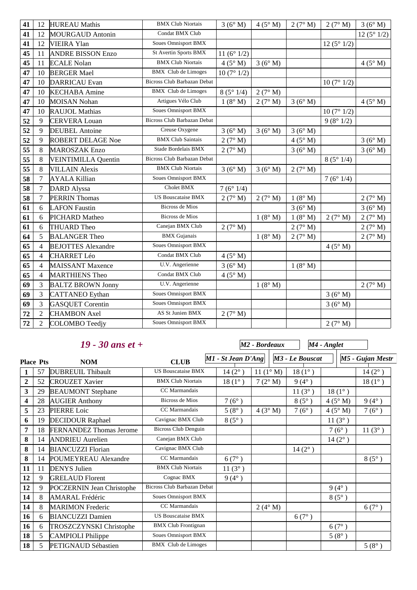| 41 | 12             | <b>HUREAU</b> Mathis       | <b>BMX Club Niortais</b>    | 3(6°M)               | $4(5^\circ M)$ | 2(7° M) | 2(7° M)        | 3(6° M)        |
|----|----------------|----------------------------|-----------------------------|----------------------|----------------|---------|----------------|----------------|
| 41 | 12             | <b>MOURGAUD Antonin</b>    | Condat BMX Club             |                      |                |         |                | 12(5°1/2)      |
| 41 | 12             | <b>VIEIRA Ylan</b>         | <b>Soues Omnisport BMX</b>  |                      |                |         | 12(5°1/2)      |                |
| 45 | 11             | <b>ANDRE BISSON Enzo</b>   | St Avertin Sports BMX       | 11 $(6^{\circ} 1/2)$ |                |         |                |                |
| 45 | 11             | <b>ECALE Nolan</b>         | <b>BMX Club Niortais</b>    | $4(5^\circ M)$       | 3(6° M)        |         |                | 4(5° M)        |
| 47 | 10             | <b>BERGER Mael</b>         | <b>BMX</b> Club de Limoges  | 10(7°1/2)            |                |         |                |                |
| 47 | 10             | <b>DARRICAU</b> Evan       | Bicross Club Barbazan Debat |                      |                |         | 10(7°1/2)      |                |
| 47 | 10             | <b>KECHABA</b> Amine       | <b>BMX</b> Club de Limoges  | 8(5°1/4)             | 2(7° M)        |         |                |                |
| 47 | 10             | <b>MOISAN Nohan</b>        | Artigues Vélo Club          | 1(8° M)              | 2(7° M)        | 3(6°M)  |                | $4(5^\circ M)$ |
| 47 | 10             | <b>RAUJOL Mathias</b>      | <b>Soues Omnisport BMX</b>  |                      |                |         | 10(7°1/2)      |                |
| 52 | 9              | <b>CERVERA Louan</b>       | Bicross Club Barbazan Debat |                      |                |         | 9(8°1/2)       |                |
| 52 | 9              | <b>DEUBEL Antoine</b>      | Creuse Oxygene              | 3(6°M)               | 3(6°M)         | 3(6°M)  |                |                |
| 52 | 9              | <b>ROBERT DELAGE Noe</b>   | <b>BMX Club Saintais</b>    | 2(7° M)              |                | 4(5° M) |                | 3(6° M)        |
| 55 | 8              | <b>MAROSZAK Enzo</b>       | Stade Bordelais BMX         | 2(7° M)              |                | 3(6° M) |                | 3(6°M)         |
| 55 | $\,8$          | <b>VEINTIMILLA Quentin</b> | Bicross Club Barbazan Debat |                      |                |         | 8(5°1/4)       |                |
| 55 | 8              | <b>VILLAIN Alexis</b>      | <b>BMX Club Niortais</b>    | 3(6°M)               | 3(6° M)        | 2(7° M) |                |                |
| 58 | $\tau$         | <b>AYALA Killian</b>       | Soues Omnisport BMX         |                      |                |         | 7(6°1/4)       |                |
| 58 | $\overline{7}$ | <b>DARD</b> Alyssa         | Cholet BMX                  | 7(6°1/4)             |                |         |                |                |
| 58 | 7              | <b>PERRIN Thomas</b>       | <b>US Bouscataise BMX</b>   | 2(7° M)              | 2(7° M)        | 1(8° M) |                | 2(7° M)        |
| 61 | 6              | <b>LAFON Faustin</b>       | <b>Bicross de Mios</b>      |                      |                | 3(6° M) |                | 3(6° M)        |
| 61 | 6              | PICHARD Matheo             | <b>Bicross de Mios</b>      |                      | 1(8° M)        | 1(8° M) | 2(7° M)        | 2(7° M)        |
| 61 | 6              | THUARD Theo                | Canejan BMX Club            | 2(7° M)              |                | 2(7° M) |                | 2(7° M)        |
| 64 | 5              | <b>BALANGER Theo</b>       | <b>BMX</b> Gujanais         |                      | 1(8° M)        | 2(7° M) |                | 2(7° M)        |
| 65 | $\overline{4}$ | <b>BEJOTTES Alexandre</b>  | <b>Soues Omnisport BMX</b>  |                      |                |         | $4(5^\circ M)$ |                |
| 65 | $\overline{4}$ | <b>CHARRET Léo</b>         | Condat BMX Club             | 4(5° M)              |                |         |                |                |
| 65 | $\overline{4}$ | <b>MAISSANT Maxence</b>    | U.V. Angerienne             | 3(6° M)              |                | 1(8° M) |                |                |
| 65 | $\overline{4}$ | <b>MARTHIENS Theo</b>      | Condat BMX Club             | 4(5° M)              |                |         |                |                |
| 69 | 3              | <b>BALTZ BROWN Jonny</b>   | U.V. Angerienne             |                      | 1(8° M)        |         |                | 2(7° M)        |
| 69 | 3              | <b>CATTANEO</b> Eythan     | <b>Soues Omnisport BMX</b>  |                      |                |         | 3(6° M)        |                |
| 69 | 3              | <b>GASQUET Corentin</b>    | <b>Soues Omnisport BMX</b>  |                      |                |         | 3(6° M)        |                |
| 72 | $\overline{2}$ | <b>CHAMBON Axel</b>        | AS St Junien BMX            | 2(7° M)              |                |         |                |                |
| 72 | $\overline{2}$ | COLOMBO Teedjy             | Soues Omnisport BMX         |                      |                |         | 2(7° M)        |                |

#### *19 - 30 ans et +*

*M2 - Bordeaux*

*M4 - Anglet*

**Place Pts M1 - St Jean D'Ang** M3 - Le Bouscat M5 - Gujan Mestr *M3 - Le Bouscat* 57 DUBREUIL Thibault US Bouscataise BMX 14 (2° ) 11 (1° M) 18 (1° ) 14 (2° ) 52 CROUZET Xavier BMX Club Niortais 18 (1°) 7 (2° M) 9 (4°) 18 (1°) 29 BEAUMONT Stephane CC Marmandais 11 (3° ) 18 (1° ) 28 AUGIER Anthony Bicross de Mios  $7(6^\circ)$  8 (5°) 4 (5° M) 9 (4°) 23 PIERRE Loic CC Marmandais 5 (8°) 4 (3° M) 7 (6°) 4 (5° M) 7 (6°) 19 DECIDOUR Raphael Cavignac BMX Club 8 (5°) 11 (3°) 18 **FERNANDEZ Thomas Jerome** Bicross Club Denguin 7 (6°) 11 (3°) 14 ANDRIEU Aurelien Canejan BMX Club 14 (2°) 14 BIANCUZZI Florian Cavignac BMX Club 14 (2°) 14 POUMEYREAU Alexandre CC Marmandais  $6(7^\circ)$  8 (5°) 11 DENYS Julien BMX Club Niortais 11 (3°) 9 GRELAUD Florent Cognac BMX 9 (4°) 9 POCZERNIN Jean Christophe Bicross Club Barbazan Debat 9 (4°) 8 AMARAL Frédéric Soues Omnisport BMX 8 (5°) 8 MARIMON Frederic CC Marmandais 2 (4° M) 6 (7°) 6 BIANCUZZI Damien US Bouscataise BMX 6 (7°) 6 TROSZCZYNSKI Christophe BMX Club Frontignan 1 5 CAMPIOLI Philippe Soues Omnisport BMX 5 (8°) 5 PETIGNAUD Sébastien BMX Club de Limoges 5 (8°)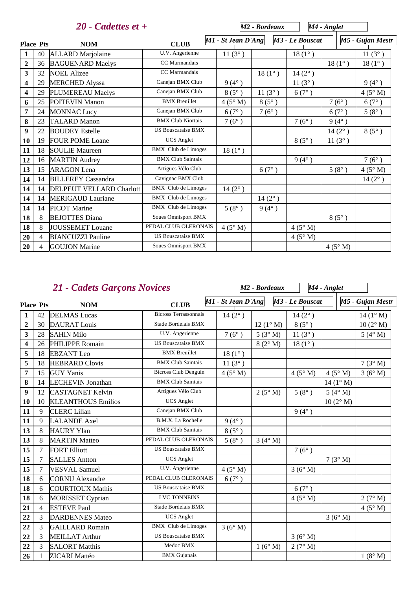|                         |                          | $20$ - Cadettes et +            |                            |                      | M <sub>2</sub> - Bordeaux |                 | M4 - Anglet     |                  |
|-------------------------|--------------------------|---------------------------------|----------------------------|----------------------|---------------------------|-----------------|-----------------|------------------|
| <b>Place Pts</b>        |                          | <b>NOM</b>                      | <b>CLUB</b>                | $MI - St Jean D'Ang$ |                           | M3 - Le Bouscat |                 | M5 - Gujan Mestr |
| -1                      | 40                       | <b>ALLARD</b> Marjolaine        | U.V. Angerienne            | $11(3^{\circ})$      |                           | $18(1^{\circ})$ |                 | $11(3^{\circ})$  |
| $\overline{2}$          | 36                       | <b>BAGUENARD Maelys</b>         | CC Marmandais              |                      |                           |                 | $18(1^{\circ})$ | $18(1^{\circ})$  |
| $\overline{\mathbf{3}}$ | 32                       | <b>NOEL Alizee</b>              | CC Marmandais              |                      | $18(1^{\circ})$           | $14(2^{\circ})$ |                 |                  |
| $\overline{\mathbf{4}}$ | 29                       | <b>MERCHED Alyssa</b>           | Canejan BMX Club           | $9(4^{\circ})$       |                           | $11(3^{\circ})$ |                 | $9(4^{\circ})$   |
| $\overline{\mathbf{4}}$ | 29                       | PLUMEREAU Maelys                | Canejan BMX Club           | $8(5^\circ)$         | $11(3^{\circ})$           | $6(7^{\circ})$  |                 | $4(5^\circ M)$   |
| 6                       | 25                       | <b>POITEVIN Manon</b>           | <b>BMX</b> Breuillet       | $4(5^\circ M)$       | $8(5^\circ)$              |                 | $7(6^{\circ})$  | 6(7°)            |
| 7                       | 24                       | <b>MONNAC Lucy</b>              | Canejan BMX Club           | $6(7^{\circ})$       | $7(6^{\circ})$            |                 | $6(7^{\circ})$  | $5(8^{\circ})$   |
| 8                       | 23                       | <b>TALARD Manon</b>             | <b>BMX Club Niortais</b>   | $7(6^{\circ})$       |                           | $7(6^{\circ})$  | $9(4^{\circ})$  |                  |
| 9                       | 22                       | <b>BOUDEY Estelle</b>           | <b>US Bouscataise BMX</b>  |                      |                           |                 | $14(2^{\circ})$ | $8(5^{\circ})$   |
| 10                      | 19                       | <b>FOUR POME Loane</b>          | <b>UCS</b> Anglet          |                      |                           | $8(5^\circ)$    | $11(3^{\circ})$ |                  |
| 11                      | 18                       | <b>SOULIE Maureen</b>           | <b>BMX</b> Club de Limoges | $18(1^{\circ})$      |                           |                 |                 |                  |
| 12                      | 16                       | <b>MARTIN</b> Audrey            | <b>BMX Club Saintais</b>   |                      |                           | $9(4^{\circ})$  |                 | $7(6^{\circ})$   |
| 13                      | 15                       | <b>ARAGON</b> Lena              | Artigues Vélo Club         |                      | $6(7^\circ)$              |                 | $5(8^{\circ})$  | $4(5^\circ M)$   |
| 14                      | 14                       | <b>BILLEREY Cassandra</b>       | Cavignac BMX Club          |                      |                           |                 |                 | $14(2^{\circ})$  |
| 14                      | 14                       | <b>DELPEUT VELLARD Charlott</b> | <b>BMX</b> Club de Limoges | $14(2^{\circ})$      |                           |                 |                 |                  |
| 14                      | 14                       | <b>MERIGAUD Lauriane</b>        | <b>BMX</b> Club de Limoges |                      | $14(2^{\circ})$           |                 |                 |                  |
| 14                      | 14                       | <b>PICOT</b> Marine             | <b>BMX</b> Club de Limoges | $5(8^{\circ})$       | $9(4^{\circ})$            |                 |                 |                  |
| 18                      | 8                        | <b>BEJOTTES Diana</b>           | <b>Soues Omnisport BMX</b> |                      |                           |                 | $8(5^\circ)$    |                  |
| 18                      | 8                        | <b>JOUSSEMET</b> Louane         | PEDAL CLUB OLERONAIS       | $4(5^\circ M)$       |                           | $4(5^\circ M)$  |                 |                  |
| 20                      | $\overline{\mathcal{L}}$ | <b>BIANCUZZI</b> Pauline        | <b>US Bouscataise BMX</b>  |                      |                           | $4(5^\circ M)$  |                 |                  |
| 20                      | 4                        | <b>GOUJON</b> Marine            | <b>Soues Omnisport BMX</b> |                      |                           |                 | $4(5^\circ M)$  |                  |

|                         | <b>21 - Cadets Garçons Novices</b> |                           |                              | M2 - Bordeaux      |                   | M4 - Anglet     |                    |                    |
|-------------------------|------------------------------------|---------------------------|------------------------------|--------------------|-------------------|-----------------|--------------------|--------------------|
| <b>Place Pts</b>        |                                    | <b>NOM</b>                | <b>CLUB</b>                  | M1 - St Jean D'Ang |                   | M3 - Le Bouscat |                    | M5 - Gujan Mestr   |
| 1                       | 42                                 | <b>DELMAS</b> Lucas       | <b>Bicross Terrassonnais</b> | $14(2^{\circ})$    |                   | $14(2^{\circ})$ |                    | $14 (1^{\circ} M)$ |
| $\overline{2}$          | 30                                 | <b>DAURAT</b> Louis       | Stade Bordelais BMX          |                    | $12(1^{\circ} M)$ | $8(5^\circ)$    |                    | $10(2^{\circ} M)$  |
| $\overline{\mathbf{3}}$ | 28                                 | <b>SAHIN Milo</b>         | U.V. Angerienne              | $7(6^{\circ})$     | 5(3°M)            | $11(3^{\circ})$ |                    | $5(4^\circ M)$     |
| $\overline{\mathbf{4}}$ | 26                                 | PHILIPPE Romain           | <b>US Bouscataise BMX</b>    |                    | 8(2° M)           | $18(1^{\circ})$ |                    |                    |
| 5                       | 18                                 | <b>EBZANT</b> Leo         | <b>BMX</b> Breuillet         | $18(1^{\circ})$    |                   |                 |                    |                    |
| 5                       | 18                                 | <b>HEBRARD Clovis</b>     | <b>BMX Club Saintais</b>     | $11(3^{\circ})$    |                   |                 |                    | 7(3° M)            |
| 7                       | 15                                 | <b>GUY Yanis</b>          | <b>Bicross Club Denguin</b>  | 4(5° M)            |                   | 4(5° M)         | $4(5^\circ M)$     | 3(6°M)             |
| 8                       | 14                                 | <b>LECHEVIN Jonathan</b>  | <b>BMX Club Saintais</b>     |                    |                   |                 | 14 $(1^{\circ} M)$ |                    |
| 9                       | 12                                 | <b>CASTAGNET Kelvin</b>   | Artigues Vélo Club           |                    | $2(5^\circ M)$    | $5(8^{\circ})$  | 5 ( $4^\circ$ M)   |                    |
| 10                      | 10                                 | <b>KLEANTHOUS Emilios</b> | <b>UCS</b> Anglet            |                    |                   |                 | $10(2^{\circ} M)$  |                    |
| 11                      | 9                                  | <b>CLERC</b> Lilian       | Canejan BMX Club             |                    |                   | $9(4^{\circ})$  |                    |                    |
| 11                      | 9                                  | <b>LALANDE</b> Axel       | B.M.X. La Rochelle           | $9(4^{\circ})$     |                   |                 |                    |                    |
| 13                      | 8                                  | <b>HAURY Ylan</b>         | <b>BMX Club Saintais</b>     | $8(5^\circ)$       |                   |                 |                    |                    |
| 13                      | 8                                  | <b>MARTIN Matteo</b>      | PEDAL CLUB OLERONAIS         | $5(8^{\circ})$     | $3(4^\circ M)$    |                 |                    |                    |
| 15                      | 7                                  | <b>FORT Elliott</b>       | <b>US Bouscataise BMX</b>    |                    |                   | $7(6^{\circ})$  |                    |                    |
| 15                      | 7                                  | <b>SALLES Antton</b>      | <b>UCS</b> Anglet            |                    |                   |                 | 7(3° M)            |                    |
| 15                      | 7                                  | <b>VESVAL Samuel</b>      | U.V. Angerienne              | 4(5° M)            |                   | 3(6°M)          |                    |                    |
| 18                      | 6                                  | <b>CORNU</b> Alexandre    | PEDAL CLUB OLERONAIS         | 6(7°)              |                   |                 |                    |                    |
| 18                      | 6                                  | <b>COURTIOUX Mathis</b>   | <b>US Bouscataise BMX</b>    |                    |                   | $6(7^{\circ})$  |                    |                    |
| 18                      | 6                                  | <b>MORISSET Cyprian</b>   | <b>LVC TONNEINS</b>          |                    |                   | 4(5° M)         |                    | 2(7° M)            |
| 21                      | 4                                  | <b>ESTEVE Paul</b>        | Stade Bordelais BMX          |                    |                   |                 |                    | $4(5^\circ M)$     |
| 22                      | 3                                  | <b>DARDENNES Mateo</b>    | <b>UCS</b> Anglet            |                    |                   |                 | 3(6° M)            |                    |
| 22                      | 3                                  | <b>GAILLARD Romain</b>    | <b>BMX</b> Club de Limoges   | 3(6° M)            |                   |                 |                    |                    |
| 22                      | 3                                  | <b>MEILLAT Arthur</b>     | <b>US Bouscataise BMX</b>    |                    |                   | 3(6°M)          |                    |                    |
| 22                      | 3                                  | <b>SALORT Matthis</b>     | Medoc BMX                    |                    | 1(6° M)           | 2(7° M)         |                    |                    |
| 26                      | 1                                  | ZICARI Mattéo             | <b>BMX</b> Gujanais          |                    |                   |                 |                    | $1(8^\circ M)$     |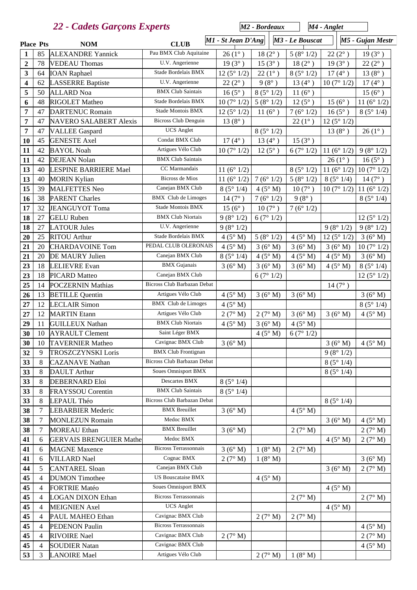|                         | 22 - Cadets Garçons Experts |                                |                                    |                      | M <sub>2</sub> - Bordeaux |                             | M4 - Anglet |                      |                      |
|-------------------------|-----------------------------|--------------------------------|------------------------------------|----------------------|---------------------------|-----------------------------|-------------|----------------------|----------------------|
| <b>Place Pts</b>        |                             | <b>NOM</b>                     | <b>CLUB</b>                        | M1 - St Jean D'Ang   |                           | M <sub>3</sub> - Le Bouscat |             |                      | M5 - Gujan Mestr     |
| 1                       | 85                          | <b>ALEXANDRE Yannick</b>       | Pau BMX Club Aquitaine             | $26(1^{\circ})$      | $18(2^{\circ})$           | 5(8°1/2)                    |             | $22(2^{\circ})$      | $19(3^{\circ})$      |
| $\overline{2}$          | 78                          | <b>VEDEAU</b> Thomas           | U.V. Angerienne                    | $19(3^{\circ})$      | $15(3^{\circ})$           | $18(2^{\circ})$             |             | $19(3^{\circ})$      | $22(2^{\circ})$      |
| 3                       | 64                          | <b>IOAN</b> Raphael            | Stade Bordelais BMX                | 12(5°1/2)            | $22(1^{\circ})$           | 8(5°1/2)                    |             | $17(4^{\circ})$      | $13(8^{\circ})$      |
| $\overline{\mathbf{4}}$ | 62                          | <b>LASSERRE Baptiste</b>       | U.V. Angerienne                    | $22(2^{\circ})$      | $9(8^{\circ})$            | $13(4^{\circ})$             |             | 10(7°1/2)            | $17(4^{\circ})$      |
| 5                       | 50                          | <b>ALLARD</b> Noa              | <b>BMX Club Saintais</b>           | $16(5^{\circ})$      | 8(5°1/2)                  | $11(6^{\circ})$             |             |                      | $15(6^{\circ})$      |
| 6                       | 48                          | <b>RIGOLET Matheo</b>          | Stade Bordelais BMX                | 10(7°1/2)            | 5(8°1/2)                  | $12(5^{\circ})$             |             | $15(6^{\circ})$      | 11 $(6^{\circ} 1/2)$ |
| 7                       | 47                          | <b>DARTENUC Romain</b>         | <b>Stade Montois BMX</b>           | 12(5°1/2)            | $11(6^{\circ})$           | 7(6°1/2)                    |             | $16(5^{\circ})$      | 8(5°1/4)             |
| 7                       | 47                          | <b>NAVERO SALABERT Alexis</b>  | <b>Bicross Club Denguin</b>        | $13(8^{\circ})$      |                           | $22(1^{\circ})$             |             | 12(5°1/2)            |                      |
| $\overline{7}$          | 47                          | <b>VALLEE Gaspard</b>          | <b>UCS</b> Anglet                  |                      | 8(5°1/2)                  |                             |             | $13(8^{\circ})$      | $26(1^{\circ})$      |
| 10                      | 45                          | <b>GENESTE Axel</b>            | Condat BMX Club                    | $17(4^{\circ})$      | $13(4^{\circ})$           | $15(3^{\circ})$             |             |                      |                      |
| 11                      | 42                          | <b>BAYOL Noah</b>              | Artigues Vélo Club                 | 10(7°1/2)            | $12(5^{\circ})$           | 6(7°1/2)                    |             | 11 $(6^{\circ} 1/2)$ | 9(8°1/2)             |
| 11                      | 42                          | <b>DEJEAN Nolan</b>            | <b>BMX Club Saintais</b>           |                      |                           |                             |             | $26(1^{\circ})$      | $16(5^{\circ})$      |
| 13                      | 40                          | <b>LESPINE BARRIERE Mael</b>   | CC Marmandais                      | 11 $(6° 1/2)$        |                           | 8(5°1/2)                    |             | 11 $(6^{\circ} 1/2)$ | 10(7°1/2)            |
| 13                      | 40                          | <b>MORIN Kylian</b>            | <b>Bicross de Mios</b>             | 11 $(6^{\circ} 1/2)$ | 7(6°1/2)                  | 5(8°1/2)                    |             | 8(5°1/4)             | $14(7^{\circ})$      |
| 15                      | 39                          | <b>MALFETTES Neo</b>           | Canejan BMX Club                   | 8(5°1/4)             | 4(5° M)                   | $10(7^{\circ})$             |             | 10(7°1/2)            | 11 $(6^{\circ} 1/2)$ |
| 16                      | 38                          | <b>PARENT Charles</b>          | <b>BMX</b> Club de Limoges         | $14(7^{\circ})$      | 7(6°1/2)                  | $9(8^{\circ})$              |             |                      | 8(5°1/4)             |
| 17                      | 32                          | JEANGUYOT Toma                 | <b>Stade Montois BMX</b>           | $15(6^{\circ})$      | $10(7^{\circ})$           | 7(6°1/2)                    |             |                      |                      |
| 18                      | 27                          | <b>GELU</b> Ruben              | <b>BMX Club Niortais</b>           | 9(8°1/2)             | 6(7°1/2)                  |                             |             |                      | 12(5°1/2)            |
| 18                      | 27                          | <b>LATOUR Jules</b>            | U.V. Angerienne                    | 9(8°1/2)             |                           |                             |             | 9(8°1/2)             | 9(8°1/2)             |
| 20                      | 25                          | <b>RITOU</b> Arthur            | Stade Bordelais BMX                | $4(5^\circ M)$       | 5(8°1/2)                  | $4(5^\circ M)$              |             | 12(5°1/2)            | 3(6°M)               |
| 21                      | 20                          | <b>CHARDAVOINE Tom</b>         | PEDAL CLUB OLERONAIS               | $4(5^\circ M)$       | 3(6°M)                    | 3(6°M)                      |             | 3(6°M)               | 10(7°1/2)            |
| 21                      | 20                          | DE MAURY Julien                | Canejan BMX Club                   | 8(5°1/4)             | $4(5^\circ M)$            | 4(5° M)                     |             | $4(5^\circ M)$       | 3(6° M)              |
| 23                      | 18                          | <b>LELIEVRE</b> Evan           | <b>BMX</b> Gujanais                | 3(6°M)               | 3(6°M)                    | 3(6°M)                      |             | 4(5° M)              | 8(5°1/4)             |
| 23                      | 18                          | <b>PICARD</b> Matteo           | Canejan BMX Club                   |                      | 6(7°1/2)                  |                             |             |                      | 12(5°1/2)            |
| 25                      | 14                          | <b>POCZERNIN Mathias</b>       | Bicross Club Barbazan Debat        |                      |                           |                             |             | $14(7^{\circ})$      |                      |
| 26                      | 13                          | <b>BETILLE</b> Quentin         | Artigues Vélo Club                 | 4(5° M)              | 3(6°M)                    | 3(6°M)                      |             |                      | 3(6°M)               |
| 27                      | 12                          | <b>LECLAIR Simon</b>           | <b>BMX</b> Club de Limoges         | 4(5° M)              |                           |                             |             |                      | 8(5°1/4)             |
| 27                      | 12                          | <b>MARTIN</b> Etann            | Artigues Vélo Club                 | 2(7° M)              | 2(7° M)                   | 3(6°M)                      |             | 3(6°M)               | 4(5° M)              |
| 29                      | 11                          | <b>GUILLEUX Nathan</b>         | <b>BMX Club Niortais</b>           | 4(5° M)              | 3(6° M)                   | 4(5° M)                     |             |                      |                      |
| 30                      | $10\,$                      | <b>AYRAULT Clement</b>         | Saint Léger BMX                    |                      | $4(5^\circ M)$            | 6(7°1/2)                    |             |                      |                      |
| 30                      | 10                          | <b>TAVERNIER Matheo</b>        | Cavignac BMX Club                  | 3(6°M)               |                           |                             |             | 3(6°M)               | 4(5° M)              |
| 32                      | 9                           | <b>TROSZCZYNSKI Loris</b>      | <b>BMX</b> Club Frontignan         |                      |                           |                             |             | 9(8°1/2)             |                      |
| 33                      | 8                           | <b>CAZANAVE Nathan</b>         | <b>Bicross Club Barbazan Debat</b> |                      |                           |                             |             | 8(5°1/4)             |                      |
| 33                      | 8                           | <b>DAULT</b> Arthur            | <b>Soues Omnisport BMX</b>         |                      |                           |                             |             | 8(5°1/4)             |                      |
| 33                      | 8                           | <b>DEBERNARD Eloi</b>          | Descartes BMX                      | 8(5°1/4)             |                           |                             |             |                      |                      |
| 33                      | 8                           | <b>FRAYSSOU</b> Corentin       | <b>BMX Club Saintais</b>           | 8(5°1/4)             |                           |                             |             |                      |                      |
| 33                      | 8                           | LEPAUL Théo                    | Bicross Club Barbazan Debat        |                      |                           |                             |             | 8(5°1/4)             |                      |
| 38                      | 7                           | <b>LEBARBIER Mederic</b>       | <b>BMX</b> Breuillet               | 3(6° M)              |                           | 4(5° M)                     |             |                      |                      |
| 38                      | 7                           | <b>MONLEZUN Romain</b>         | Medoc BMX                          |                      |                           |                             |             | 3(6° M)              | $4(5^\circ M)$       |
| 38                      | 7                           | <b>MOREAU</b> Ethan            | <b>BMX</b> Breuillet               | 3(6°M)               |                           | 2(7° M)                     |             |                      | 2(7° M)              |
| 41                      | 6                           | <b>GERVAIS BRENGUIER Mathe</b> | Medoc BMX                          |                      |                           |                             |             | 4(5° M)              | 2(7° M)              |
| 41                      | 6                           | <b>MAGNE</b> Maxence           | <b>Bicross Terrassonnais</b>       | 3(6° M)              | $1(8^\circ M)$            | 2(7° M)                     |             |                      |                      |
| 41                      | 6                           | <b>VILLARD</b> Nael            | Cognac BMX                         | 2(7° M)              | 1(8° M)                   |                             |             |                      | 3(6° M)              |
| 44                      | 5                           | <b>CANTAREL Sloan</b>          | Canejan BMX Club                   |                      |                           |                             |             | 3(6°M)               | 2(7° M)              |
| 45                      | 4                           | <b>DUMON</b> Timothee          | <b>US Bouscataise BMX</b>          |                      | $4(5^\circ M)$            |                             |             |                      |                      |
| 45                      | 4                           | <b>FORTRIE Matéo</b>           | Soues Omnisport BMX                |                      |                           |                             |             | 4(5° M)              |                      |
| 45                      | 4                           | <b>LOGAN DIXON Ethan</b>       | <b>Bicross Terrassonnais</b>       |                      |                           | 2(7° M)                     |             |                      | 2(7° M)              |
| 45                      | 4                           | <b>MEIGNIEN</b> Axel           | <b>UCS</b> Anglet                  |                      |                           |                             |             | $4(5^\circ M)$       |                      |
| 45                      | 4                           | PAUL MAHEO Ethan               | Cavignac BMX Club                  |                      | 2(7° M)                   | 2(7° M)                     |             |                      |                      |
| 45                      | 4                           | <b>PEDENON Paulin</b>          | <b>Bicross Terrassonnais</b>       |                      |                           |                             |             |                      | 4(5° M)              |
| 45                      | 4                           | <b>RIVOIRE</b> Nael            | Cavignac BMX Club                  | 2(7° M)              |                           |                             |             |                      | 2(7° M)              |
| 45                      | 4                           | <b>SOUDIER Natan</b>           | Cavignac BMX Club                  |                      |                           |                             |             |                      | $4(5^\circ M)$       |
| 53                      | 3                           | <b>LANOIRE</b> Mael            | Artigues Vélo Club                 |                      | 2(7° M)                   | 1(8° M)                     |             |                      |                      |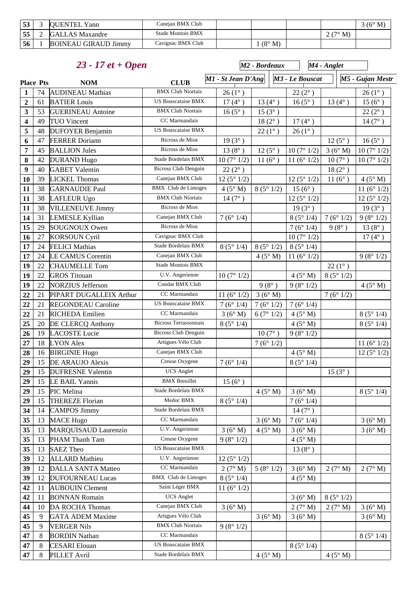| $\overline{ }$<br>ີ | <b>OUENTEL Yann</b>         | Caneian BMX Club  |               |                          | $(6^{\circ}$<br>M |
|---------------------|-----------------------------|-------------------|---------------|--------------------------|-------------------|
| 55                  | <b>GALLAS</b> Maxandre      | Stade Montois BMX |               | $\mathcal{T}^{\circ}$ M) |                   |
| 56                  | <b>BOINEAU GIRAUD Jimmy</b> | Cavignac BMX Club | $(8^\circ M)$ |                          |                   |

| $23 - 17$ et + Open            |                     |                             |                                                |                       | M <sub>2</sub> - Bordeaux | M4 - Anglet           |                 |                      |
|--------------------------------|---------------------|-----------------------------|------------------------------------------------|-----------------------|---------------------------|-----------------------|-----------------|----------------------|
| <b>Place Pts</b><br><b>NOM</b> |                     |                             | <b>CLUB</b>                                    | M1 - St Jean D'Ang    |                           | M3 - Le Bouscat       |                 | M5 - Gujan Mestr     |
| $\mathbf{1}$                   | 74                  | <b>AUDINEAU Mathias</b>     | <b>BMX Club Niortais</b>                       | $26(1^{\circ})$       |                           | $22(2^{\circ})$       |                 | $26(1^{\circ})$      |
| $\mathbf{2}$                   | 61                  | <b>BATIER Louis</b>         | <b>US Bouscataise BMX</b>                      | $17(4^{\circ})$       | $13(4^{\circ})$           | $16(5^{\circ})$       | $13(4^{\circ})$ | $15(6^{\circ})$      |
| 3                              | 53                  | <b>GUERINEAU</b> Antoine    | <b>BMX Club Niortais</b>                       | $16(5^{\circ})$       | $15(3^{\circ})$           |                       |                 | $22(2^{\circ})$      |
| 4                              | 49                  | <b>TUO Vincent</b>          | CC Marmandais                                  |                       | $18(2^{\circ})$           | $17(4^{\circ})$       |                 | $14(7^{\circ})$      |
| 5                              | 48                  | <b>DUFOYER Benjamin</b>     | <b>US Bouscataise BMX</b>                      |                       | $22(1^{\circ})$           | $26(1^{\circ})$       |                 |                      |
| 6                              | 47                  | <b>FERRER Doriann</b>       | <b>Bicross de Mios</b>                         | $19(3^{\circ})$       |                           |                       | $12(5^{\circ})$ | $16(5^{\circ})$      |
| 7                              | 45                  | <b>BALLION Jules</b>        | Bicross de Mios                                | $13(8^{\circ})$       | $12(5^{\circ})$           | 10(7°1/2)             | 3(6°M)          | 10(7°1/2)            |
| 8                              | 42                  | <b>DURAND Hugo</b>          | Stade Bordelais BMX                            | 10(7°1/2)             | $11(6^{\circ})$           | 11 $(6^{\circ} 1/2)$  | $10(7^{\circ})$ | 10(7°1/2)            |
| $\boldsymbol{9}$               | 40                  | <b>GABET Valentin</b>       | <b>Bicross Club Denguin</b>                    | $22(2^{\circ})$       |                           |                       | $18(2^{\circ})$ |                      |
| 10                             | 39                  | <b>LICKEL Thomas</b>        | Canejan BMX Club                               | 12(5°1/2)             |                           | 12 ( $5^{\circ}$ 1/2) | $11(6^{\circ})$ | 4(5° M)              |
| 11                             | 38                  | <b>GARNAUDIE Paul</b>       | <b>BMX</b> Club de Limoges                     | 4(5° M)               | 8(5°1/2)                  | $15(6^{\circ})$       |                 | 11 $(6^{\circ} 1/2)$ |
| 11                             | 38                  | <b>LAFLEUR Ugo</b>          | <b>BMX Club Niortais</b>                       | $14(7^{\circ})$       |                           | 12 $(5^{\circ} 1/2)$  |                 | 12(5°1/2)            |
| 11                             | 38                  | <b>VILLENEUVE Jimmy</b>     | <b>Bicross de Mios</b>                         |                       |                           | $19(3^{\circ})$       |                 | $19(3^{\circ})$      |
| 14                             | 31                  | <b>LEMESLE Kyllian</b>      | Canejan BMX Club                               | 7(6°1/4)              |                           | 8(5°1/4)              | 7(6°1/2)        | 9(8°1/2)             |
| 15                             | 29                  | <b>SOUGNOUX Owen</b>        | <b>Bicross de Mios</b>                         |                       |                           | 7(6°1/4)              | $9(8^{\circ})$  | $13(8^{\circ})$      |
| 16                             | 27                  | <b>KORSOUN Cyril</b>        | Cavignac BMX Club                              |                       |                           | 10(7°1/2)             |                 | $17(4^{\circ})$      |
| 17                             | 24                  | <b>FELICI Mathias</b>       | Stade Bordelais BMX                            | 8(5°1/4)              | 8(5°1/2)                  | 8(5°1/4)              |                 |                      |
| 17                             | 24                  | <b>LE CAMUS Corentin</b>    | Canejan BMX Club                               |                       | 4(5° M)                   | 11 $(6° 1/2)$         |                 | 9(8°1/2)             |
| 19                             | 22                  | <b>CHAUMELLE Tom</b>        | Stade Montois BMX                              |                       |                           |                       | $22(1^{\circ})$ |                      |
| 19                             | 22                  | <b>GROS</b> Titouan         | U.V. Angerienne                                | 10(7°1/2)             |                           | $4(5^\circ M)$        | 8(5°1/2)        |                      |
| 19                             | 22                  | <b>NORZIUS</b> Jefferson    | Condat BMX Club                                |                       | $9(8^{\circ})$            | 9(8°1/2)              |                 | 4(5° M)              |
| 22                             | 21                  | PIPART DUGALLEIX Arthur     | CC Marmandais                                  | 11 ( $6^{\circ}$ 1/2) | 3(6° M)                   |                       | 7(6°1/2)        |                      |
| 22                             | 21                  | <b>REGONDEAU Caroline</b>   | <b>US Bouscataise BMX</b>                      | 7(6°1/4)              | 7(6°1/2)                  | 7(6°1/4)              |                 |                      |
| 22                             | 21                  | <b>RICHEDA</b> Emilien      | CC Marmandais                                  | 3(6° M)               | 6(7°1/2)                  | 4(5° M)               |                 | 8(5°1/4)             |
| 25                             | 20                  | <b>DE CLERCQ Anthony</b>    | <b>Bicross Terrassonnais</b>                   | 8(5°1/4)              |                           | 4(5° M)               |                 | 8(5°1/4)             |
| 26                             | 19                  | <b>LACOSTE Lucie</b>        | <b>Bicross Club Denguin</b>                    |                       | $10(7^{\circ})$           | 9(8°1/2)              |                 |                      |
| 27                             | 18                  | <b>LYON Alex</b>            | Artigues Vélo Club                             |                       | 7(6°1/2)                  |                       |                 | 11 $(6^{\circ} 1/2)$ |
| 28                             | 16                  | <b>BIRGINIE Hugo</b>        | Canejan BMX Club                               |                       |                           | 4(5° M)               |                 | 12 $(5^{\circ} 1/2)$ |
| 29                             | 15                  | DE ARAUJO Alexis            | Creuse Oxygene                                 | 7(6°1/4)              |                           | 8(5°1/4)              |                 |                      |
| 29                             | 15                  | <b>DUFRESNE Valentin</b>    | <b>UCS</b> Anglet                              |                       |                           |                       | $15(3^{\circ})$ |                      |
| 29                             | 15                  | LE BAIL Yannis              | <b>BMX</b> Breuillet                           | $15(6^{\circ})$       |                           |                       |                 |                      |
| 29                             | 15                  | PIC Melina                  | Stade Bordelais BMX                            |                       | 4(5° M)                   | 3(6°M)                |                 | 8(5°1/4)             |
| 29                             | 15                  | <b>THEREZE Florian</b>      | Medoc BMX                                      | 8(5°1/4)              |                           | 7(6°1/4)              |                 |                      |
| 34                             | 14                  | <b>CAMPOS Jimmy</b>         | Stade Bordelais BMX                            |                       |                           | $14(7^{\circ})$       |                 |                      |
| 35                             | 13                  | <b>MACE Hugo</b>            | CC Marmandais                                  |                       | 3(6° M)                   | 7(6°1/4)              |                 | 3(6° M)              |
| 35                             | 13                  | <b>MARQUISAUD Laurenzio</b> | U.V. Angerienne                                | 3(6° M)               | $4(5^\circ M)$            | 3(6° M)               |                 | 3(6° M)              |
| 35                             | 13                  | PHAM Thanh Tam              | Creuse Oxygene                                 | 9(8°1/2)              |                           | $4(5^\circ M)$        |                 |                      |
| 35                             | 13                  | <b>SAEZ Theo</b>            | <b>US Bouscataise BMX</b>                      |                       |                           | $13(8^{\circ})$       |                 |                      |
| 39                             | 12                  | <b>ALLARD</b> Mathieu       | U.V. Angerienne                                | 12(5°1/2)             |                           |                       |                 |                      |
| 39                             | 12                  | <b>DALLA SANTA Matteo</b>   | CC Marmandais                                  | 2(7° M)               | 5(8°1/2)                  | 3(6° M)               | 2(7° M)         | 2(7° M)              |
| 39                             | 12                  | <b>DUFOURNEAU Lucas</b>     | <b>BMX</b> Club de Limoges                     | 8(5°1/4)              |                           | $4(5^\circ M)$        |                 |                      |
| 42                             | 11                  | <b>AUBOUIN Clement</b>      | Saint Léger BMX                                | 11 $(6^{\circ} 1/2)$  |                           |                       |                 |                      |
| 42                             | 11                  | <b>BONNAN Romain</b>        | <b>UCS</b> Anglet                              |                       |                           | 3(6° M)               | 8(5°1/2)        |                      |
| 44                             | 10                  | <b>DA ROCHA Thomas</b>      | Canejan BMX Club                               | 3(6°M)                |                           | 2(7° M)               | 2(7° M)         | 3(6° M)              |
| 45                             | 9                   | <b>GATA ADEM Maxime</b>     | Artigues Vélo Club<br><b>BMX Club Niortais</b> |                       | 3(6° M)                   | 3(6° M)               |                 | 3(6° M)              |
| 45                             | 9                   | <b>VERGER Nils</b>          | CC Marmandais                                  | 9(8°1/2)              |                           |                       |                 |                      |
| 47                             | $8\,$               | <b>BORDIN Nathan</b>        | <b>US Bouscataise BMX</b>                      |                       |                           |                       |                 | 8(5°1/4)             |
| 47                             | $8\phantom{.}$<br>8 | <b>CESARI</b> Elouan        | Stade Bordelais BMX                            |                       |                           | 8(5°1/4)              |                 |                      |
| 47                             |                     | PILLET Avril                |                                                |                       | 4(5° M)                   |                       | 4(5° M)         |                      |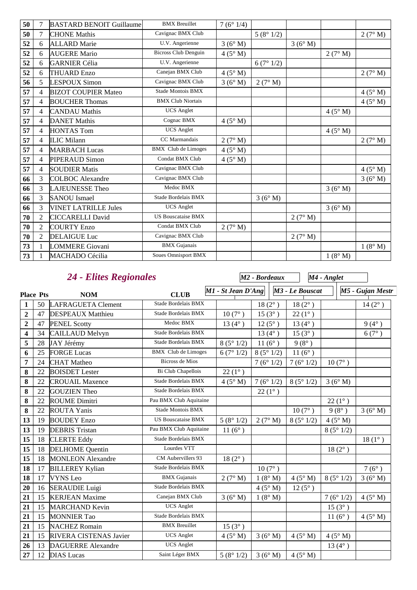| 50 | 7              | <b>BASTARD BENOIT Guillaume</b> | <b>BMX</b> Breuillet        | 7(6°1/4)       |          |         |                |                |
|----|----------------|---------------------------------|-----------------------------|----------------|----------|---------|----------------|----------------|
| 50 | $\tau$         | <b>CHONE</b> Mathis             | Cavignac BMX Club           |                | 5(8°1/2) |         |                | 2(7° M)        |
| 52 | 6              | <b>ALLARD</b> Marie             | U.V. Angerienne             | 3(6° M)        |          | 3(6° M) |                |                |
| 52 | 6              | <b>AUGERE Mario</b>             | <b>Bicross Club Denguin</b> | $4(5^\circ M)$ |          |         | 2(7° M)        |                |
| 52 | 6              | <b>GARNIER Célia</b>            | U.V. Angerienne             |                | 6(7°1/2) |         |                |                |
| 52 | 6              | <b>THUARD Enzo</b>              | Canejan BMX Club            | $4(5^\circ M)$ |          |         |                | 2(7° M)        |
| 56 | 5              | <b>LESPOUX Simon</b>            | Cavignac BMX Club           | 3(6° M)        | 2(7° M)  |         |                |                |
| 57 | $\overline{4}$ | <b>BIZOT COUPIER Mateo</b>      | <b>Stade Montois BMX</b>    |                |          |         |                | $4(5^\circ M)$ |
| 57 | $\overline{4}$ | <b>BOUCHER Thomas</b>           | <b>BMX Club Niortais</b>    |                |          |         |                | 4(5° M)        |
| 57 | $\overline{4}$ | <b>CANDAU</b> Mathis            | <b>UCS</b> Anglet           |                |          |         | $4(5^\circ M)$ |                |
| 57 | $\overline{4}$ | <b>DANET Mathis</b>             | Cognac BMX                  | $4(5^\circ M)$ |          |         |                |                |
| 57 | 4              | <b>HONTAS Tom</b>               | <b>UCS</b> Anglet           |                |          |         | $4(5^\circ M)$ |                |
| 57 | $\overline{4}$ | <b>ILIC Milann</b>              | CC Marmandais               | 2(7° M)        |          |         |                | 2(7° M)        |
| 57 | $\overline{4}$ | <b>MARBACH Lucas</b>            | <b>BMX</b> Club de Limoges  | $4(5^\circ M)$ |          |         |                |                |
| 57 | $\overline{4}$ | <b>PIPERAUD Simon</b>           | Condat BMX Club             | $4(5^\circ M)$ |          |         |                |                |
| 57 | 4              | <b>SOUDIER Matis</b>            | Cavignac BMX Club           |                |          |         |                | $4(5^\circ M)$ |
| 66 | 3              | <b>COLBOC</b> Alexandre         | Cavignac BMX Club           |                |          |         |                | 3(6° M)        |
| 66 | 3              | <b>LAJEUNESSE Theo</b>          | Medoc BMX                   |                |          |         | 3(6° M)        |                |
| 66 | 3              | <b>SANOU Ismael</b>             | Stade Bordelais BMX         |                | 3(6° M)  |         |                |                |
| 66 | 3              | <b>VINET LATRILLE Jules</b>     | <b>UCS</b> Anglet           |                |          |         | 3(6° M)        |                |
| 70 | $\overline{2}$ | <b>CICCARELLI David</b>         | <b>US Bouscataise BMX</b>   |                |          | 2(7° M) |                |                |
| 70 | $\overline{2}$ | <b>COURTY Enzo</b>              | Condat BMX Club             | 2(7° M)        |          |         |                |                |
| 70 | $\overline{2}$ | <b>DELAIGUE Luc</b>             | Cavignac BMX Club           |                |          | 2(7° M) |                |                |
| 73 | 1              | <b>LOMMERE</b> Giovani          | <b>BMX</b> Gujanais         |                |          |         |                | 1(8° M)        |
| 73 |                | <b>MACHADO Cécilia</b>          | <b>Soues Omnisport BMX</b>  |                |          |         | 1(8° M)        |                |

## *24 - Elites Regionales*

| 24 - Elites Regionales |    |                           |                           | M2 - Bordeaux      |                  |                  | M4 - Anglet     |                  |  |
|------------------------|----|---------------------------|---------------------------|--------------------|------------------|------------------|-----------------|------------------|--|
| <b>Place Pts</b>       |    | <b>NOM</b>                | <b>CLUB</b>               | M1 - St Jean D'Ang |                  | M3 - Le Bouscat  |                 | M5 - Gujan Mestr |  |
| $\mathbf{1}$           | 50 | <b>LAFRAGUETA Clement</b> | Stade Bordelais BMX       |                    | $18(2^{\circ})$  | $18(2^{\circ})$  |                 | $14(2^{\circ})$  |  |
| $\overline{2}$         | 47 | <b>DESPEAUX Matthieu</b>  | Stade Bordelais BMX       | $10(7^{\circ})$    | $15(3^{\circ})$  | $22(1^{\circ})$  |                 |                  |  |
| $\overline{2}$         | 47 | <b>PENEL Scotty</b>       | Medoc BMX                 | 13 $(4^{\circ})$   | $12(5^{\circ})$  | 13 $(4^{\circ})$ |                 | $9(4^{\circ})$   |  |
| 4                      | 34 | <b>CAILLAUD Melvyn</b>    | Stade Bordelais BMX       |                    | 13 $(4^{\circ})$ | $15(3^{\circ})$  |                 | $6(7^{\circ})$   |  |
| 5                      | 28 | JAY Jérémy                | Stade Bordelais BMX       | 8(5°1/2)           | $11(6^{\circ})$  | $9(8^{\circ})$   |                 |                  |  |
| 6                      | 25 | <b>FORGE Lucas</b>        | BMX Club de Limoges       | 6(7°1/2)           | 8(5°1/2)         | $11(6^{\circ})$  |                 |                  |  |
| $\overline{7}$         | 24 | <b>CHAT</b> Matheo        | <b>Bicross de Mios</b>    |                    | 7(6°1/2)         | 7(6°1/2)         | $10(7^{\circ})$ |                  |  |
| 8                      | 22 | <b>BOISDET</b> Lester     | Bi Club Chapellois        | $22(1^{\circ})$    |                  |                  |                 |                  |  |
| 8                      | 22 | <b>CROUAIL Maxence</b>    | Stade Bordelais BMX       | 4(5° M)            | 7(6°1/2)         | 8(5°1/2)         | 3(6° M)         |                  |  |
| 8                      | 22 | <b>GOUZIEN</b> Theo       | Stade Bordelais BMX       |                    | $22(1^{\circ})$  |                  |                 |                  |  |
| 8                      | 22 | <b>ROUME Dimitri</b>      | Pau BMX Club Aquitaine    |                    |                  |                  | $22(1^{\circ})$ |                  |  |
| 8                      | 22 | <b>ROUTA Yanis</b>        | Stade Montois BMX         |                    |                  | $10(7^{\circ})$  | $9(8^{\circ})$  | 3(6°M)           |  |
| 13                     | 19 | <b>BOUDEY Enzo</b>        | <b>US Bouscataise BMX</b> | 5(8°1/2)           | 2(7° M)          | 8(5°1/2)         | $4(5^\circ M)$  |                  |  |
| 13                     | 19 | <b>DEBRIS</b> Tristan     | Pau BMX Club Aquitaine    | 11 $(6^{\circ})$   |                  |                  | 8(5°1/2)        |                  |  |
| 15                     | 18 | <b>CLERTE Eddy</b>        | Stade Bordelais BMX       |                    |                  |                  |                 | $18(1^{\circ})$  |  |
| 15                     | 18 | <b>DELHOME</b> Quentin    | Lourdes VTT               |                    |                  |                  | $18(2^{\circ})$ |                  |  |
| 15                     | 18 | <b>MONLEON Alexandre</b>  | CM Aubervillers 93        | $18(2^{\circ})$    |                  |                  |                 |                  |  |
| 18                     | 17 | <b>BILLEREY Kylian</b>    | Stade Bordelais BMX       |                    | $10(7^{\circ})$  |                  |                 | $7(6^{\circ})$   |  |
| 18                     | 17 | <b>VYNS</b> Leo           | <b>BMX</b> Gujanais       | 2(7° M)            | 1(8° M)          | $4(5^\circ M)$   | 8(5°1/2)        | 3(6°M)           |  |
| 20                     | 16 | <b>SERAUDIE Luigi</b>     | Stade Bordelais BMX       |                    | 4(5° M)          | $12(5^{\circ})$  |                 |                  |  |
| 21                     | 15 | <b>KERJEAN</b> Maxime     | Canejan BMX Club          | 3(6° M)            | 1(8° M)          |                  | 7(6°1/2)        | $4(5^\circ M)$   |  |
| 21                     | 15 | <b>MARCHAND Kevin</b>     | <b>UCS</b> Anglet         |                    |                  |                  | $15(3^{\circ})$ |                  |  |
| 21                     | 15 | <b>MONNIER Tao</b>        | Stade Bordelais BMX       |                    |                  |                  | $11(6^{\circ})$ | $4(5^{\circ} M)$ |  |
| 21                     | 15 | <b>NACHEZ Romain</b>      | <b>BMX</b> Breuillet      | $15(3^{\circ})$    |                  |                  |                 |                  |  |
| 21                     | 15 | RIVERA CISTENAS Javier    | <b>UCS</b> Anglet         | $4(5^\circ M)$     | 3(6°M)           | $4(5^\circ M)$   | $4(5^\circ M)$  |                  |  |
| 26                     | 13 | <b>DAGUERRE</b> Alexandre | <b>UCS</b> Anglet         |                    |                  |                  | $13(4^{\circ})$ |                  |  |
| 27                     | 12 | <b>DIAS</b> Lucas         | Saint Léger BMX           | 5(8°1/2)           | 3(6°M)           | $4(5^\circ M)$   |                 |                  |  |